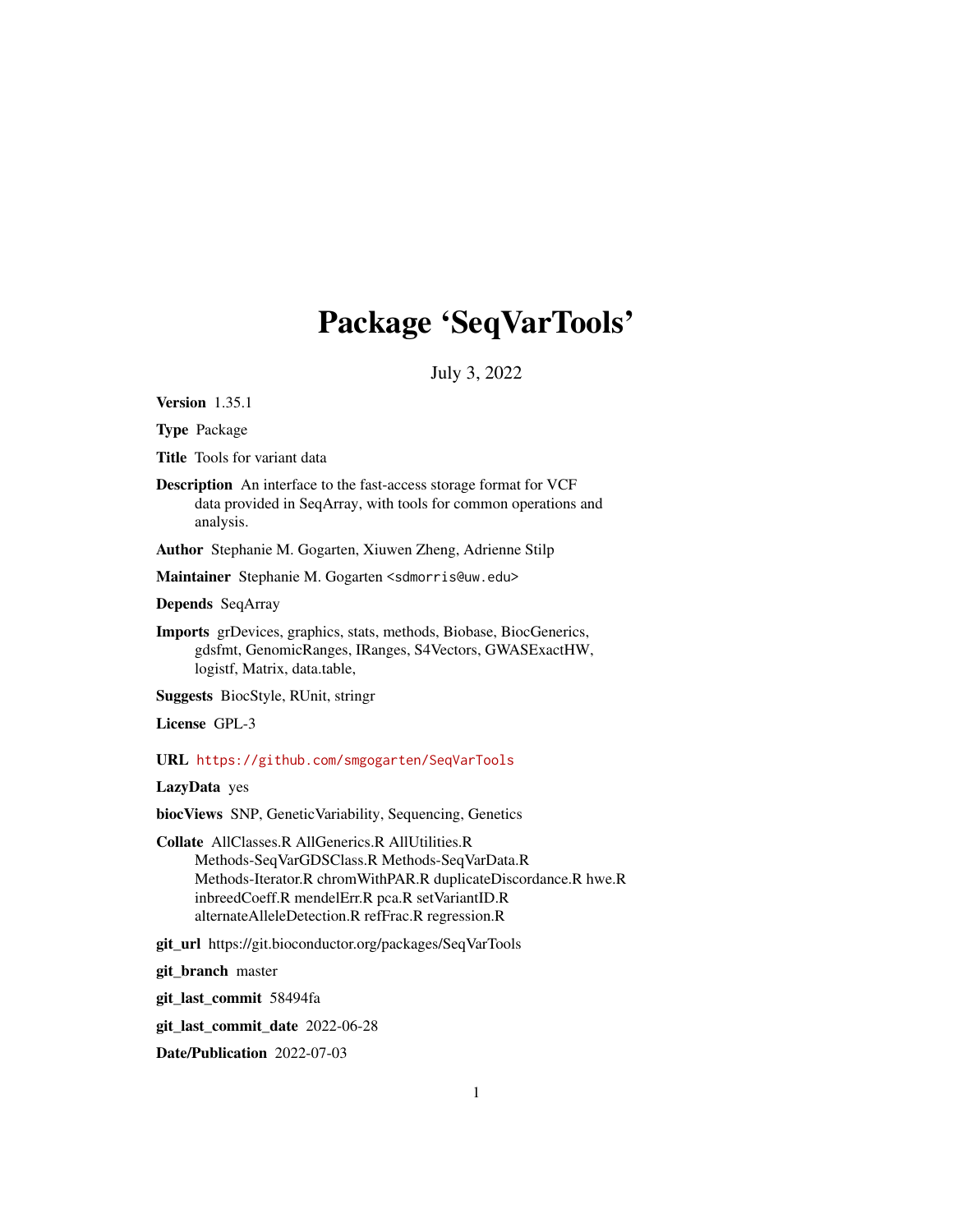# Package 'SeqVarTools'

July 3, 2022

<span id="page-0-0"></span>Version 1.35.1

Type Package

Title Tools for variant data

Description An interface to the fast-access storage format for VCF data provided in SeqArray, with tools for common operations and analysis.

Author Stephanie M. Gogarten, Xiuwen Zheng, Adrienne Stilp

Maintainer Stephanie M. Gogarten <sdmorris@uw.edu>

Depends SeqArray

Imports grDevices, graphics, stats, methods, Biobase, BiocGenerics, gdsfmt, GenomicRanges, IRanges, S4Vectors, GWASExactHW, logistf, Matrix, data.table,

Suggests BiocStyle, RUnit, stringr

License GPL-3

URL <https://github.com/smgogarten/SeqVarTools>

LazyData yes

biocViews SNP, GeneticVariability, Sequencing, Genetics

Collate AllClasses.R AllGenerics.R AllUtilities.R Methods-SeqVarGDSClass.R Methods-SeqVarData.R Methods-Iterator.R chromWithPAR.R duplicateDiscordance.R hwe.R inbreedCoeff.R mendelErr.R pca.R setVariantID.R alternateAlleleDetection.R refFrac.R regression.R

git\_url https://git.bioconductor.org/packages/SeqVarTools

git\_branch master

git\_last\_commit 58494fa

git\_last\_commit\_date 2022-06-28

Date/Publication 2022-07-03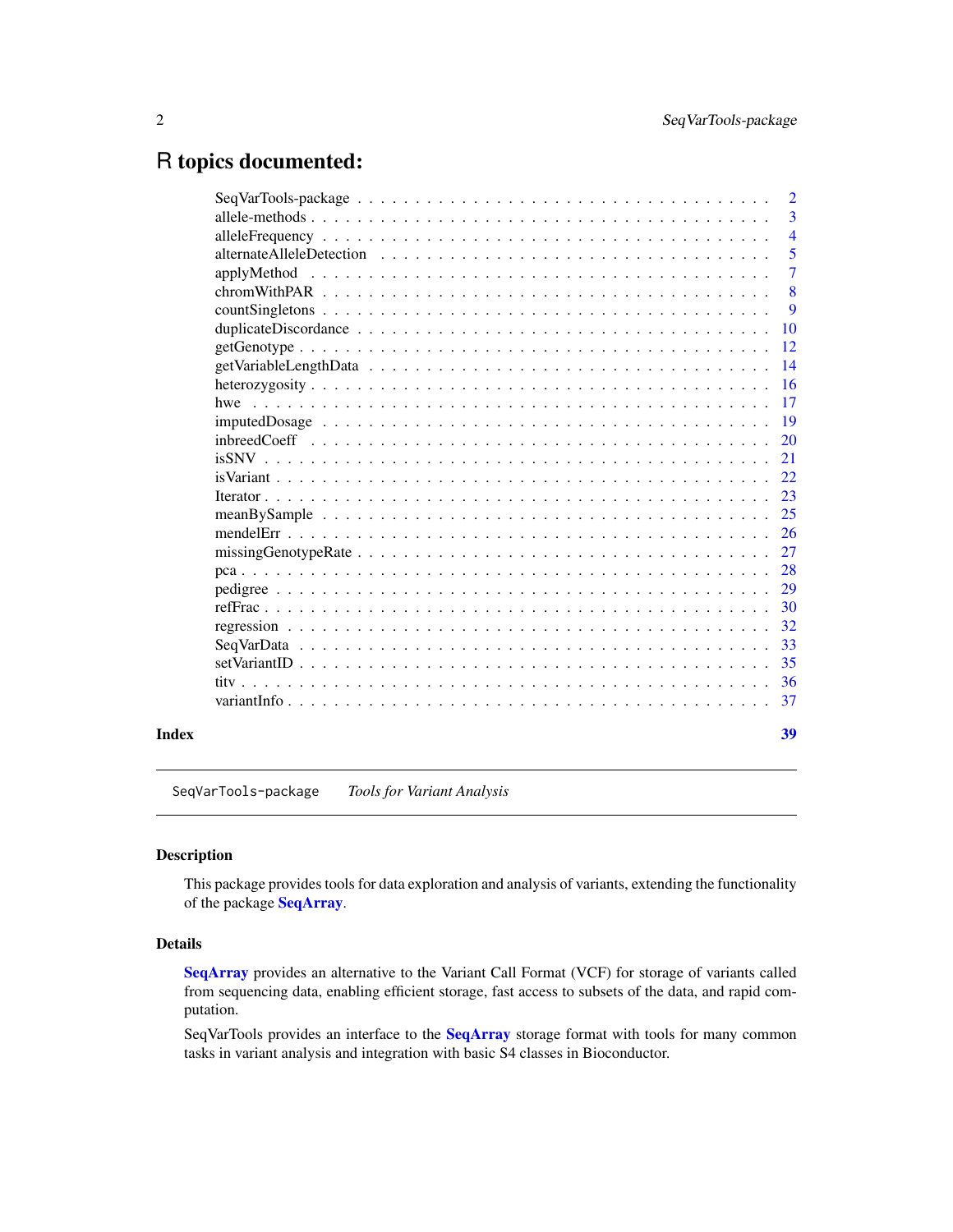## <span id="page-1-0"></span>R topics documented:

| 10<br>12<br>$getGenotype \dots \dots \dots \dots \dots \dots \dots \dots \dots \dots \dots \dots \dots \dots \dots \dots \dots$<br>14<br>16<br>17<br>19<br>20<br>21<br>22<br>23<br>25<br>26<br>27<br>28<br>29<br>30<br>32<br>33<br>35<br>36<br>37<br>39<br>Index | $SeqVarTools\text{-}package \dots \dots \dots \dots \dots \dots \dots \dots \dots \dots \dots \dots \dots \dots \dots$ | $\overline{2}$ |
|------------------------------------------------------------------------------------------------------------------------------------------------------------------------------------------------------------------------------------------------------------------|------------------------------------------------------------------------------------------------------------------------|----------------|
|                                                                                                                                                                                                                                                                  |                                                                                                                        | 3              |
|                                                                                                                                                                                                                                                                  |                                                                                                                        | $\overline{4}$ |
|                                                                                                                                                                                                                                                                  |                                                                                                                        | 5              |
|                                                                                                                                                                                                                                                                  |                                                                                                                        | $\overline{7}$ |
|                                                                                                                                                                                                                                                                  |                                                                                                                        | 8              |
|                                                                                                                                                                                                                                                                  |                                                                                                                        | 9              |
|                                                                                                                                                                                                                                                                  |                                                                                                                        |                |
|                                                                                                                                                                                                                                                                  |                                                                                                                        |                |
|                                                                                                                                                                                                                                                                  |                                                                                                                        |                |
|                                                                                                                                                                                                                                                                  |                                                                                                                        |                |
|                                                                                                                                                                                                                                                                  |                                                                                                                        |                |
|                                                                                                                                                                                                                                                                  |                                                                                                                        |                |
|                                                                                                                                                                                                                                                                  |                                                                                                                        |                |
|                                                                                                                                                                                                                                                                  |                                                                                                                        |                |
|                                                                                                                                                                                                                                                                  |                                                                                                                        |                |
|                                                                                                                                                                                                                                                                  |                                                                                                                        |                |
|                                                                                                                                                                                                                                                                  |                                                                                                                        |                |
|                                                                                                                                                                                                                                                                  |                                                                                                                        |                |
|                                                                                                                                                                                                                                                                  |                                                                                                                        |                |
|                                                                                                                                                                                                                                                                  |                                                                                                                        |                |
|                                                                                                                                                                                                                                                                  |                                                                                                                        |                |
|                                                                                                                                                                                                                                                                  |                                                                                                                        |                |
|                                                                                                                                                                                                                                                                  |                                                                                                                        |                |
|                                                                                                                                                                                                                                                                  |                                                                                                                        |                |
|                                                                                                                                                                                                                                                                  |                                                                                                                        |                |
|                                                                                                                                                                                                                                                                  |                                                                                                                        |                |
|                                                                                                                                                                                                                                                                  |                                                                                                                        |                |
|                                                                                                                                                                                                                                                                  |                                                                                                                        |                |

SeqVarTools-package *Tools for Variant Analysis*

### Description

This package provides tools for data exploration and analysis of variants, extending the functionality of the package [SeqArray](#page-0-0).

#### Details

[SeqArray](#page-0-0) provides an alternative to the Variant Call Format (VCF) for storage of variants called from sequencing data, enabling efficient storage, fast access to subsets of the data, and rapid computation.

SeqVarTools provides an interface to the [SeqArray](#page-0-0) storage format with tools for many common tasks in variant analysis and integration with basic S4 classes in Bioconductor.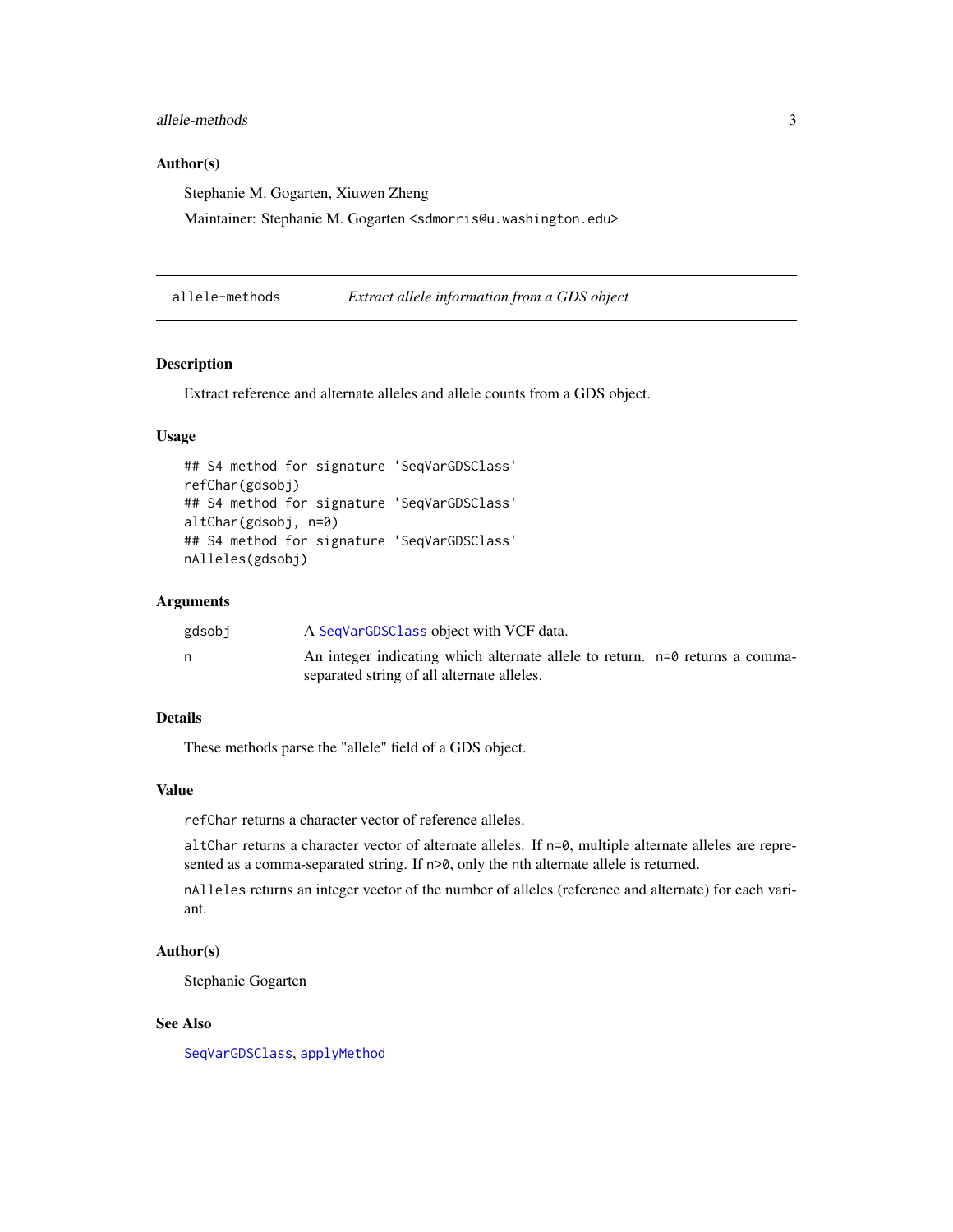### <span id="page-2-0"></span>allele-methods 3

### Author(s)

Stephanie M. Gogarten, Xiuwen Zheng

Maintainer: Stephanie M. Gogarten <sdmorris@u.washington.edu>

<span id="page-2-1"></span>allele-methods *Extract allele information from a GDS object*

#### Description

Extract reference and alternate alleles and allele counts from a GDS object.

### Usage

```
## S4 method for signature 'SeqVarGDSClass'
refChar(gdsobj)
## S4 method for signature 'SeqVarGDSClass'
altChar(gdsobj, n=0)
## S4 method for signature 'SeqVarGDSClass'
nAlleles(gdsobj)
```
#### Arguments

| gdsobi | A SeqVarGDSClass object with VCF data.                                       |  |
|--------|------------------------------------------------------------------------------|--|
|        | An integer indicating which alternate allele to return. n=0 returns a comma- |  |
|        | separated string of all alternate alleles.                                   |  |

### Details

These methods parse the "allele" field of a GDS object.

### Value

refChar returns a character vector of reference alleles.

altChar returns a character vector of alternate alleles. If n=0, multiple alternate alleles are represented as a comma-separated string. If  $n>0$ , only the nth alternate allele is returned.

nAlleles returns an integer vector of the number of alleles (reference and alternate) for each variant.

### Author(s)

Stephanie Gogarten

### See Also

[SeqVarGDSClass](#page-0-0), [applyMethod](#page-6-1)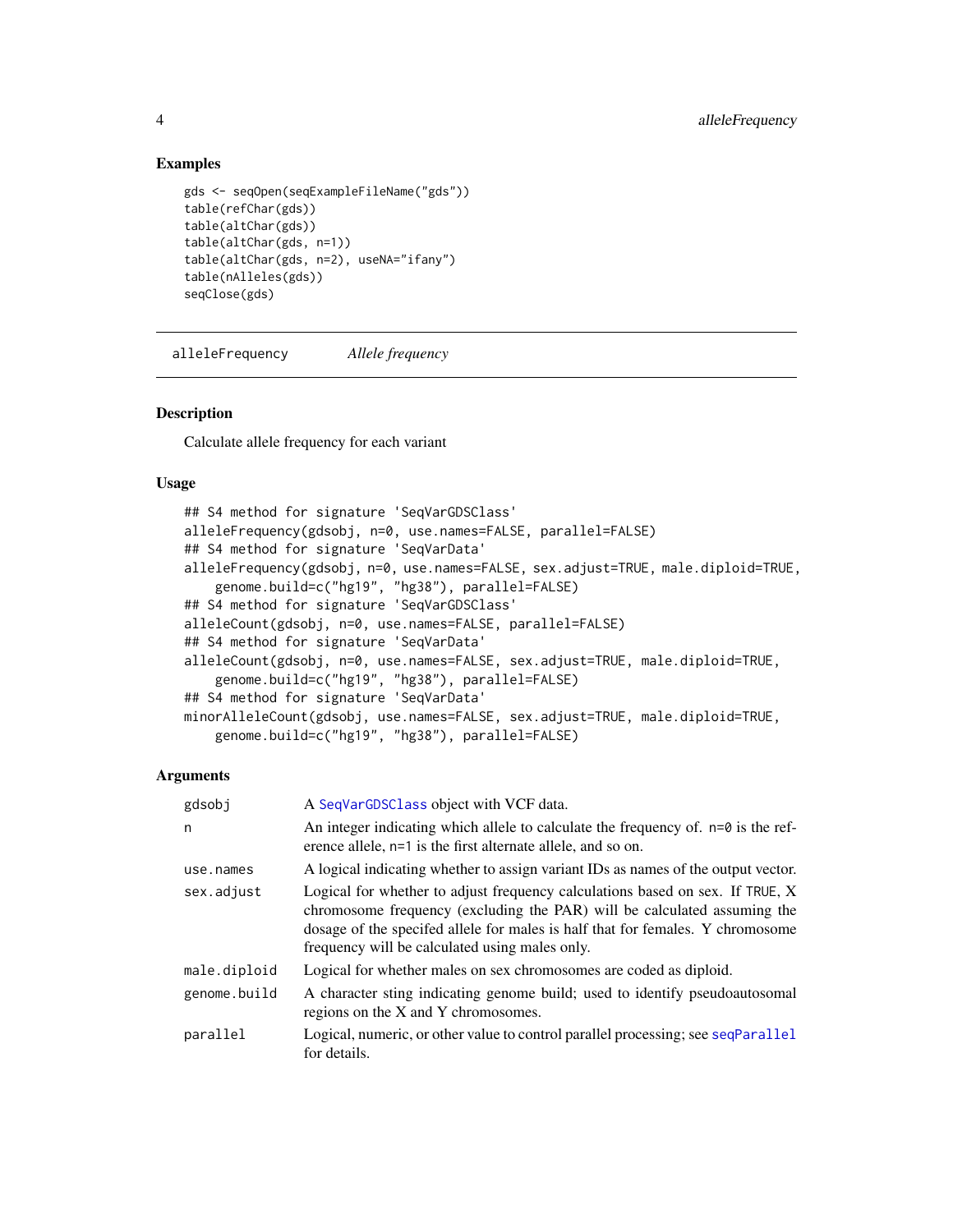### Examples

```
gds <- seqOpen(seqExampleFileName("gds"))
table(refChar(gds))
table(altChar(gds))
table(altChar(gds, n=1))
table(altChar(gds, n=2), useNA="ifany")
table(nAlleles(gds))
seqClose(gds)
```
<span id="page-3-1"></span>alleleFrequency *Allele frequency*

### Description

Calculate allele frequency for each variant

### Usage

```
## S4 method for signature 'SeqVarGDSClass'
alleleFrequency(gdsobj, n=0, use.names=FALSE, parallel=FALSE)
## S4 method for signature 'SeqVarData'
alleleFrequency(gdsobj, n=0, use.names=FALSE, sex.adjust=TRUE, male.diploid=TRUE,
   genome.build=c("hg19", "hg38"), parallel=FALSE)
## S4 method for signature 'SeqVarGDSClass'
alleleCount(gdsobj, n=0, use.names=FALSE, parallel=FALSE)
## S4 method for signature 'SeqVarData'
alleleCount(gdsobj, n=0, use.names=FALSE, sex.adjust=TRUE, male.diploid=TRUE,
    genome.build=c("hg19", "hg38"), parallel=FALSE)
## S4 method for signature 'SeqVarData'
minorAlleleCount(gdsobj, use.names=FALSE, sex.adjust=TRUE, male.diploid=TRUE,
   genome.build=c("hg19", "hg38"), parallel=FALSE)
```
### Arguments

| gdsobj       | A SeqVarGDSClass object with VCF data.                                                                                                                                                                                                                                                        |
|--------------|-----------------------------------------------------------------------------------------------------------------------------------------------------------------------------------------------------------------------------------------------------------------------------------------------|
| n            | An integer indicating which allele to calculate the frequency of. $n=0$ is the ref-<br>erence allele, n=1 is the first alternate allele, and so on.                                                                                                                                           |
| use.names    | A logical indicating whether to assign variant IDs as names of the output vector.                                                                                                                                                                                                             |
| sex.adjust   | Logical for whether to adjust frequency calculations based on sex. If TRUE, X<br>chromosome frequency (excluding the PAR) will be calculated assuming the<br>dosage of the specifed allele for males is half that for females. Y chromosome<br>frequency will be calculated using males only. |
| male.diploid | Logical for whether males on sex chromosomes are coded as diploid.                                                                                                                                                                                                                            |
| genome.build | A character sting indicating genome build; used to identify pseudoautosomal<br>regions on the X and Y chromosomes.                                                                                                                                                                            |
| parallel     | Logical, numeric, or other value to control parallel processing; see seqParallel<br>for details.                                                                                                                                                                                              |

<span id="page-3-0"></span>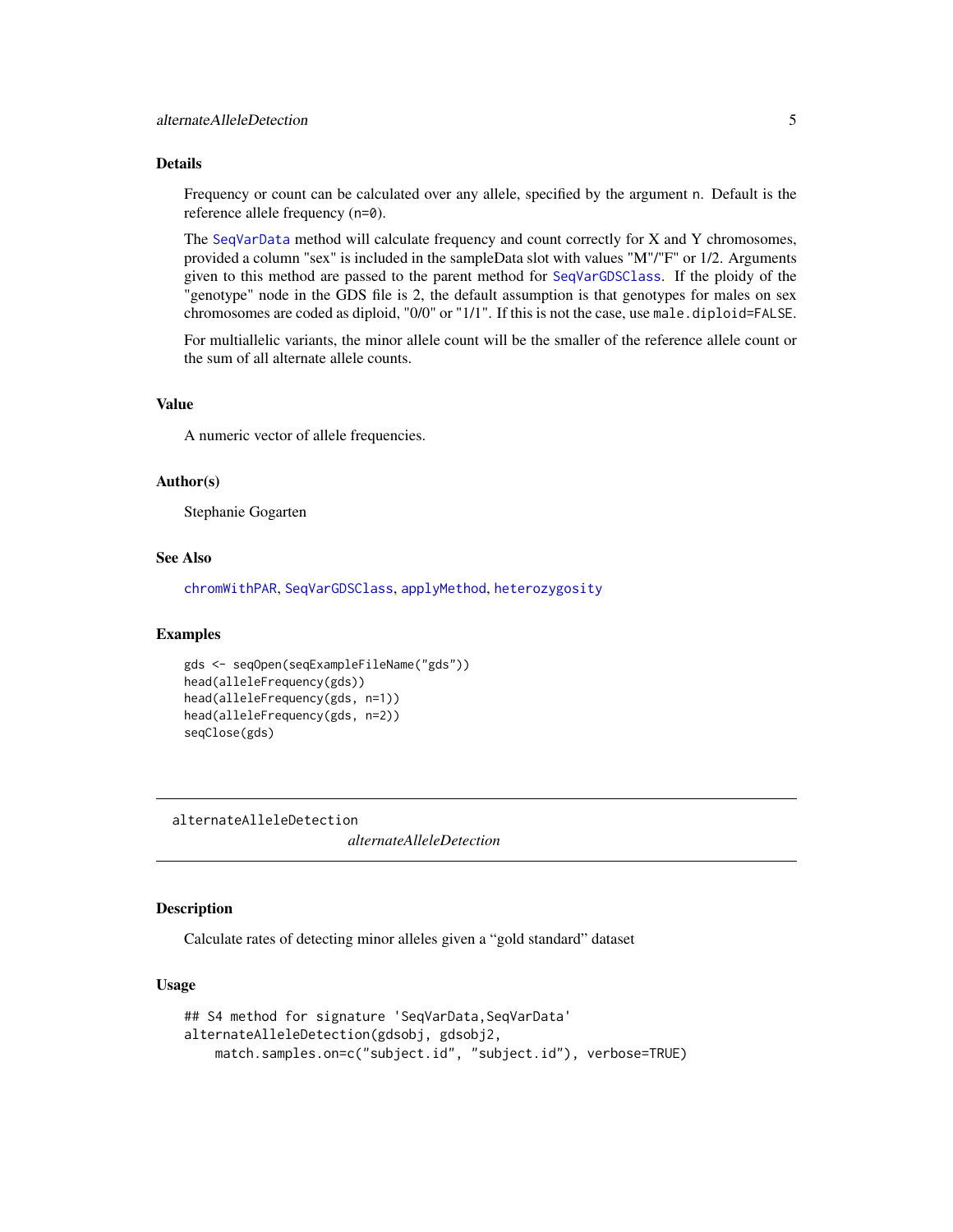### <span id="page-4-0"></span>Details

Frequency or count can be calculated over any allele, specified by the argument n. Default is the reference allele frequency (n=0).

The [SeqVarData](#page-32-1) method will calculate frequency and count correctly for X and Y chromosomes, provided a column "sex" is included in the sampleData slot with values "M"/"F" or 1/2. Arguments given to this method are passed to the parent method for [SeqVarGDSClass](#page-0-0). If the ploidy of the "genotype" node in the GDS file is 2, the default assumption is that genotypes for males on sex chromosomes are coded as diploid, "0/0" or "1/1". If this is not the case, use male.diploid=FALSE.

For multiallelic variants, the minor allele count will be the smaller of the reference allele count or the sum of all alternate allele counts.

### Value

A numeric vector of allele frequencies.

### Author(s)

Stephanie Gogarten

#### See Also

[chromWithPAR](#page-7-1), [SeqVarGDSClass](#page-0-0), [applyMethod](#page-6-1), [heterozygosity](#page-15-1)

### Examples

```
gds <- seqOpen(seqExampleFileName("gds"))
head(alleleFrequency(gds))
head(alleleFrequency(gds, n=1))
head(alleleFrequency(gds, n=2))
seqClose(gds)
```
alternateAlleleDetection

*alternateAlleleDetection*

### **Description**

Calculate rates of detecting minor alleles given a "gold standard" dataset

#### Usage

```
## S4 method for signature 'SeqVarData, SeqVarData'
alternateAlleleDetection(gdsobj, gdsobj2,
   match.samples.on=c("subject.id", "subject.id"), verbose=TRUE)
```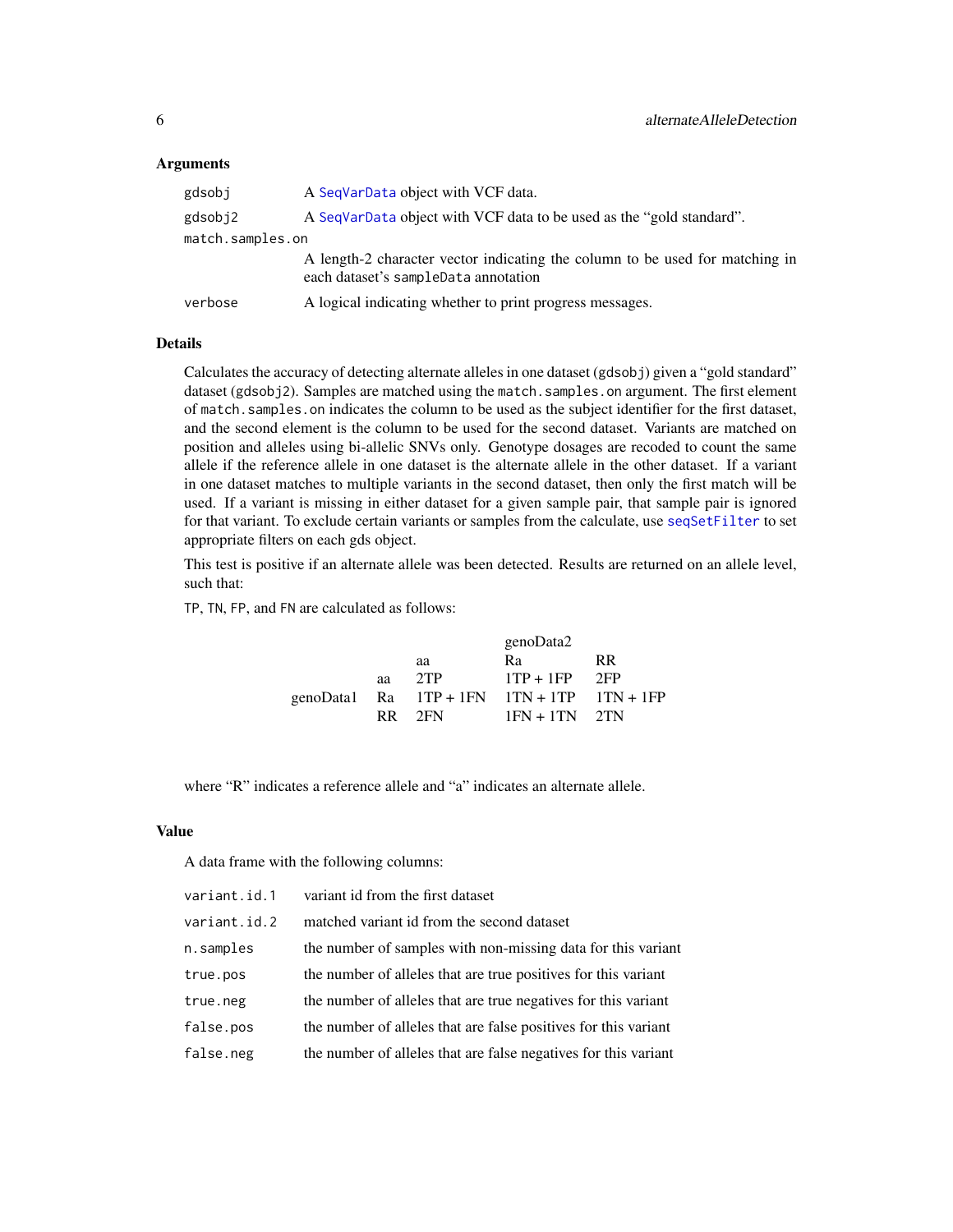#### <span id="page-5-0"></span>**Arguments**

| gdsobj           | A SeqVarData object with VCF data.                                                                                   |
|------------------|----------------------------------------------------------------------------------------------------------------------|
| gdsobj2          | A SeqVarData object with VCF data to be used as the "gold standard".                                                 |
| match.samples.on |                                                                                                                      |
|                  | A length-2 character vector indicating the column to be used for matching in<br>each dataset's sampleData annotation |
| verbose          | A logical indicating whether to print progress messages.                                                             |

### Details

Calculates the accuracy of detecting alternate alleles in one dataset (gdsobj) given a "gold standard" dataset (gdsobj2). Samples are matched using the match. samples. on argument. The first element of match.samples.on indicates the column to be used as the subject identifier for the first dataset, and the second element is the column to be used for the second dataset. Variants are matched on position and alleles using bi-allelic SNVs only. Genotype dosages are recoded to count the same allele if the reference allele in one dataset is the alternate allele in the other dataset. If a variant in one dataset matches to multiple variants in the second dataset, then only the first match will be used. If a variant is missing in either dataset for a given sample pair, that sample pair is ignored for that variant. To exclude certain variants or samples from the calculate, use [seqSetFilter](#page-0-0) to set appropriate filters on each gds object.

This test is positive if an alternate allele was been detected. Results are returned on an allele level, such that:

TP, TN, FP, and FN are calculated as follows:

|    |        | genoData2                                        |     |
|----|--------|--------------------------------------------------|-----|
|    | aa     | Ra                                               | RR. |
| aa | 2TP    | $1TP + 1FP$ 2FP                                  |     |
|    |        | genoData1 Ra $1TP + 1FN$ $1TN + 1TP$ $1TN + 1FP$ |     |
|    | RR 2FN | $1FN + 1TN$ 2TN                                  |     |

where "R" indicates a reference allele and "a" indicates an alternate allele.

### Value

A data frame with the following columns:

| variant.id.1 | variant id from the first dataset                               |
|--------------|-----------------------------------------------------------------|
| variant.id.2 | matched variant id from the second dataset                      |
| n.samples    | the number of samples with non-missing data for this variant    |
| true.pos     | the number of alleles that are true positives for this variant  |
| true.neg     | the number of alleles that are true negatives for this variant  |
| false.pos    | the number of alleles that are false positives for this variant |
| false.neg    | the number of alleles that are false negatives for this variant |
|              |                                                                 |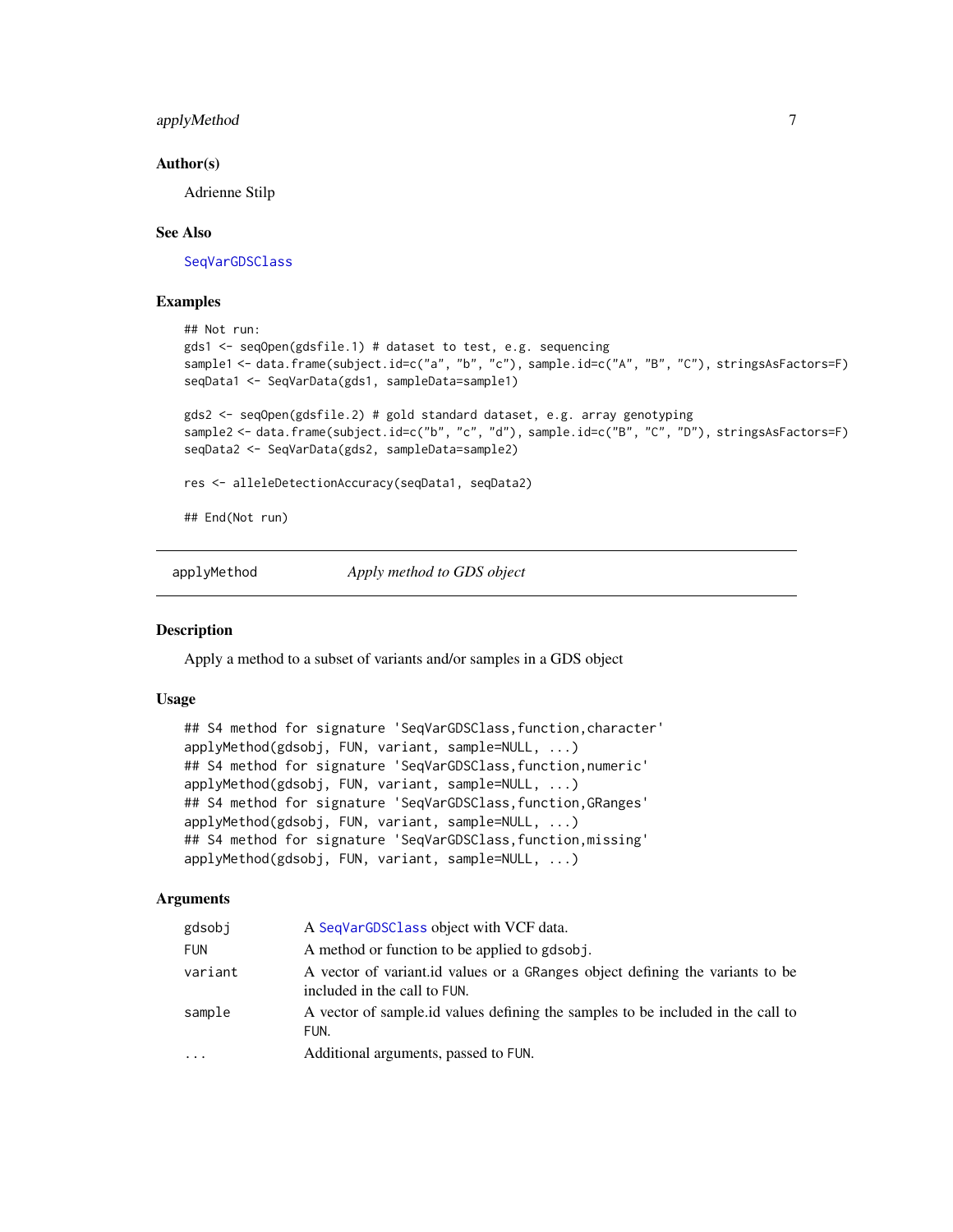### <span id="page-6-0"></span>applyMethod 7

#### Author(s)

Adrienne Stilp

### See Also

[SeqVarGDSClass](#page-0-0)

### Examples

```
## Not run:
gds1 <- seqOpen(gdsfile.1) # dataset to test, e.g. sequencing
sample1 <- data.frame(subject.id=c("a", "b", "c"), sample.id=c("A", "B", "C"), stringsAsFactors=F)
seqData1 <- SeqVarData(gds1, sampleData=sample1)
gds2 <- seqOpen(gdsfile.2) # gold standard dataset, e.g. array genotyping
sample2 <- data.frame(subject.id=c("b", "c", "d"), sample.id=c("B", "C", "D"), stringsAsFactors=F)
seqData2 <- SeqVarData(gds2, sampleData=sample2)
res <- alleleDetectionAccuracy(seqData1, seqData2)
## End(Not run)
```
<span id="page-6-1"></span>applyMethod *Apply method to GDS object*

#### Description

Apply a method to a subset of variants and/or samples in a GDS object

### Usage

```
## S4 method for signature 'SeqVarGDSClass, function, character'
applyMethod(gdsobj, FUN, variant, sample=NULL, ...)
## S4 method for signature 'SeqVarGDSClass, function, numeric'
applyMethod(gdsobj, FUN, variant, sample=NULL, ...)
## S4 method for signature 'SeqVarGDSClass, function, GRanges'
applyMethod(gdsobj, FUN, variant, sample=NULL, ...)
## S4 method for signature 'SeqVarGDSClass, function, missing'
applyMethod(gdsobj, FUN, variant, sample=NULL, ...)
```
### Arguments

| gdsobi     | A SeqVarGDSC1ass object with VCF data.                                                                        |
|------------|---------------------------------------------------------------------------------------------------------------|
| <b>FUN</b> | A method or function to be applied to gdsob i.                                                                |
| variant    | A vector of variant id values or a GRanges object defining the variants to be<br>included in the call to FUN. |
| sample     | A vector of sample id values defining the samples to be included in the call to<br>FUN.                       |
| $\cdots$   | Additional arguments, passed to FUN.                                                                          |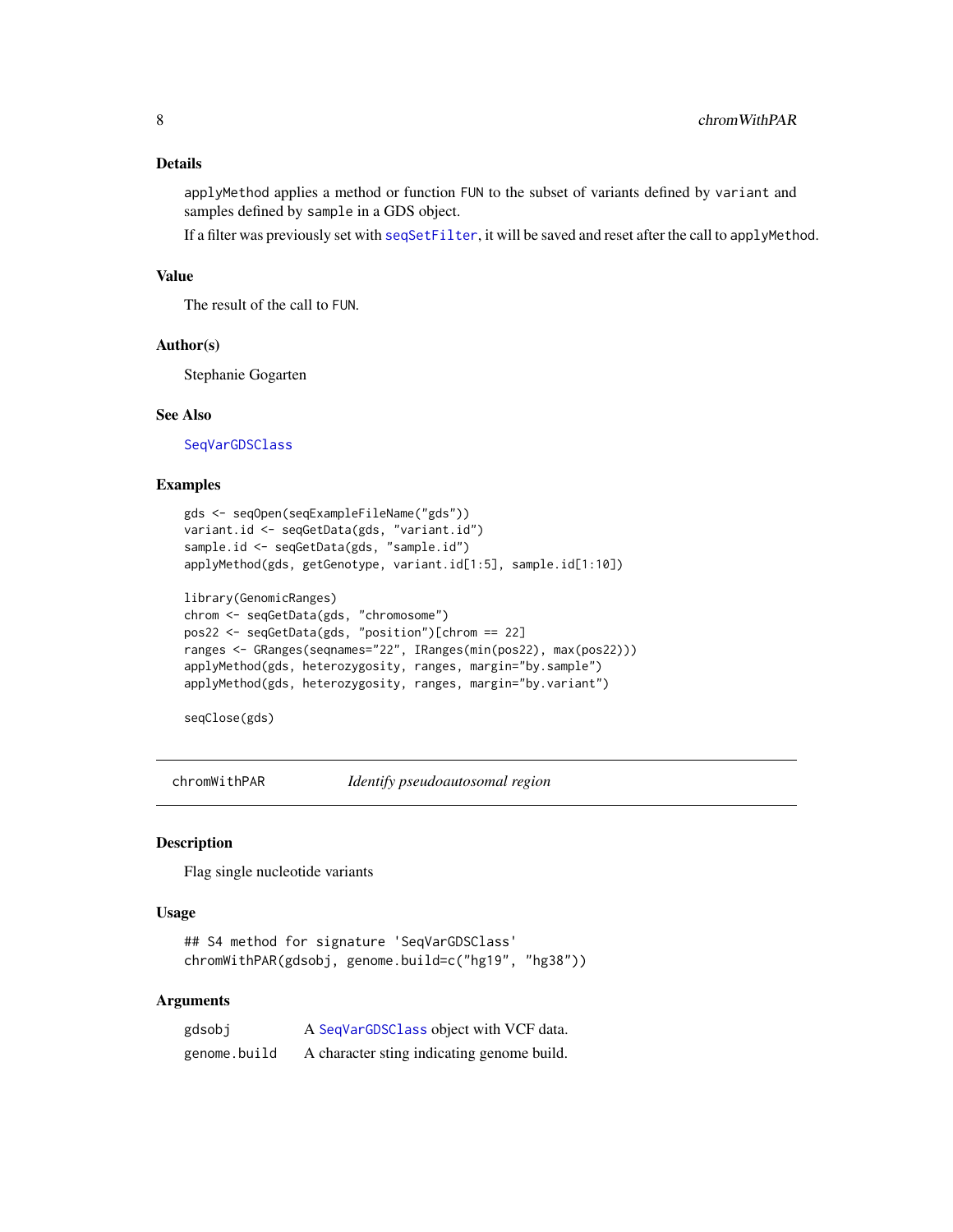### <span id="page-7-0"></span>Details

applyMethod applies a method or function FUN to the subset of variants defined by variant and samples defined by sample in a GDS object.

If a filter was previously set with [seqSetFilter](#page-0-0), it will be saved and reset after the call to applyMethod.

### Value

The result of the call to FUN.

### Author(s)

Stephanie Gogarten

#### See Also

[SeqVarGDSClass](#page-0-0)

### Examples

```
gds <- seqOpen(seqExampleFileName("gds"))
variant.id <- seqGetData(gds, "variant.id")
sample.id <- seqGetData(gds, "sample.id")
applyMethod(gds, getGenotype, variant.id[1:5], sample.id[1:10])
library(GenomicRanges)
chrom <- seqGetData(gds, "chromosome")
pos22 <- seqGetData(gds, "position")[chrom == 22]
ranges <- GRanges(seqnames="22", IRanges(min(pos22), max(pos22)))
applyMethod(gds, heterozygosity, ranges, margin="by.sample")
```

```
applyMethod(gds, heterozygosity, ranges, margin="by.variant")
```

```
seqClose(gds)
```
<span id="page-7-1"></span>chromWithPAR *Identify pseudoautosomal region*

#### Description

Flag single nucleotide variants

#### Usage

```
## S4 method for signature 'SeqVarGDSClass'
chromWithPAR(gdsobj, genome.build=c("hg19", "hg38"))
```
### Arguments

| gdsobj       | A SeqVarGDSClass object with VCF data.     |
|--------------|--------------------------------------------|
| genome.build | A character sting indicating genome build. |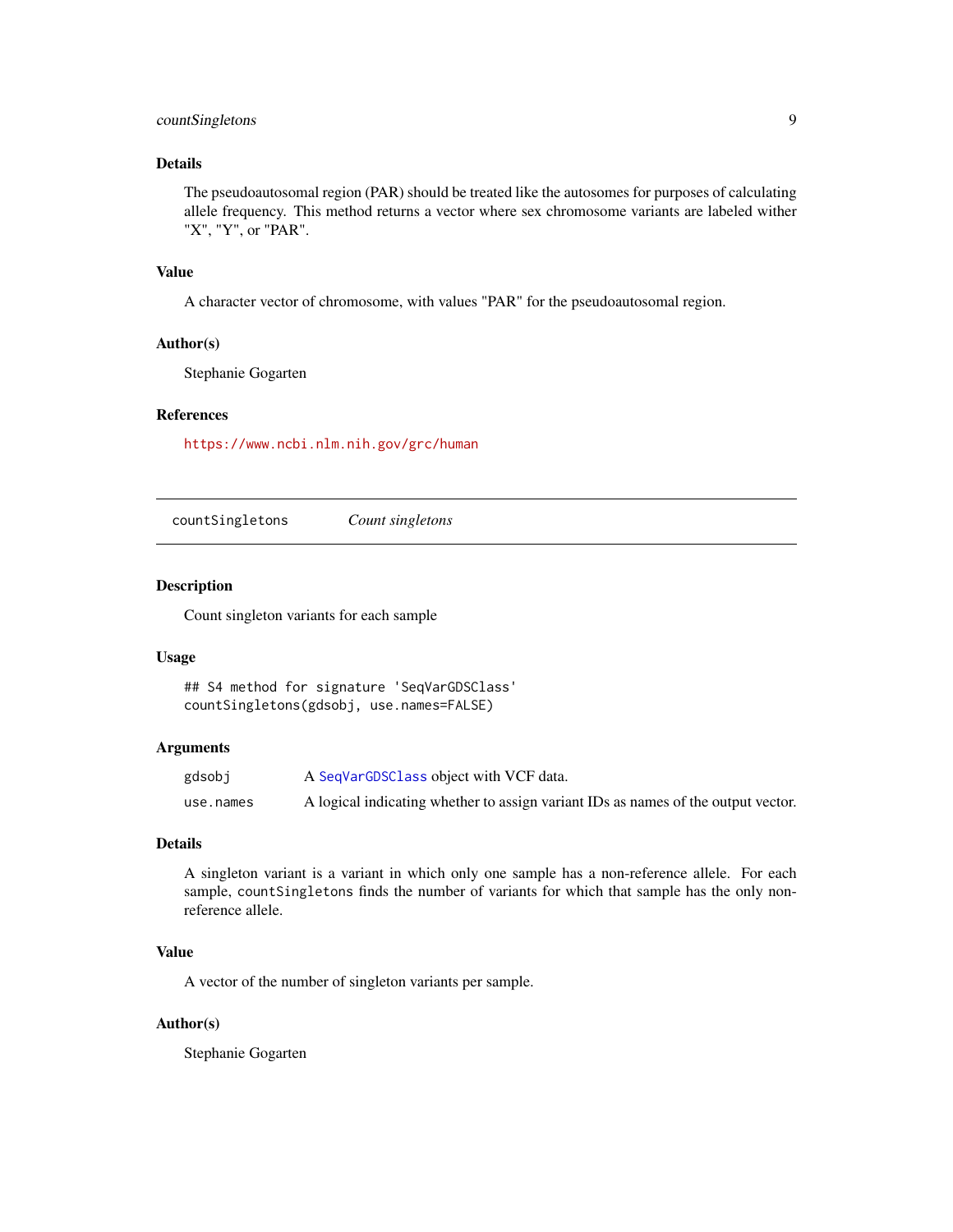### <span id="page-8-0"></span>countSingletons 9

### Details

The pseudoautosomal region (PAR) should be treated like the autosomes for purposes of calculating allele frequency. This method returns a vector where sex chromosome variants are labeled wither "X", "Y", or "PAR".

### Value

A character vector of chromosome, with values "PAR" for the pseudoautosomal region.

#### Author(s)

Stephanie Gogarten

#### References

<https://www.ncbi.nlm.nih.gov/grc/human>

countSingletons *Count singletons*

#### Description

Count singleton variants for each sample

### Usage

```
## S4 method for signature 'SeqVarGDSClass'
countSingletons(gdsobj, use.names=FALSE)
```
#### Arguments

| gdsobj    | A SeqVarGDSClass object with VCF data.                                            |
|-----------|-----------------------------------------------------------------------------------|
| use.names | A logical indicating whether to assign variant IDs as names of the output vector. |

#### Details

A singleton variant is a variant in which only one sample has a non-reference allele. For each sample, countSingletons finds the number of variants for which that sample has the only nonreference allele.

### Value

A vector of the number of singleton variants per sample.

#### Author(s)

Stephanie Gogarten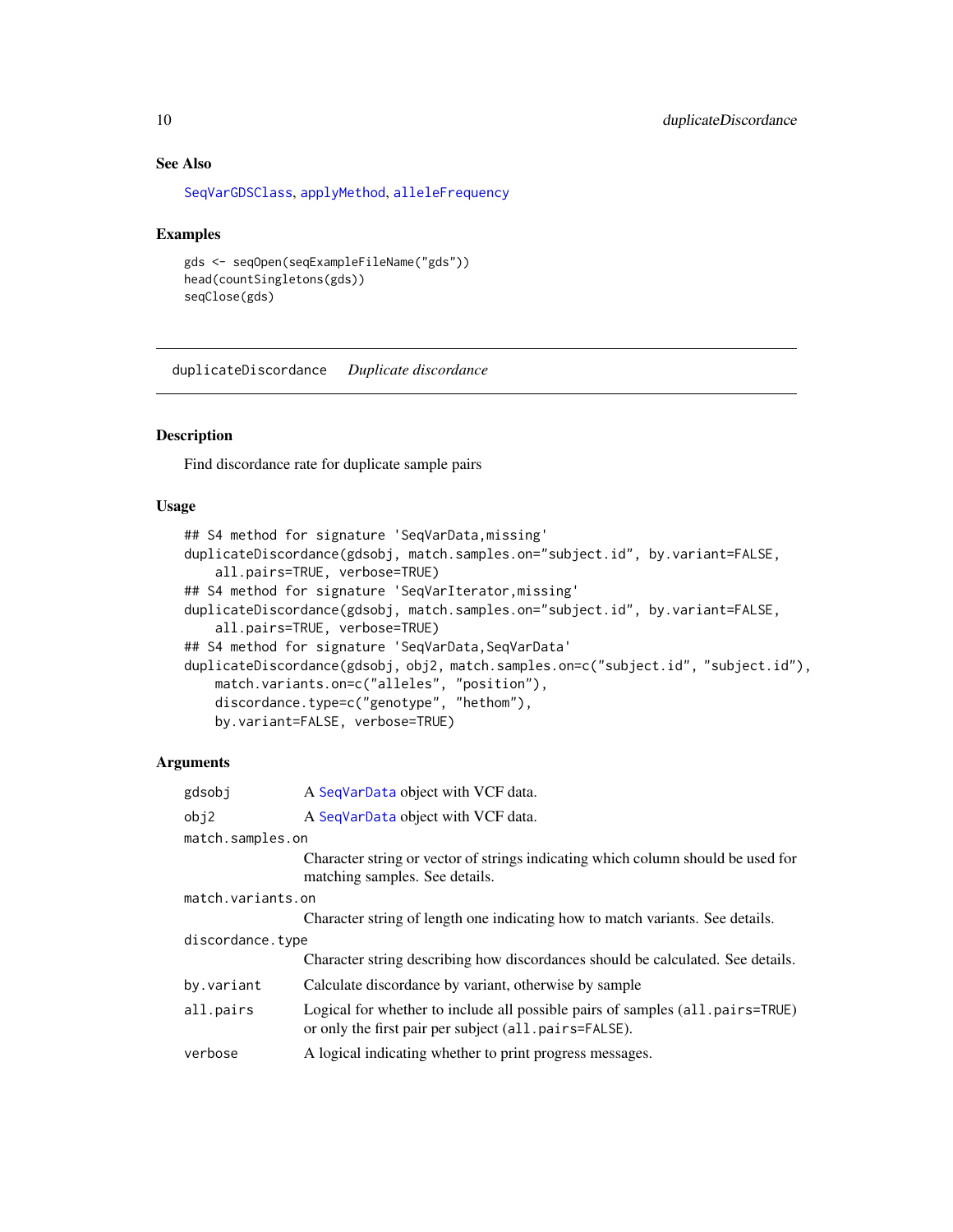### See Also

[SeqVarGDSClass](#page-0-0), [applyMethod](#page-6-1), [alleleFrequency](#page-3-1)

#### Examples

```
gds <- seqOpen(seqExampleFileName("gds"))
head(countSingletons(gds))
seqClose(gds)
```
duplicateDiscordance *Duplicate discordance*

### **Description**

Find discordance rate for duplicate sample pairs

### Usage

```
## S4 method for signature 'SeqVarData,missing'
duplicateDiscordance(gdsobj, match.samples.on="subject.id", by.variant=FALSE,
    all.pairs=TRUE, verbose=TRUE)
## S4 method for signature 'SeqVarIterator,missing'
duplicateDiscordance(gdsobj, match.samples.on="subject.id", by.variant=FALSE,
    all.pairs=TRUE, verbose=TRUE)
## S4 method for signature 'SeqVarData, SeqVarData'
duplicateDiscordance(gdsobj, obj2, match.samples.on=c("subject.id", "subject.id"),
    match.variants.on=c("alleles", "position"),
    discordance.type=c("genotype", "hethom"),
   by.variant=FALSE, verbose=TRUE)
```
#### Arguments

| gdsobj            | A SeqVarData object with VCF data.                                                                                                     |
|-------------------|----------------------------------------------------------------------------------------------------------------------------------------|
| obj2              | A SeqVarData object with VCF data.                                                                                                     |
| match.samples.on  |                                                                                                                                        |
|                   | Character string or vector of strings indicating which column should be used for<br>matching samples. See details.                     |
| match.variants.on |                                                                                                                                        |
|                   | Character string of length one indicating how to match variants. See details.                                                          |
| discordance.type  |                                                                                                                                        |
|                   | Character string describing how discordances should be calculated. See details.                                                        |
| by.variant        | Calculate discordance by variant, otherwise by sample                                                                                  |
| all.pairs         | Logical for whether to include all possible pairs of samples (all pairs=TRUE)<br>or only the first pair per subject (all.pairs=FALSE). |
| verbose           | A logical indicating whether to print progress messages.                                                                               |

<span id="page-9-0"></span>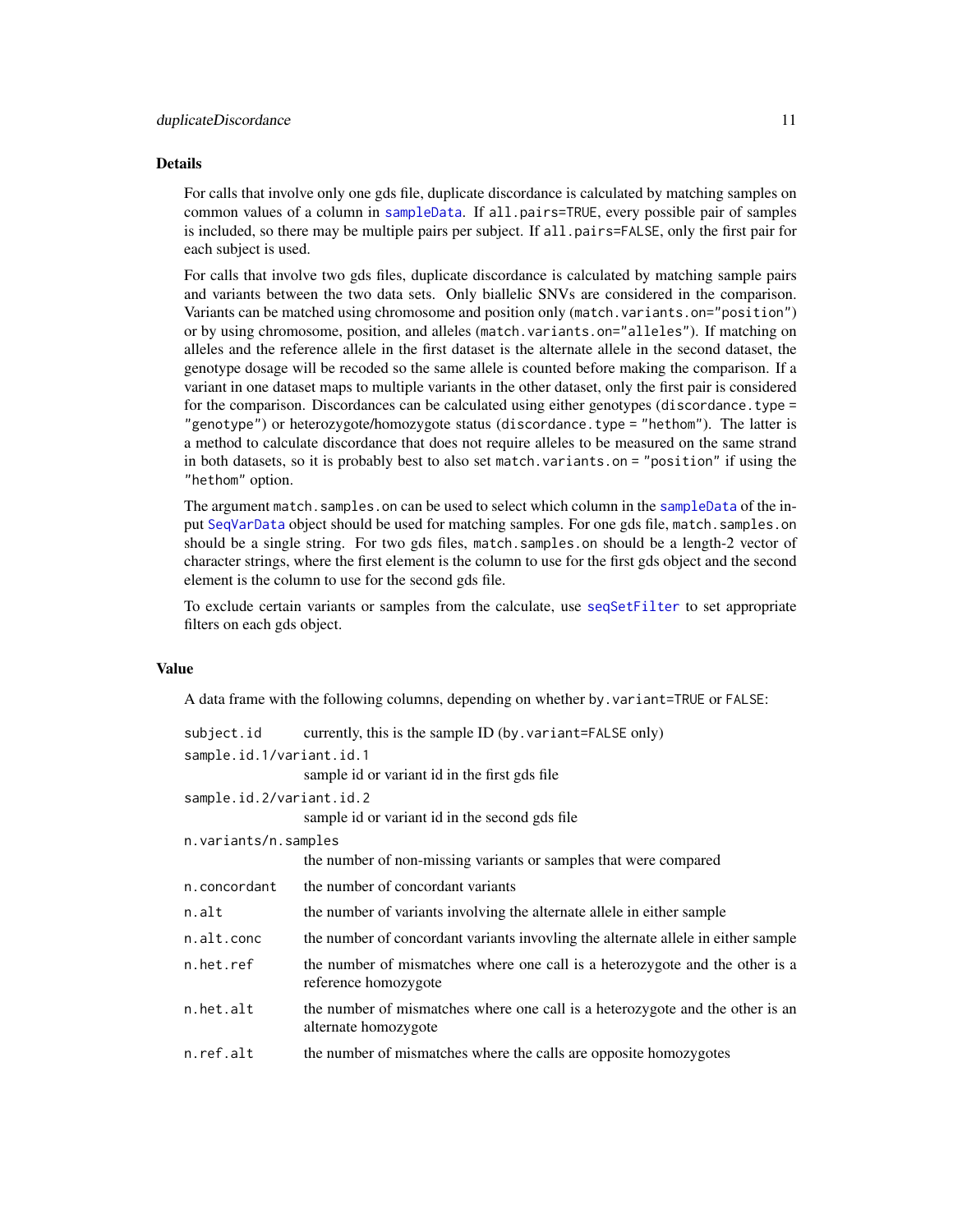### <span id="page-10-0"></span>Details

For calls that involve only one gds file, duplicate discordance is calculated by matching samples on common values of a column in [sampleData](#page-32-2). If all.pairs=TRUE, every possible pair of samples is included, so there may be multiple pairs per subject. If all.pairs=FALSE, only the first pair for each subject is used.

For calls that involve two gds files, duplicate discordance is calculated by matching sample pairs and variants between the two data sets. Only biallelic SNVs are considered in the comparison. Variants can be matched using chromosome and position only (match.variants.on="position") or by using chromosome, position, and alleles (match.variants.on="alleles"). If matching on alleles and the reference allele in the first dataset is the alternate allele in the second dataset, the genotype dosage will be recoded so the same allele is counted before making the comparison. If a variant in one dataset maps to multiple variants in the other dataset, only the first pair is considered for the comparison. Discordances can be calculated using either genotypes (discordance.type = "genotype") or heterozygote/homozygote status (discordance.type = "hethom"). The latter is a method to calculate discordance that does not require alleles to be measured on the same strand in both datasets, so it is probably best to also set match.variants.on = "position" if using the "hethom" option.

The argument match. samples. on can be used to select which column in the [sampleData](#page-32-2) of the input [SeqVarData](#page-32-1) object should be used for matching samples. For one gds file, match.samples.on should be a single string. For two gds files, match.samples.on should be a length-2 vector of character strings, where the first element is the column to use for the first gds object and the second element is the column to use for the second gds file.

To exclude certain variants or samples from the calculate, use [seqSetFilter](#page-0-0) to set appropriate filters on each gds object.

#### Value

A data frame with the following columns, depending on whether by.variant=TRUE or FALSE:

| subject.id               | currently, this is the sample ID (by . variant=FALSE only)                                            |
|--------------------------|-------------------------------------------------------------------------------------------------------|
| sample.id.1/variant.id.1 |                                                                                                       |
|                          | sample id or variant id in the first gds file                                                         |
| sample.id.2/variant.id.2 |                                                                                                       |
|                          | sample id or variant id in the second gds file                                                        |
| n.variants/n.samples     |                                                                                                       |
|                          | the number of non-missing variants or samples that were compared                                      |
| n.concordant             | the number of concordant variants                                                                     |
| n.alt                    | the number of variants involving the alternate allele in either sample                                |
| n.alt.conc               | the number of concordant variants invovling the alternate allele in either sample                     |
| n.het.ref                | the number of mismatches where one call is a heterozygote and the other is a<br>reference homozygote  |
| n.het.alt                | the number of mismatches where one call is a heterozygote and the other is an<br>alternate homozygote |
| n.ref.alt                | the number of mismatches where the calls are opposite homozygotes                                     |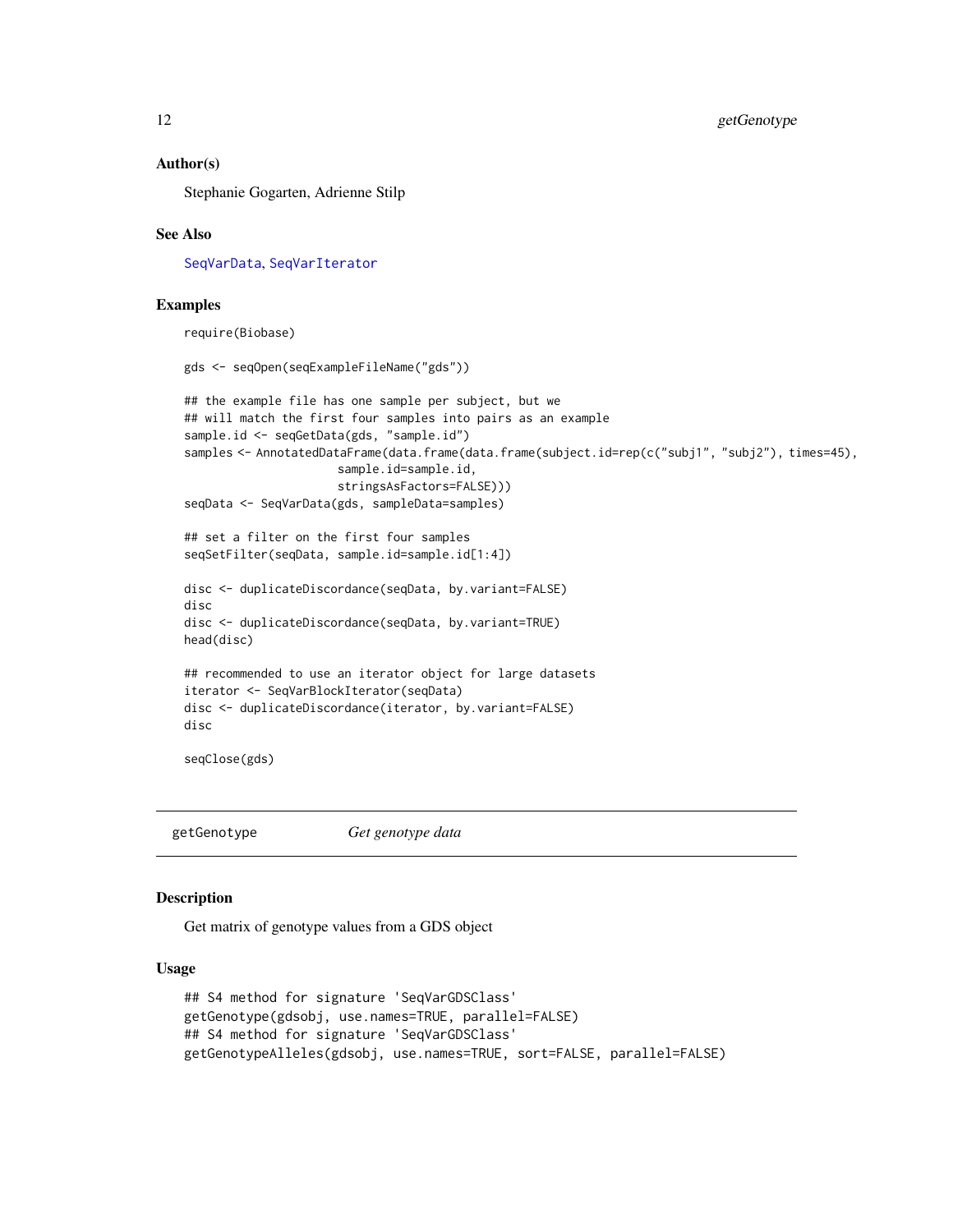#### <span id="page-11-0"></span>Author(s)

Stephanie Gogarten, Adrienne Stilp

#### See Also

[SeqVarData](#page-32-1), [SeqVarIterator](#page-22-1)

### Examples

require(Biobase)

```
gds <- seqOpen(seqExampleFileName("gds"))
## the example file has one sample per subject, but we
## will match the first four samples into pairs as an example
sample.id <- seqGetData(gds, "sample.id")
samples <- AnnotatedDataFrame(data.frame(data.frame(subject.id=rep(c("subj1", "subj2"), times=45),
                      sample.id=sample.id,
                      stringsAsFactors=FALSE)))
seqData <- SeqVarData(gds, sampleData=samples)
## set a filter on the first four samples
seqSetFilter(seqData, sample.id=sample.id[1:4])
disc <- duplicateDiscordance(seqData, by.variant=FALSE)
disc
disc <- duplicateDiscordance(seqData, by.variant=TRUE)
head(disc)
## recommended to use an iterator object for large datasets
iterator <- SeqVarBlockIterator(seqData)
disc <- duplicateDiscordance(iterator, by.variant=FALSE)
disc
seqClose(gds)
```
<span id="page-11-2"></span>getGenotype *Get genotype data*

### <span id="page-11-1"></span>Description

Get matrix of genotype values from a GDS object

#### Usage

```
## S4 method for signature 'SeqVarGDSClass'
getGenotype(gdsobj, use.names=TRUE, parallel=FALSE)
## S4 method for signature 'SeqVarGDSClass'
getGenotypeAlleles(gdsobj, use.names=TRUE, sort=FALSE, parallel=FALSE)
```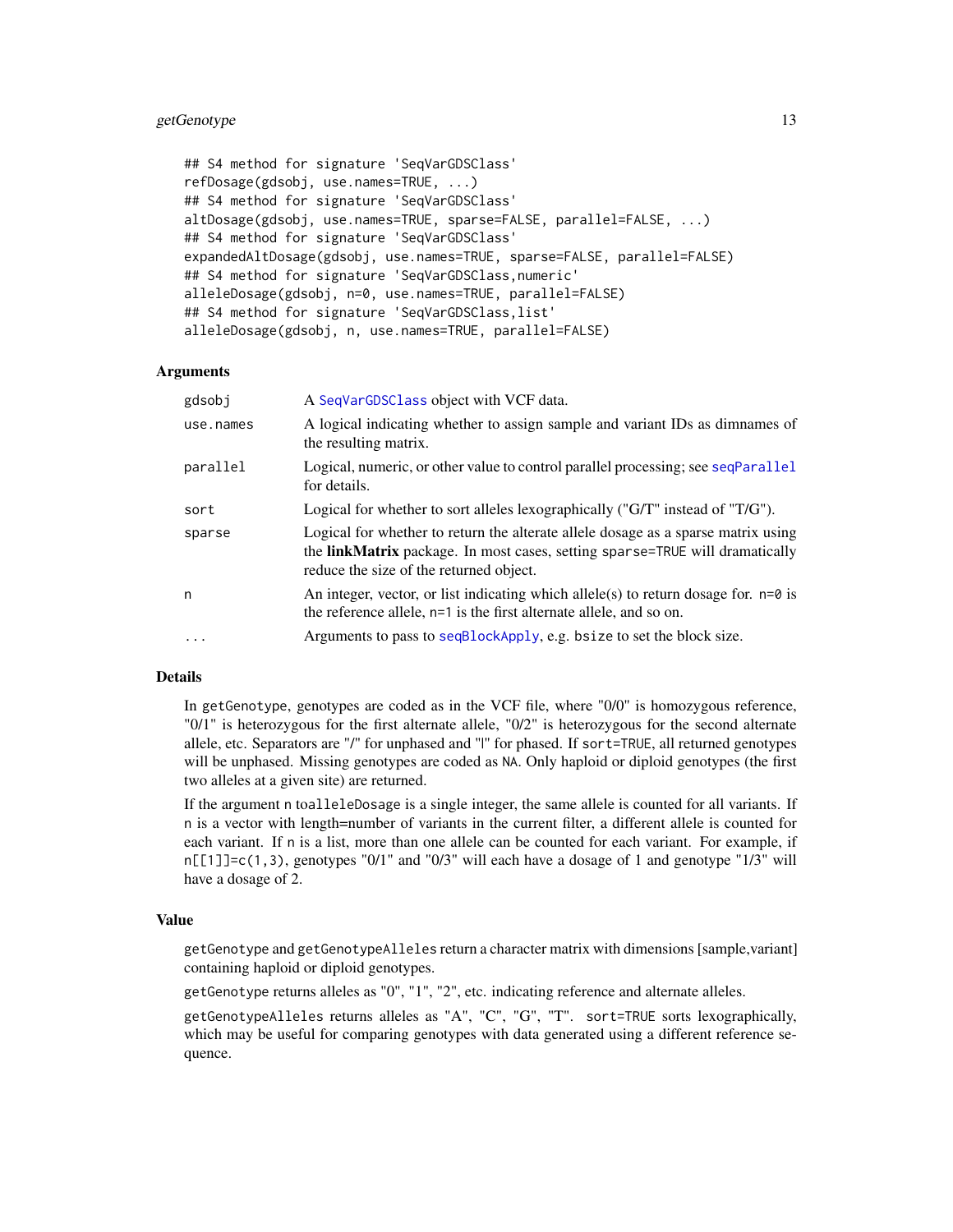### <span id="page-12-0"></span>getGenotype 13

```
## S4 method for signature 'SeqVarGDSClass'
refDosage(gdsobj, use.names=TRUE, ...)
## S4 method for signature 'SeqVarGDSClass'
altDosage(gdsobj, use.names=TRUE, sparse=FALSE, parallel=FALSE, ...)
## S4 method for signature 'SeqVarGDSClass'
expandedAltDosage(gdsobj, use.names=TRUE, sparse=FALSE, parallel=FALSE)
## S4 method for signature 'SeqVarGDSClass,numeric'
alleleDosage(gdsobj, n=0, use.names=TRUE, parallel=FALSE)
## S4 method for signature 'SeqVarGDSClass,list'
alleleDosage(gdsobj, n, use.names=TRUE, parallel=FALSE)
```
#### Arguments

| gdsobj    | A SeqVarGDSClass object with VCF data.                                                                                                                                                                              |
|-----------|---------------------------------------------------------------------------------------------------------------------------------------------------------------------------------------------------------------------|
| use.names | A logical indicating whether to assign sample and variant IDs as dimnames of<br>the resulting matrix.                                                                                                               |
| parallel  | Logical, numeric, or other value to control parallel processing; see seqParallel<br>for details.                                                                                                                    |
| sort      | Logical for whether to sort alleles lexographically (" $G/T$ " instead of " $T/G$ ").                                                                                                                               |
| sparse    | Logical for whether to return the alterate allele dosage as a sparse matrix using<br>the <b>linkMatrix</b> package. In most cases, setting sparse=TRUE will dramatically<br>reduce the size of the returned object. |
| n         | An integer, vector, or list indicating which allele(s) to return dosage for. $n=0$ is<br>the reference allele, n=1 is the first alternate allele, and so on.                                                        |
| $\ddotsc$ | Arguments to pass to seqBlockApply, e.g. bsize to set the block size.                                                                                                                                               |

#### Details

In getGenotype, genotypes are coded as in the VCF file, where "0/0" is homozygous reference, "0/1" is heterozygous for the first alternate allele, "0/2" is heterozygous for the second alternate allele, etc. Separators are "/" for unphased and "|" for phased. If sort=TRUE, all returned genotypes will be unphased. Missing genotypes are coded as NA. Only haploid or diploid genotypes (the first two alleles at a given site) are returned.

If the argument n toalleleDosage is a single integer, the same allele is counted for all variants. If n is a vector with length=number of variants in the current filter, a different allele is counted for each variant. If n is a list, more than one allele can be counted for each variant. For example, if  $n[\lceil 1]$ ]=c(1,3), genotypes "0/1" and "0/3" will each have a dosage of 1 and genotype "1/3" will have a dosage of 2.

#### Value

getGenotype and getGenotypeAlleles return a character matrix with dimensions [sample,variant] containing haploid or diploid genotypes.

getGenotype returns alleles as "0", "1", "2", etc. indicating reference and alternate alleles.

getGenotypeAlleles returns alleles as "A", "C", "G", "T". sort=TRUE sorts lexographically, which may be useful for comparing genotypes with data generated using a different reference sequence.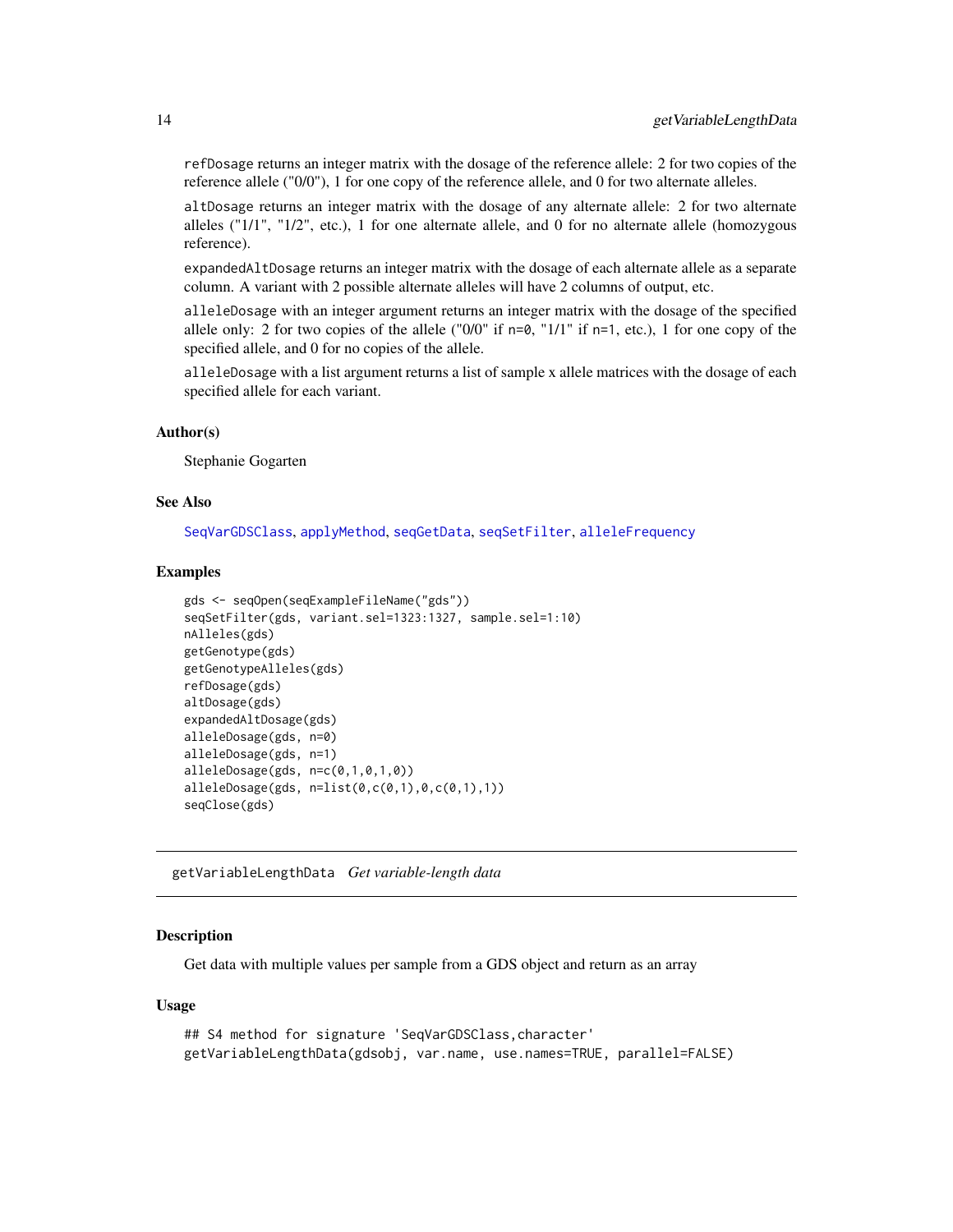<span id="page-13-0"></span>refDosage returns an integer matrix with the dosage of the reference allele: 2 for two copies of the reference allele ("0/0"), 1 for one copy of the reference allele, and 0 for two alternate alleles.

altDosage returns an integer matrix with the dosage of any alternate allele: 2 for two alternate alleles (" $1/1$ ", " $1/2$ ", etc.), 1 for one alternate allele, and 0 for no alternate allele (homozygous reference).

expandedAltDosage returns an integer matrix with the dosage of each alternate allele as a separate column. A variant with 2 possible alternate alleles will have 2 columns of output, etc.

alleleDosage with an integer argument returns an integer matrix with the dosage of the specified allele only: 2 for two copies of the allele ("0/0" if  $n=0$ , "1/1" if  $n=1$ , etc.), 1 for one copy of the specified allele, and 0 for no copies of the allele.

alleleDosage with a list argument returns a list of sample x allele matrices with the dosage of each specified allele for each variant.

### Author(s)

Stephanie Gogarten

### See Also

[SeqVarGDSClass](#page-0-0), [applyMethod](#page-6-1), [seqGetData](#page-0-0), [seqSetFilter](#page-0-0), [alleleFrequency](#page-3-1)

### Examples

```
gds <- seqOpen(seqExampleFileName("gds"))
seqSetFilter(gds, variant.sel=1323:1327, sample.sel=1:10)
nAlleles(gds)
getGenotype(gds)
getGenotypeAlleles(gds)
refDosage(gds)
altDosage(gds)
expandedAltDosage(gds)
alleleDosage(gds, n=0)
alleleDosage(gds, n=1)
alleleDosage(gds, n=c(0,1,0,1,0))
alleleDosage(gds, n=list(0,c(0,1),0,c(0,1),1))
seqClose(gds)
```
getVariableLengthData *Get variable-length data*

#### **Description**

Get data with multiple values per sample from a GDS object and return as an array

#### Usage

```
## S4 method for signature 'SeqVarGDSClass,character'
getVariableLengthData(gdsobj, var.name, use.names=TRUE, parallel=FALSE)
```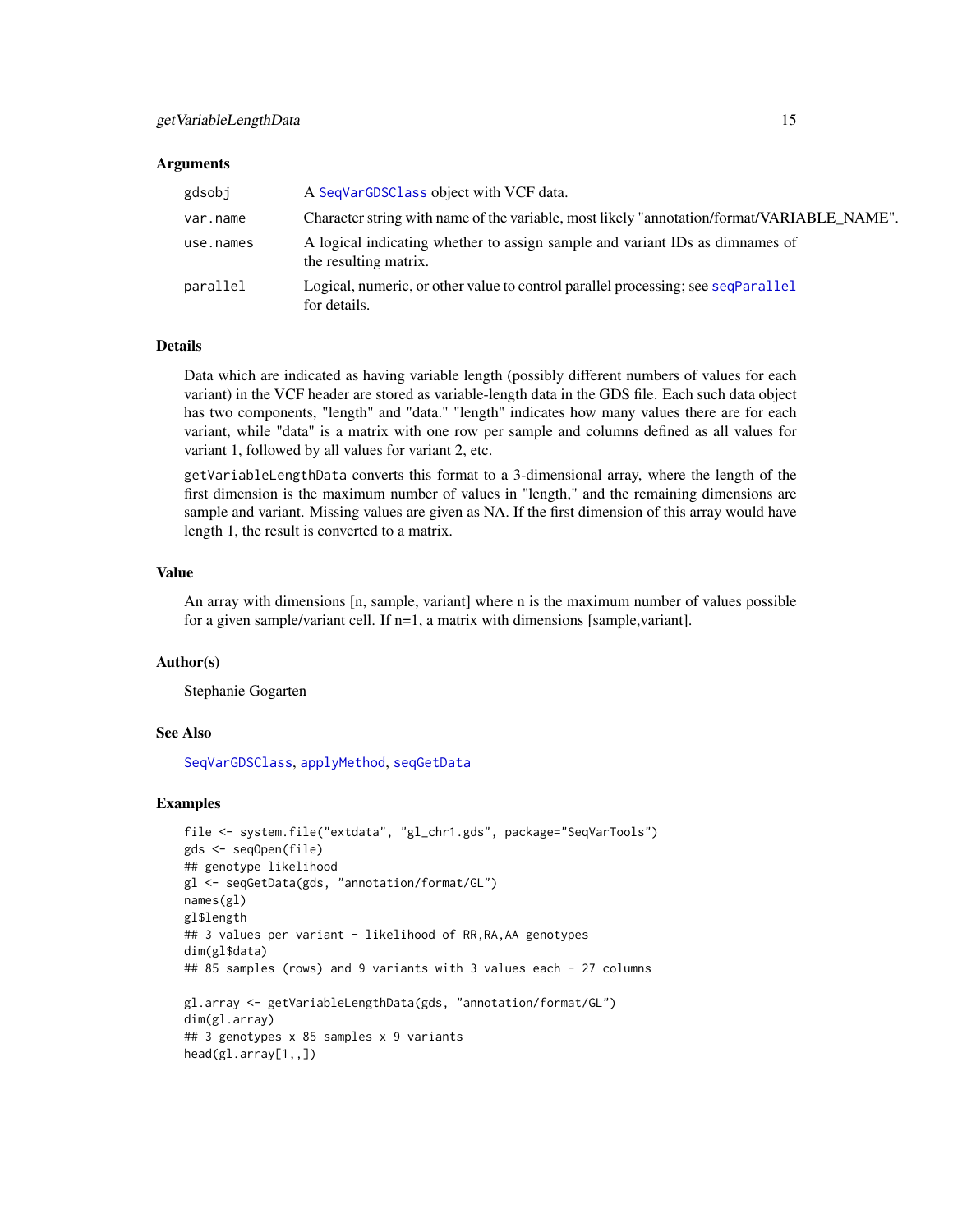#### <span id="page-14-0"></span>**Arguments**

| gdsobj    | A SeqVarGDSClass object with VCF data.                                                                |
|-----------|-------------------------------------------------------------------------------------------------------|
| var.name  | Character string with name of the variable, most likely "annotation/format/VARIABLE_NAME".            |
| use.names | A logical indicating whether to assign sample and variant IDs as dimnames of<br>the resulting matrix. |
| parallel  | Logical, numeric, or other value to control parallel processing; see seqParallel<br>for details.      |

### **Details**

Data which are indicated as having variable length (possibly different numbers of values for each variant) in the VCF header are stored as variable-length data in the GDS file. Each such data object has two components, "length" and "data." "length" indicates how many values there are for each variant, while "data" is a matrix with one row per sample and columns defined as all values for variant 1, followed by all values for variant 2, etc.

getVariableLengthData converts this format to a 3-dimensional array, where the length of the first dimension is the maximum number of values in "length," and the remaining dimensions are sample and variant. Missing values are given as NA. If the first dimension of this array would have length 1, the result is converted to a matrix.

### Value

An array with dimensions [n, sample, variant] where n is the maximum number of values possible for a given sample/variant cell. If  $n=1$ , a matrix with dimensions [sample,variant].

### Author(s)

Stephanie Gogarten

#### See Also

[SeqVarGDSClass](#page-0-0), [applyMethod](#page-6-1), [seqGetData](#page-0-0)

### Examples

```
file <- system.file("extdata", "gl_chr1.gds", package="SeqVarTools")
gds <- seqOpen(file)
## genotype likelihood
gl <- seqGetData(gds, "annotation/format/GL")
names(gl)
gl$length
## 3 values per variant - likelihood of RR, RA, AA genotypes
dim(gl$data)
## 85 samples (rows) and 9 variants with 3 values each - 27 columns
gl.array <- getVariableLengthData(gds, "annotation/format/GL")
dim(gl.array)
## 3 genotypes x 85 samples x 9 variants
head(gl.array[1,,])
```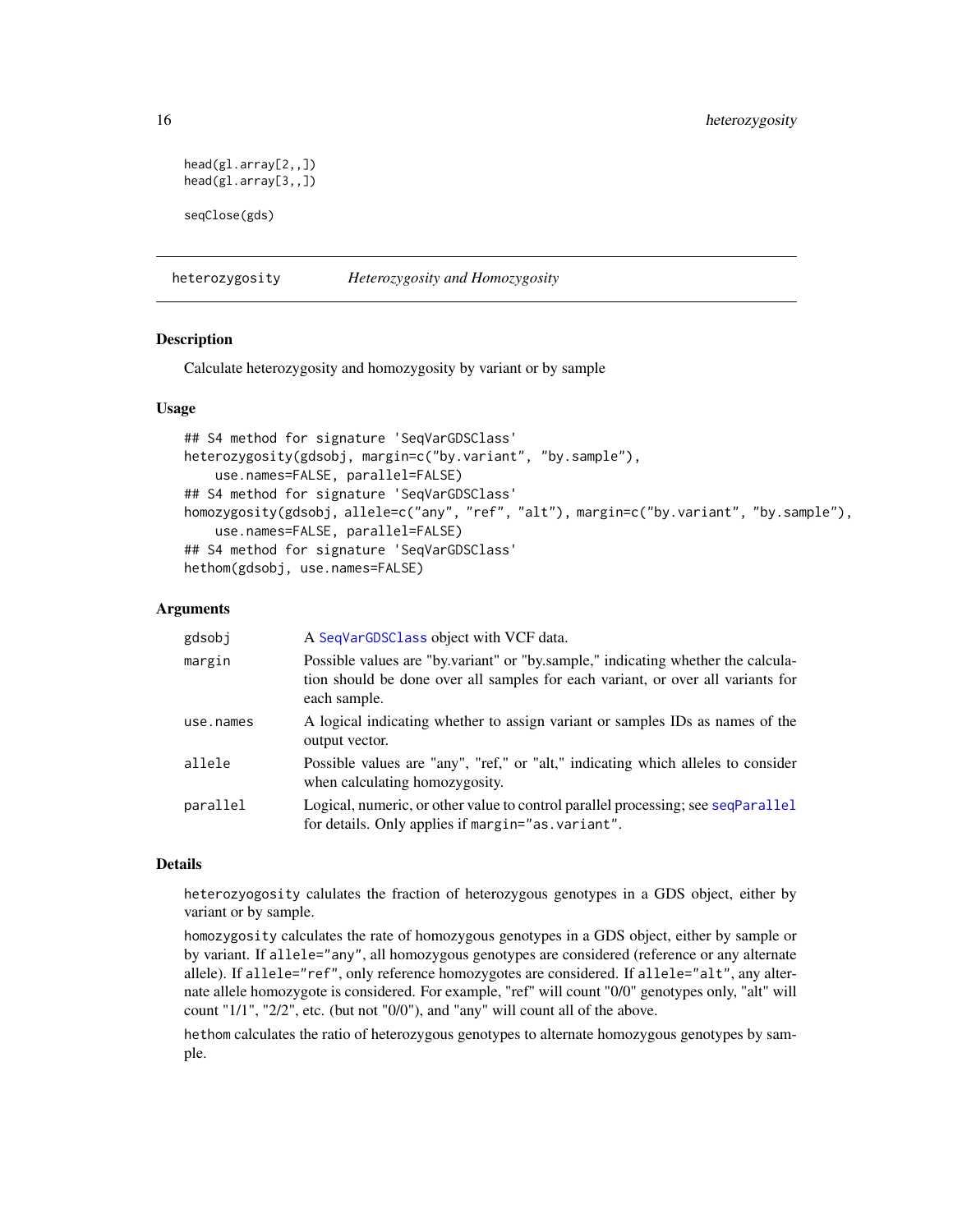```
head(gl.array[2,,])
head(gl.array[3,,])
seqClose(gds)
```
<span id="page-15-1"></span>heterozygosity *Heterozygosity and Homozygosity*

### Description

Calculate heterozygosity and homozygosity by variant or by sample

### Usage

```
## S4 method for signature 'SeqVarGDSClass'
heterozygosity(gdsobj, margin=c("by.variant", "by.sample"),
    use.names=FALSE, parallel=FALSE)
## S4 method for signature 'SeqVarGDSClass'
homozygosity(gdsobj, allele=c("any", "ref", "alt"), margin=c("by.variant", "by.sample"),
    use.names=FALSE, parallel=FALSE)
## S4 method for signature 'SeqVarGDSClass'
hethom(gdsobj, use.names=FALSE)
```
### Arguments

| gdsobj    | A SeqVarGDSClass object with VCF data.                                                                                                                                              |
|-----------|-------------------------------------------------------------------------------------------------------------------------------------------------------------------------------------|
| margin    | Possible values are "by variant" or "by sample," indicating whether the calcula-<br>tion should be done over all samples for each variant, or over all variants for<br>each sample. |
| use.names | A logical indicating whether to assign variant or samples IDs as names of the<br>output vector.                                                                                     |
| allele    | Possible values are "any", "ref," or "alt," indicating which alleles to consider<br>when calculating homozygosity.                                                                  |
| parallel  | Logical, numeric, or other value to control parallel processing; see seqParallel<br>for details. Only applies if margin="as variant".                                               |

### Details

heterozyogosity calulates the fraction of heterozygous genotypes in a GDS object, either by variant or by sample.

homozygosity calculates the rate of homozygous genotypes in a GDS object, either by sample or by variant. If allele="any", all homozygous genotypes are considered (reference or any alternate allele). If allele="ref", only reference homozygotes are considered. If allele="alt", any alternate allele homozygote is considered. For example, "ref" will count "0/0" genotypes only, "alt" will count "1/1", "2/2", etc. (but not "0/0"), and "any" will count all of the above.

hethom calculates the ratio of heterozygous genotypes to alternate homozygous genotypes by sample.

<span id="page-15-0"></span>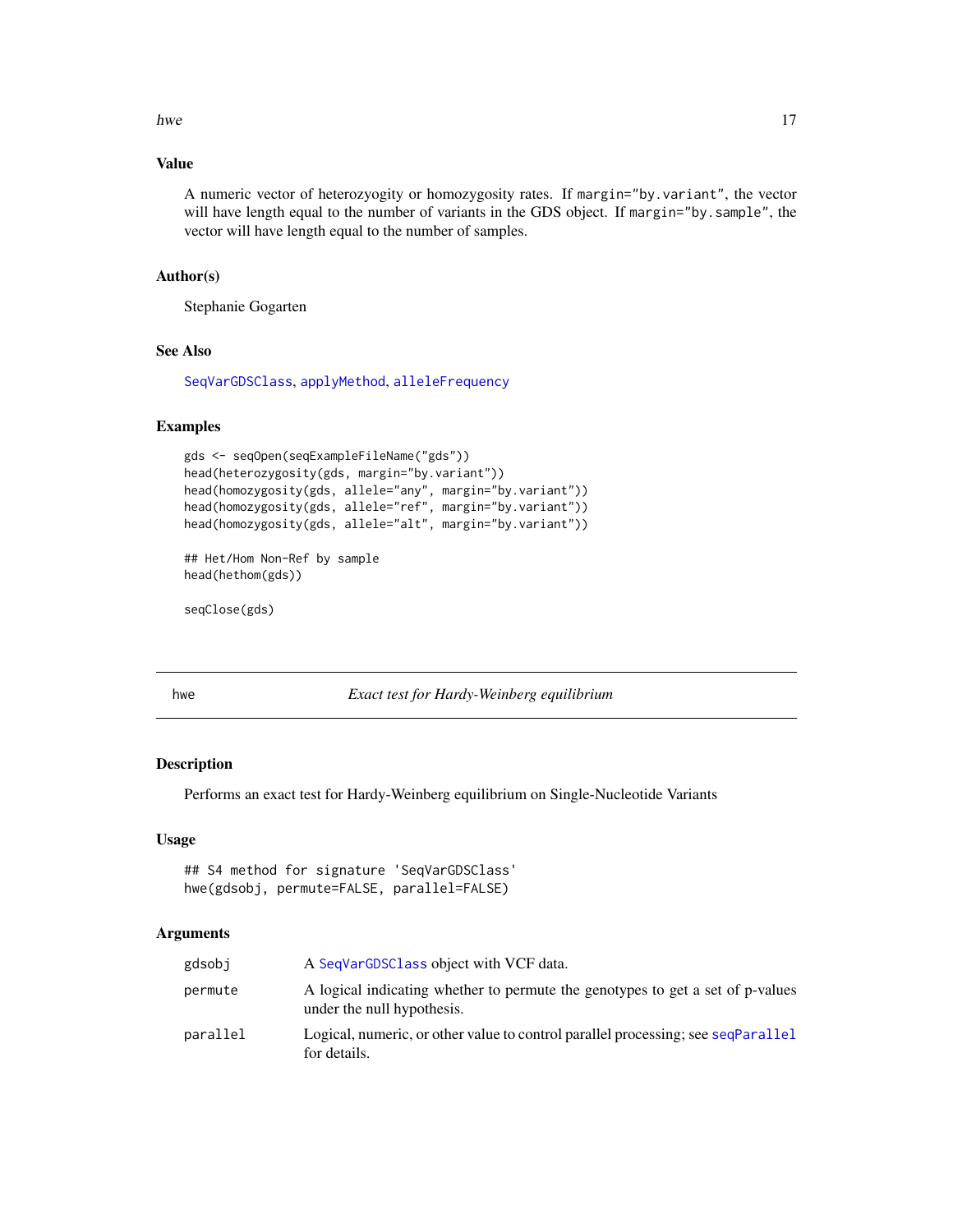#### <span id="page-16-0"></span>hwe the contract of the contract of the contract of the contract of the contract of the contract of the contract of the contract of the contract of the contract of the contract of the contract of the contract of the contra

### Value

A numeric vector of heterozyogity or homozygosity rates. If margin="by.variant", the vector will have length equal to the number of variants in the GDS object. If margin="by.sample", the vector will have length equal to the number of samples.

### Author(s)

Stephanie Gogarten

### See Also

[SeqVarGDSClass](#page-0-0), [applyMethod](#page-6-1), [alleleFrequency](#page-3-1)

#### Examples

```
gds <- seqOpen(seqExampleFileName("gds"))
head(heterozygosity(gds, margin="by.variant"))
head(homozygosity(gds, allele="any", margin="by.variant"))
head(homozygosity(gds, allele="ref", margin="by.variant"))
head(homozygosity(gds, allele="alt", margin="by.variant"))
```

```
## Het/Hom Non-Ref by sample
head(hethom(gds))
```
seqClose(gds)

hwe *Exact test for Hardy-Weinberg equilibrium*

#### Description

Performs an exact test for Hardy-Weinberg equilibrium on Single-Nucleotide Variants

### Usage

```
## S4 method for signature 'SeqVarGDSClass'
hwe(gdsobj, permute=FALSE, parallel=FALSE)
```
### Arguments

| gdsobi   | A SeqVarGDSClass object with VCF data.                                                                       |
|----------|--------------------------------------------------------------------------------------------------------------|
| permute  | A logical indicating whether to permute the genotypes to get a set of p-values<br>under the null hypothesis. |
| parallel | Logical, numeric, or other value to control parallel processing; see seqParallel<br>for details.             |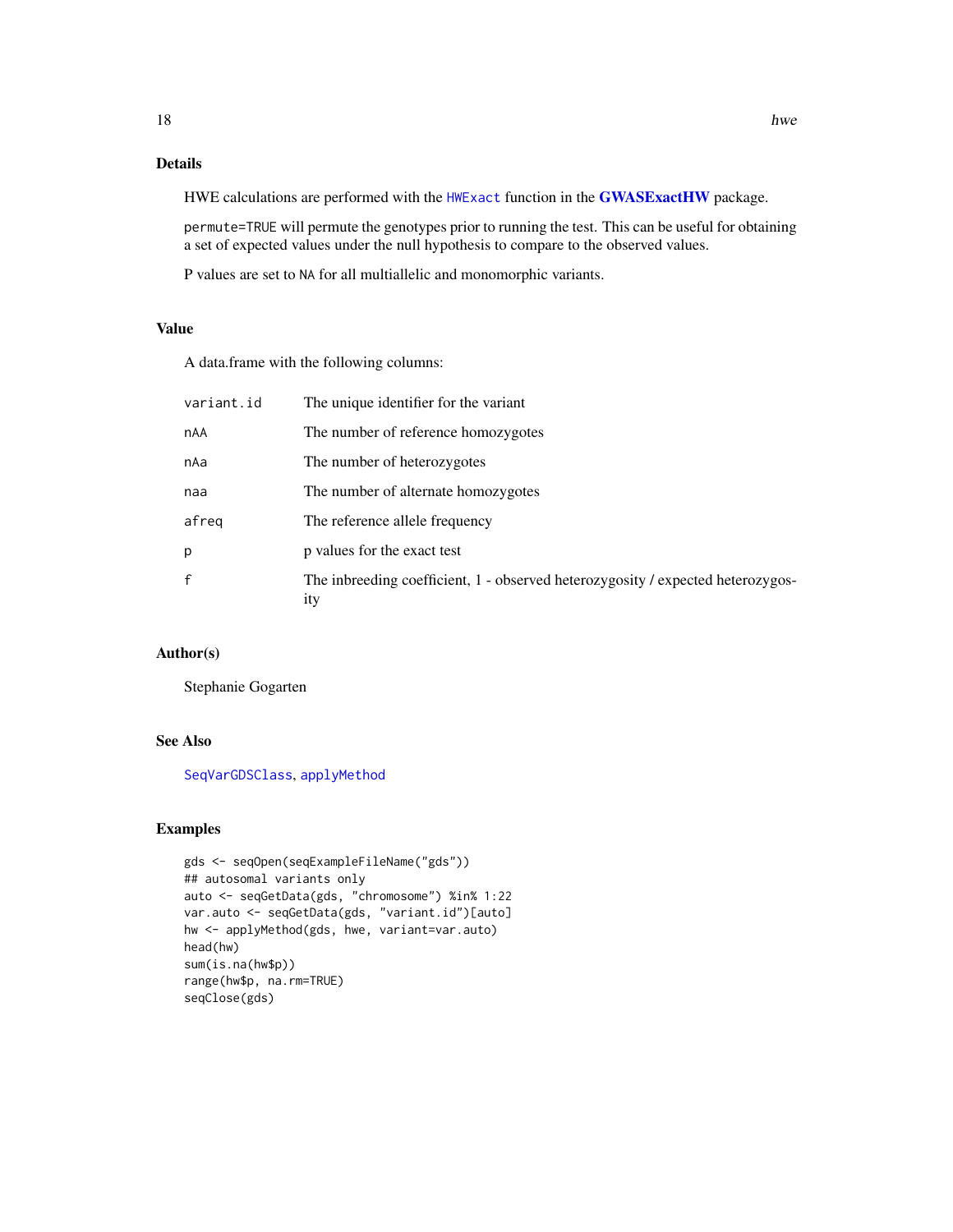### <span id="page-17-0"></span>Details

HWE calculations are performed with the [HWExact](#page-0-0) function in the [GWASExactHW](#page-0-0) package.

permute=TRUE will permute the genotypes prior to running the test. This can be useful for obtaining a set of expected values under the null hypothesis to compare to the observed values.

P values are set to NA for all multiallelic and monomorphic variants.

#### Value

A data.frame with the following columns:

| variant.id | The unique identifier for the variant                                                         |
|------------|-----------------------------------------------------------------------------------------------|
| nAA        | The number of reference homozygotes                                                           |
| nAa        | The number of heterozygotes                                                                   |
| naa        | The number of alternate homozygotes                                                           |
| afreq      | The reference allele frequency                                                                |
| p          | p values for the exact test                                                                   |
| f          | The inbreeding coefficient, 1 - observed heterozygosity / expected heterozygos-<br><i>ity</i> |

### Author(s)

Stephanie Gogarten

### See Also

[SeqVarGDSClass](#page-0-0), [applyMethod](#page-6-1)

### Examples

```
gds <- seqOpen(seqExampleFileName("gds"))
## autosomal variants only
auto <- seqGetData(gds, "chromosome") %in% 1:22
var.auto <- seqGetData(gds, "variant.id")[auto]
hw <- applyMethod(gds, hwe, variant=var.auto)
head(hw)
sum(is.na(hw$p))
range(hw$p, na.rm=TRUE)
seqClose(gds)
```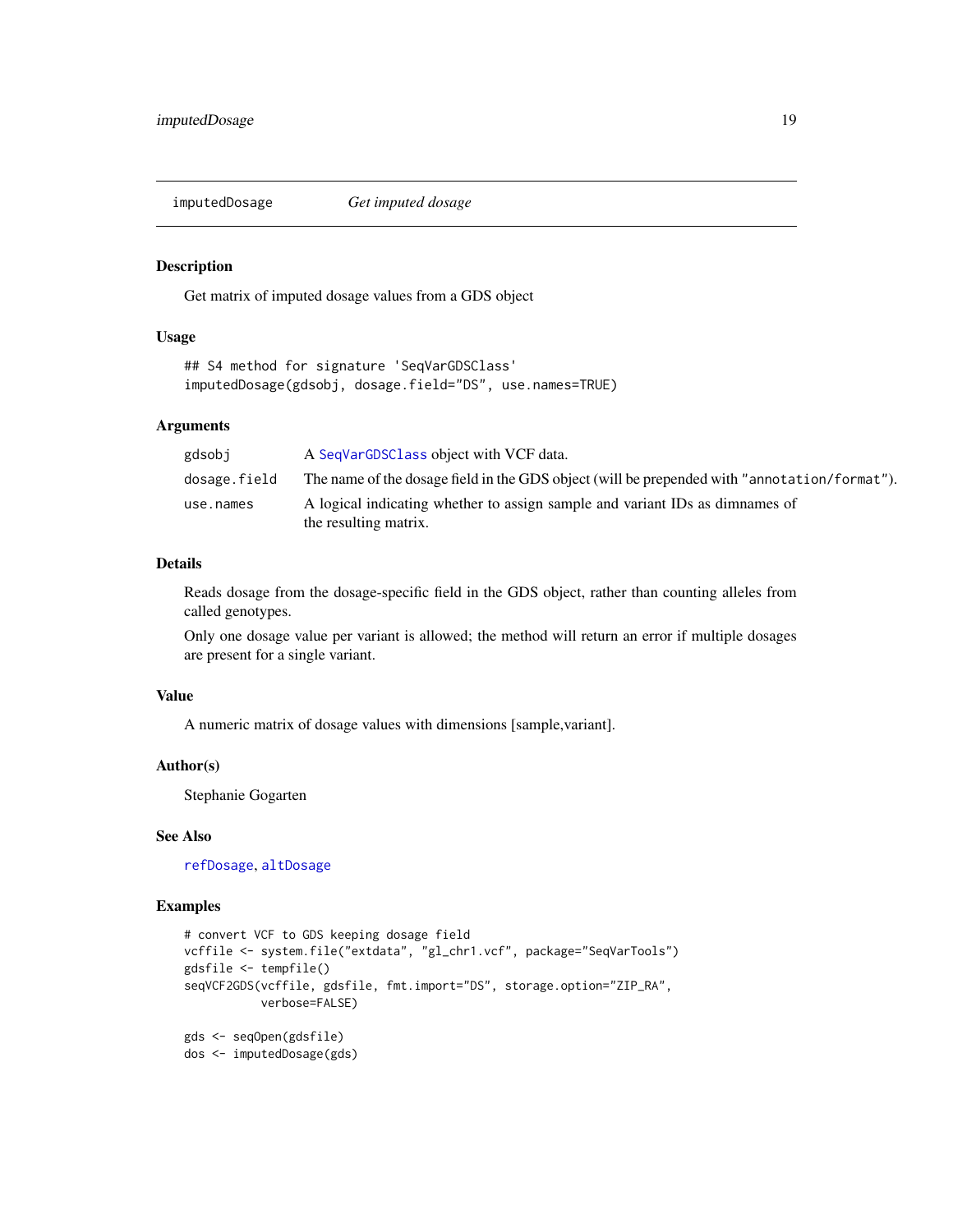<span id="page-18-0"></span>

#### Description

Get matrix of imputed dosage values from a GDS object

#### Usage

```
## S4 method for signature 'SeqVarGDSClass'
imputedDosage(gdsobj, dosage.field="DS", use.names=TRUE)
```
### Arguments

| gdsobj       | A SeqVarGDSClass object with VCF data.                                                                |
|--------------|-------------------------------------------------------------------------------------------------------|
| dosage.field | The name of the dosage field in the GDS object (will be prepended with "annotation/format").          |
| use.names    | A logical indicating whether to assign sample and variant IDs as dimnames of<br>the resulting matrix. |

### Details

Reads dosage from the dosage-specific field in the GDS object, rather than counting alleles from called genotypes.

Only one dosage value per variant is allowed; the method will return an error if multiple dosages are present for a single variant.

### Value

A numeric matrix of dosage values with dimensions [sample,variant].

#### Author(s)

Stephanie Gogarten

### See Also

[refDosage](#page-11-1), [altDosage](#page-11-1)

### Examples

```
# convert VCF to GDS keeping dosage field
vcffile <- system.file("extdata", "gl_chr1.vcf", package="SeqVarTools")
gdsfile <- tempfile()
seqVCF2GDS(vcffile, gdsfile, fmt.import="DS", storage.option="ZIP_RA",
           verbose=FALSE)
gds <- seqOpen(gdsfile)
dos <- imputedDosage(gds)
```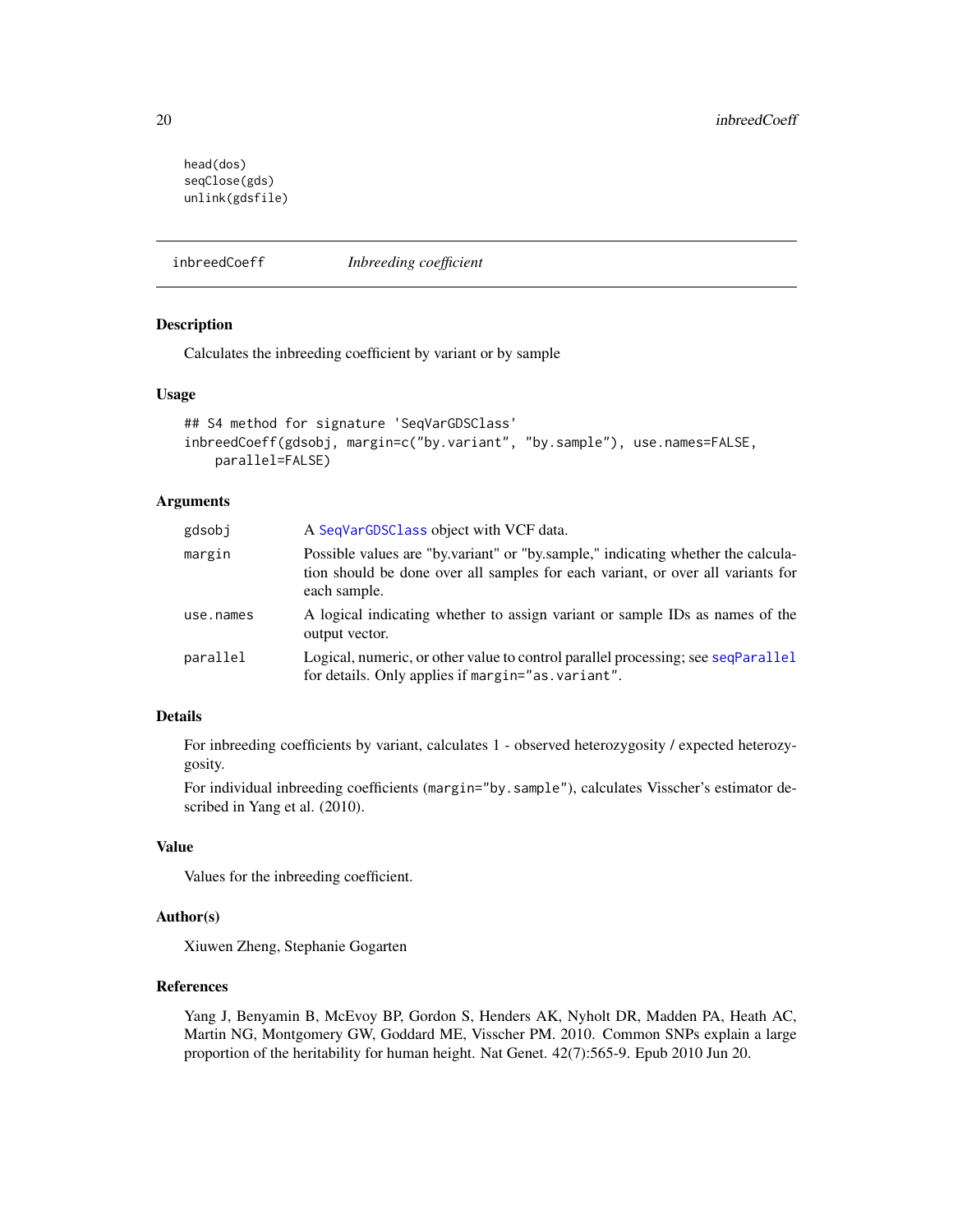```
head(dos)
seqClose(gds)
unlink(gdsfile)
```
inbreedCoeff *Inbreeding coefficient*

### Description

Calculates the inbreeding coefficient by variant or by sample

#### Usage

```
## S4 method for signature 'SeqVarGDSClass'
inbreedCoeff(gdsobj, margin=c("by.variant", "by.sample"), use.names=FALSE,
   parallel=FALSE)
```
### Arguments

| A SeqVarGDSClass object with VCF data.                                                                                                                                              |
|-------------------------------------------------------------------------------------------------------------------------------------------------------------------------------------|
| Possible values are "by variant" or "by sample," indicating whether the calcula-<br>tion should be done over all samples for each variant, or over all variants for<br>each sample. |
| A logical indicating whether to assign variant or sample IDs as names of the<br>output vector.                                                                                      |
| Logical, numeric, or other value to control parallel processing; see seqParallel<br>for details. Only applies if margin="as. variant".                                              |
|                                                                                                                                                                                     |

### Details

For inbreeding coefficients by variant, calculates 1 - observed heterozygosity / expected heterozygosity.

For individual inbreeding coefficients (margin="by.sample"), calculates Visscher's estimator described in Yang et al. (2010).

### Value

Values for the inbreeding coefficient.

### Author(s)

Xiuwen Zheng, Stephanie Gogarten

### References

Yang J, Benyamin B, McEvoy BP, Gordon S, Henders AK, Nyholt DR, Madden PA, Heath AC, Martin NG, Montgomery GW, Goddard ME, Visscher PM. 2010. Common SNPs explain a large proportion of the heritability for human height. Nat Genet. 42(7):565-9. Epub 2010 Jun 20.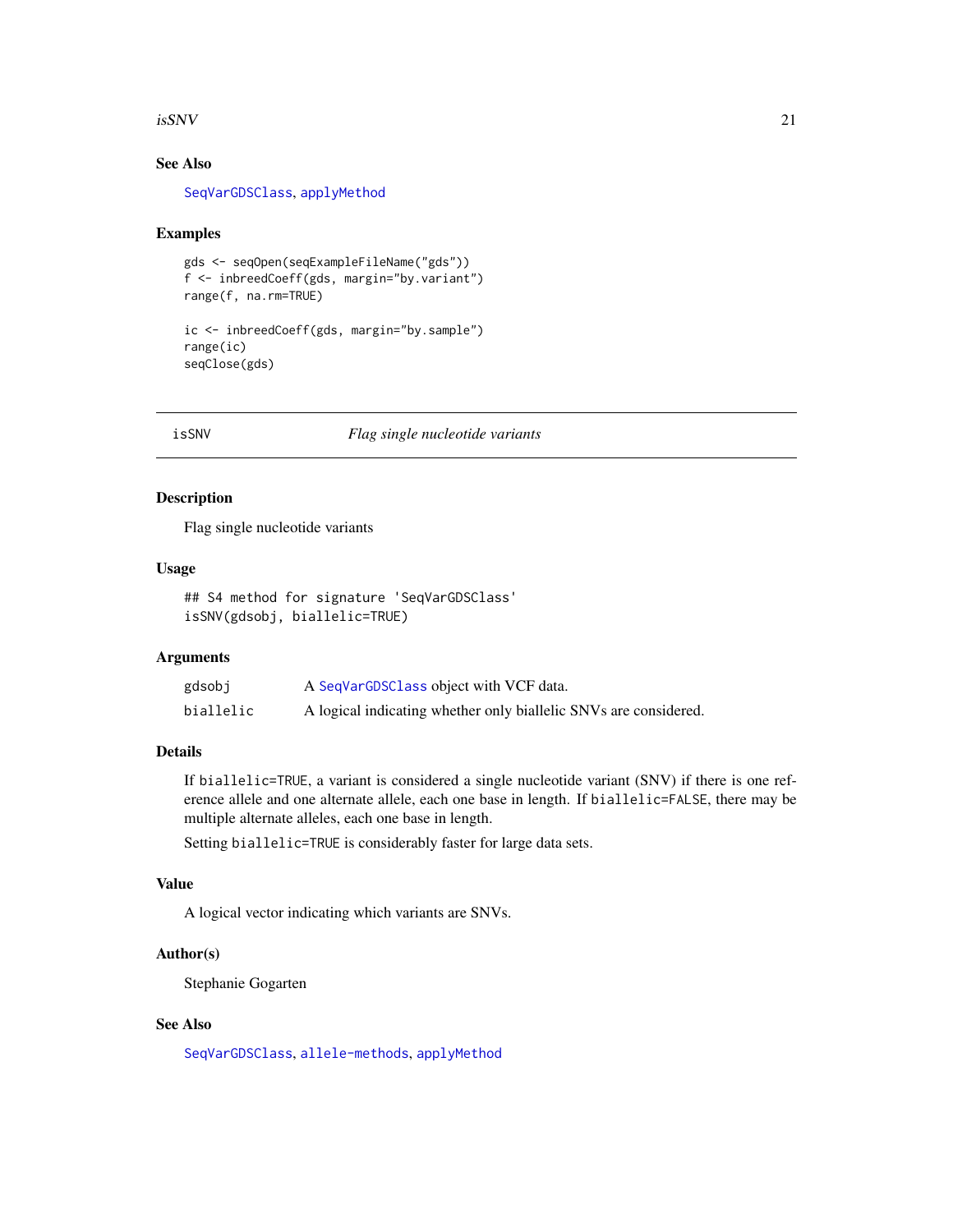#### <span id="page-20-0"></span> $isSNV$  21

### See Also

[SeqVarGDSClass](#page-0-0), [applyMethod](#page-6-1)

#### Examples

```
gds <- seqOpen(seqExampleFileName("gds"))
f <- inbreedCoeff(gds, margin="by.variant")
range(f, na.rm=TRUE)
```
ic <- inbreedCoeff(gds, margin="by.sample") range(ic) seqClose(gds)

#### isSNV *Flag single nucleotide variants*

### Description

Flag single nucleotide variants

#### Usage

```
## S4 method for signature 'SeqVarGDSClass'
isSNV(gdsobj, biallelic=TRUE)
```
### Arguments

| gdsobj    | A SeqVarGDSClass object with VCF data.                           |
|-----------|------------------------------------------------------------------|
| biallelic | A logical indicating whether only biallelic SNVs are considered. |

### Details

If biallelic=TRUE, a variant is considered a single nucleotide variant (SNV) if there is one reference allele and one alternate allele, each one base in length. If biallelic=FALSE, there may be multiple alternate alleles, each one base in length.

Setting biallelic=TRUE is considerably faster for large data sets.

### Value

A logical vector indicating which variants are SNVs.

### Author(s)

Stephanie Gogarten

### See Also

[SeqVarGDSClass](#page-0-0), [allele-methods](#page-2-1), [applyMethod](#page-6-1)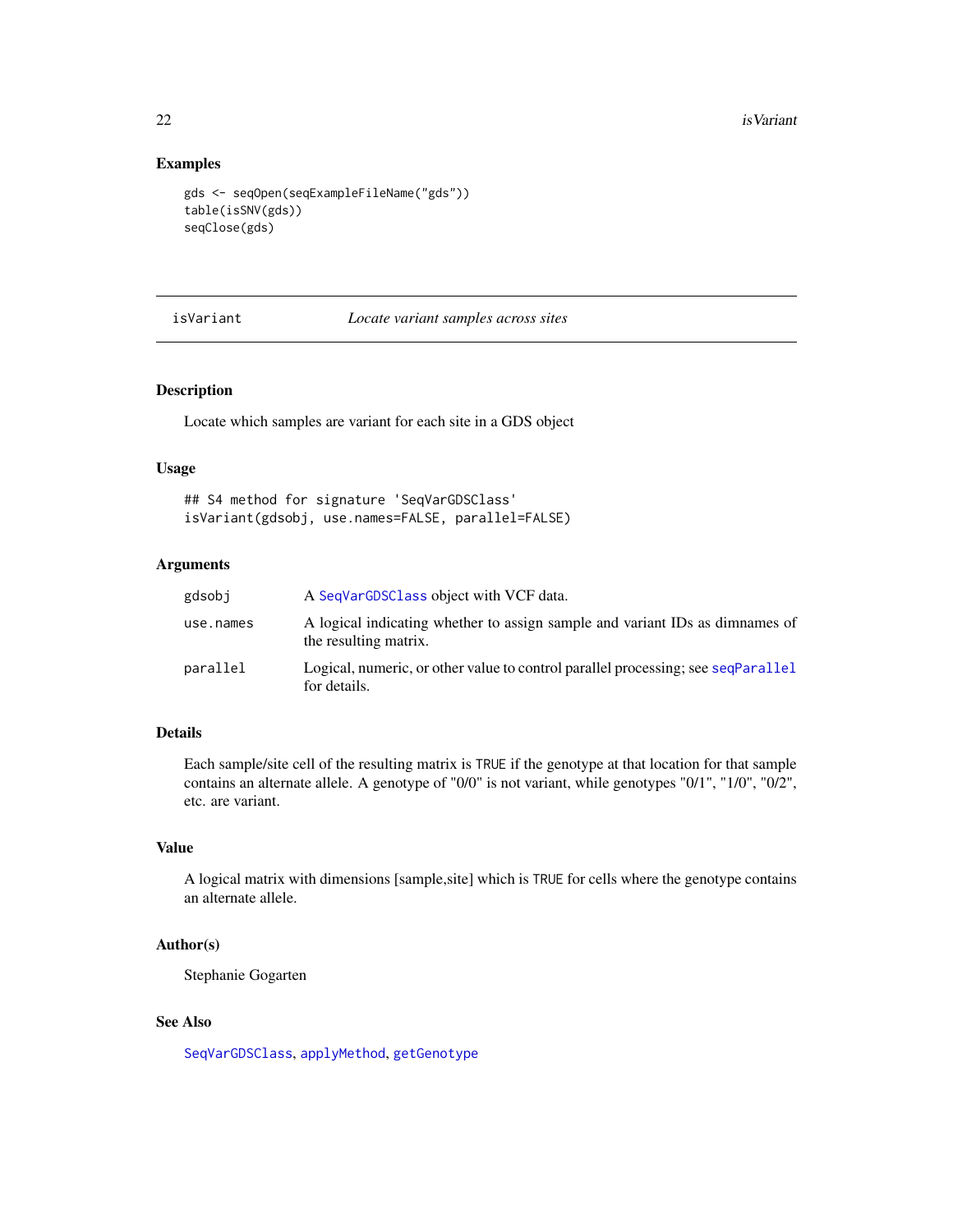### Examples

```
gds <- seqOpen(seqExampleFileName("gds"))
table(isSNV(gds))
seqClose(gds)
```
#### <span id="page-21-1"></span>isVariant *Locate variant samples across sites*

#### Description

Locate which samples are variant for each site in a GDS object

### Usage

## S4 method for signature 'SeqVarGDSClass' isVariant(gdsobj, use.names=FALSE, parallel=FALSE)

### Arguments

| gdsobj    | A SeqVarGDSC1ass object with VCF data.                                                                |
|-----------|-------------------------------------------------------------------------------------------------------|
| use.names | A logical indicating whether to assign sample and variant IDs as dimnames of<br>the resulting matrix. |
| parallel  | Logical, numeric, or other value to control parallel processing; see seqParallel<br>for details.      |

### Details

Each sample/site cell of the resulting matrix is TRUE if the genotype at that location for that sample contains an alternate allele. A genotype of "0/0" is not variant, while genotypes "0/1", "1/0", "0/2", etc. are variant.

### Value

A logical matrix with dimensions [sample,site] which is TRUE for cells where the genotype contains an alternate allele.

### Author(s)

Stephanie Gogarten

### See Also

[SeqVarGDSClass](#page-0-0), [applyMethod](#page-6-1), [getGenotype](#page-11-2)

<span id="page-21-0"></span>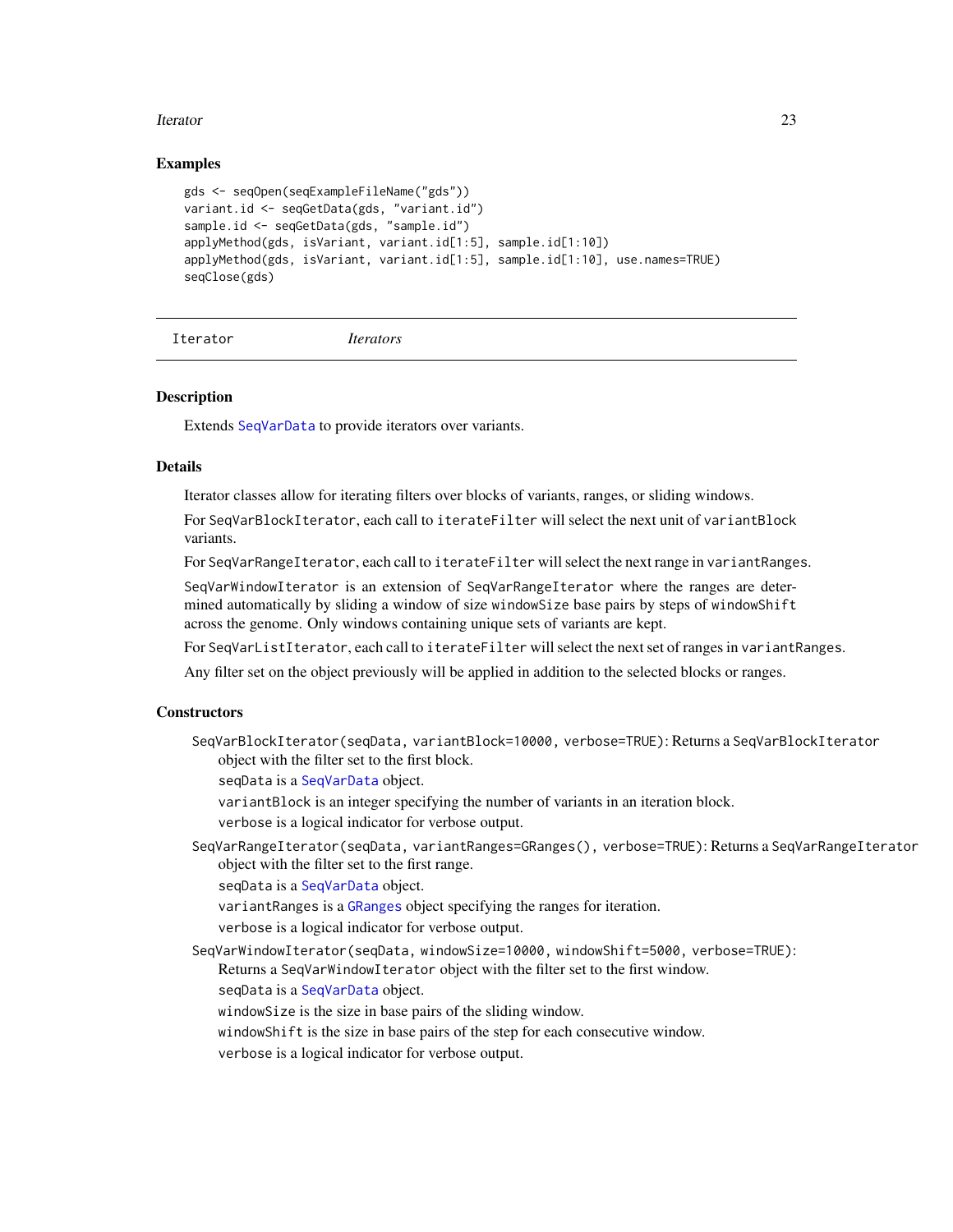#### <span id="page-22-0"></span>**Iterator** 23

### Examples

```
gds <- seqOpen(seqExampleFileName("gds"))
variant.id <- seqGetData(gds, "variant.id")
sample.id <- seqGetData(gds, "sample.id")
applyMethod(gds, isVariant, variant.id[1:5], sample.id[1:10])
applyMethod(gds, isVariant, variant.id[1:5], sample.id[1:10], use.names=TRUE)
seqClose(gds)
```

```
Iterator Iterators
```
#### <span id="page-22-1"></span>**Description**

Extends [SeqVarData](#page-32-1) to provide iterators over variants.

#### **Details**

Iterator classes allow for iterating filters over blocks of variants, ranges, or sliding windows.

For SeqVarBlockIterator, each call to iterateFilter will select the next unit of variantBlock variants.

For SeqVarRangeIterator, each call to iterateFilter will select the next range in variantRanges.

SeqVarWindowIterator is an extension of SeqVarRangeIterator where the ranges are determined automatically by sliding a window of size windowSize base pairs by steps of windowShift across the genome. Only windows containing unique sets of variants are kept.

For SeqVarListIterator, each call to iterateFilter will select the next set of ranges in variantRanges.

Any filter set on the object previously will be applied in addition to the selected blocks or ranges.

### **Constructors**

SeqVarBlockIterator(seqData, variantBlock=10000, verbose=TRUE): Returns a SeqVarBlockIterator object with the filter set to the first block.

seqData is a [SeqVarData](#page-32-1) object.

variantBlock is an integer specifying the number of variants in an iteration block.

verbose is a logical indicator for verbose output.

SeqVarRangeIterator(seqData, variantRanges=GRanges(), verbose=TRUE): Returns a SeqVarRangeIterator object with the filter set to the first range.

seqData is a [SeqVarData](#page-32-1) object.

variantRanges is a [GRanges](#page-0-0) object specifying the ranges for iteration.

verbose is a logical indicator for verbose output.

SeqVarWindowIterator(seqData, windowSize=10000, windowShift=5000, verbose=TRUE): Returns a SeqVarWindowIterator object with the filter set to the first window.

seqData is a [SeqVarData](#page-32-1) object.

windowSize is the size in base pairs of the sliding window.

windowShift is the size in base pairs of the step for each consecutive window.

verbose is a logical indicator for verbose output.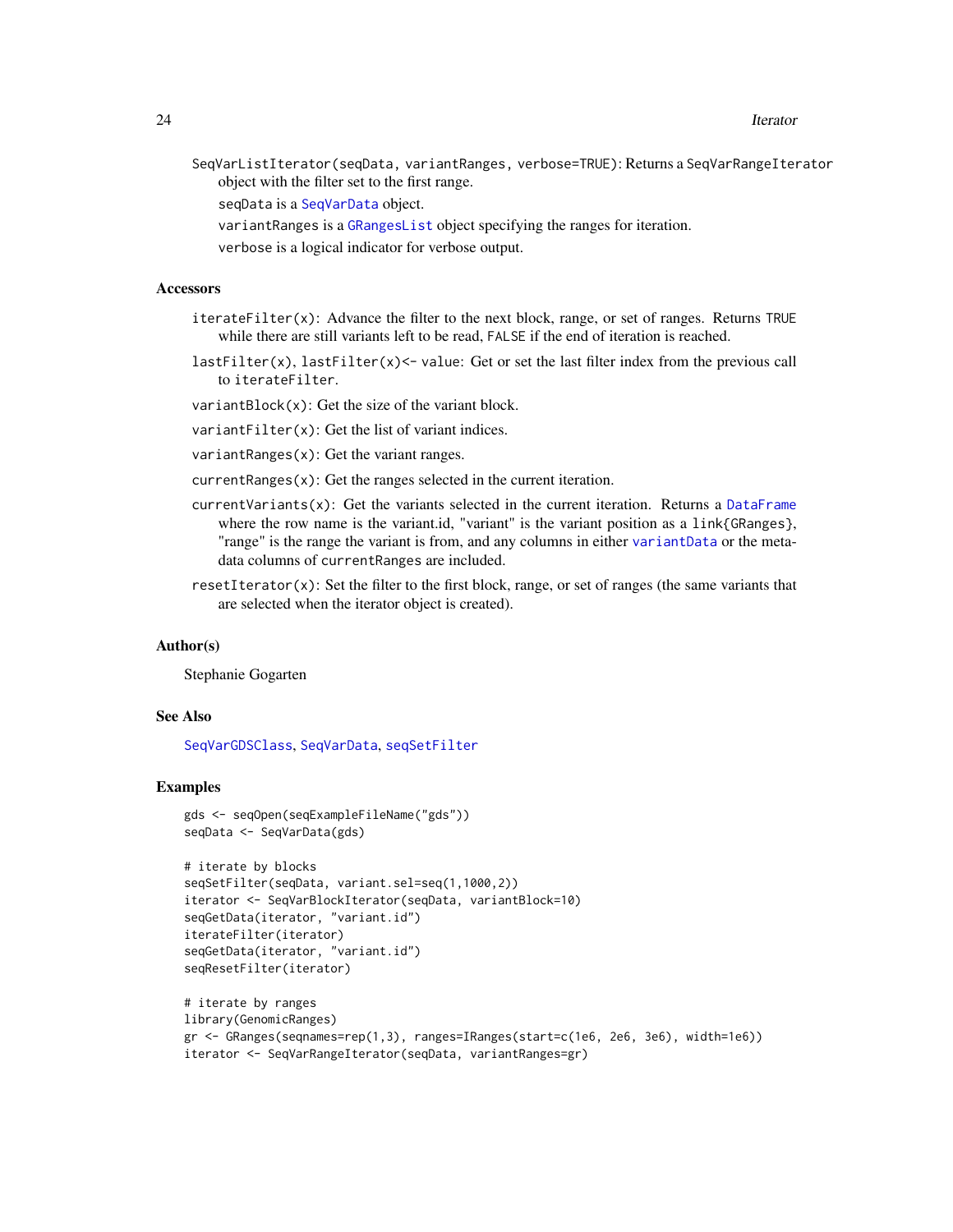<span id="page-23-0"></span>SeqVarListIterator(seqData, variantRanges, verbose=TRUE): Returns a SeqVarRangeIterator object with the filter set to the first range.

seqData is a [SeqVarData](#page-32-1) object.

- variantRanges is a [GRangesList](#page-0-0) object specifying the ranges for iteration.
- verbose is a logical indicator for verbose output.

#### **Accessors**

- iterateFilter(x): Advance the filter to the next block, range, or set of ranges. Returns TRUE while there are still variants left to be read, FALSE if the end of iteration is reached.
- lastFilter(x), lastFilter(x) <- value: Get or set the last filter index from the previous call to iterateFilter.

variantBlock(x): Get the size of the variant block.

variantFilter(x): Get the list of variant indices.

variantRanges(x): Get the variant ranges.

- currentRanges(x): Get the ranges selected in the current iteration.
- currentVariants(x): Get the variants selected in the current iteration. Returns a [DataFrame](#page-0-0) where the row name is the variant.id, "variant" is the variant position as a link{GRanges}, "range" is the range the variant is from, and any columns in either [variantData](#page-32-2) or the metadata columns of currentRanges are included.
- resetIterator(x): Set the filter to the first block, range, or set of ranges (the same variants that are selected when the iterator object is created).

#### Author(s)

Stephanie Gogarten

#### See Also

[SeqVarGDSClass](#page-0-0), [SeqVarData](#page-32-1), [seqSetFilter](#page-0-0)

#### Examples

```
gds <- seqOpen(seqExampleFileName("gds"))
seqData <- SeqVarData(gds)
```

```
# iterate by blocks
seqSetFilter(seqData, variant.sel=seq(1,1000,2))
iterator <- SeqVarBlockIterator(seqData, variantBlock=10)
seqGetData(iterator, "variant.id")
iterateFilter(iterator)
seqGetData(iterator, "variant.id")
seqResetFilter(iterator)
```

```
# iterate by ranges
library(GenomicRanges)
gr <- GRanges(seqnames=rep(1,3), ranges=IRanges(start=c(1e6, 2e6, 3e6), width=1e6))
iterator <- SeqVarRangeIterator(seqData, variantRanges=gr)
```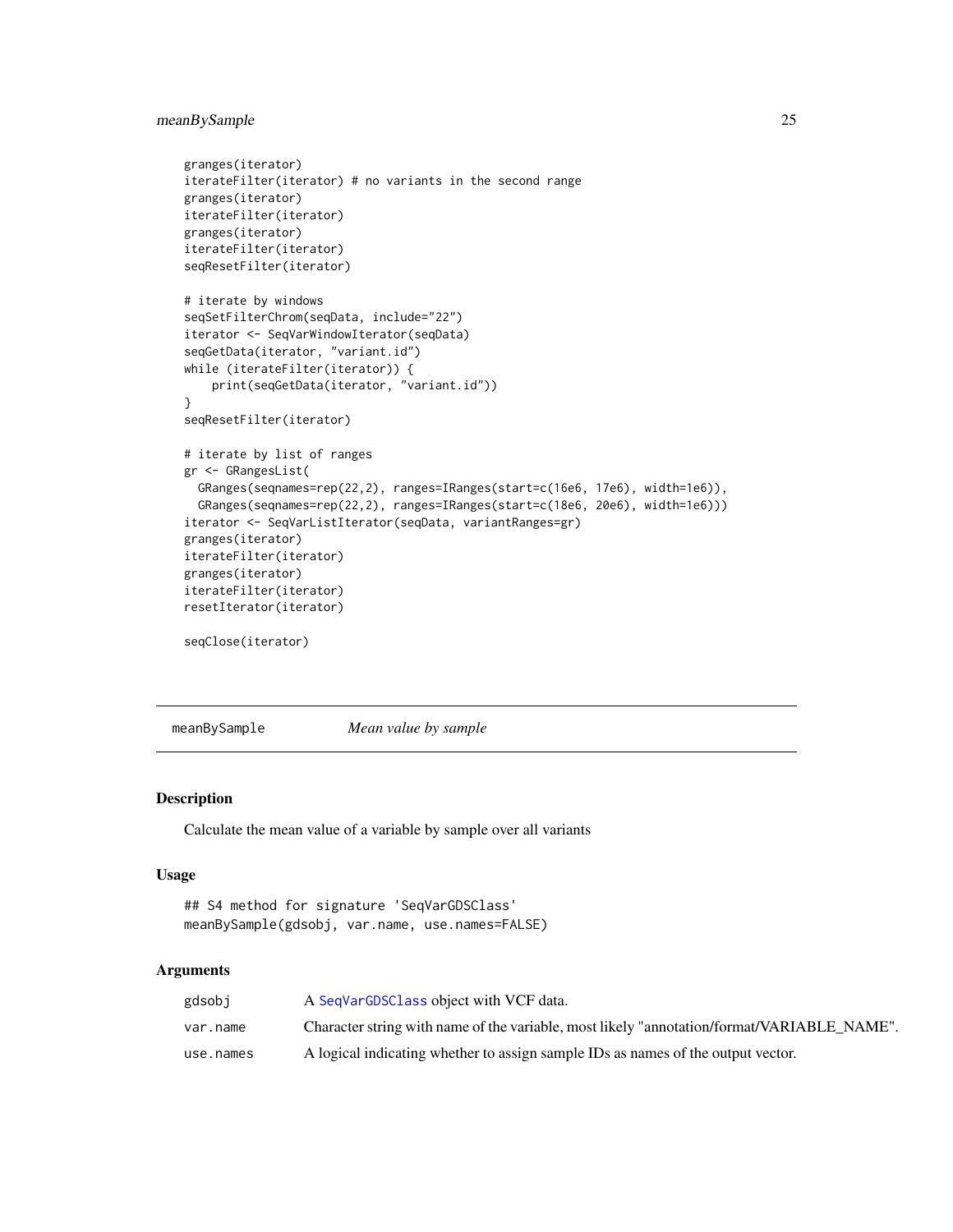### <span id="page-24-0"></span>meanBySample 25

```
granges(iterator)
iterateFilter(iterator) # no variants in the second range
granges(iterator)
iterateFilter(iterator)
granges(iterator)
iterateFilter(iterator)
seqResetFilter(iterator)
# iterate by windows
seqSetFilterChrom(seqData, include="22")
iterator <- SeqVarWindowIterator(seqData)
seqGetData(iterator, "variant.id")
while (iterateFilter(iterator)) {
    print(seqGetData(iterator, "variant.id"))
}
seqResetFilter(iterator)
# iterate by list of ranges
gr <- GRangesList(
 GRanges(seqnames=rep(22,2), ranges=IRanges(start=c(16e6, 17e6), width=1e6)),
 GRanges(seqnames=rep(22,2), ranges=IRanges(start=c(18e6, 20e6), width=1e6)))
iterator <- SeqVarListIterator(seqData, variantRanges=gr)
granges(iterator)
iterateFilter(iterator)
granges(iterator)
iterateFilter(iterator)
resetIterator(iterator)
seqClose(iterator)
```
meanBySample *Mean value by sample*

### Description

Calculate the mean value of a variable by sample over all variants

#### Usage

```
## S4 method for signature 'SeqVarGDSClass'
meanBySample(gdsobj, var.name, use.names=FALSE)
```
### **Arguments**

| gdsobj    | A SeqVarGDSClass object with VCF data.                                                     |
|-----------|--------------------------------------------------------------------------------------------|
| var.name  | Character string with name of the variable, most likely "annotation/format/VARIABLE NAME". |
| use.names | A logical indicating whether to assign sample IDs as names of the output vector.           |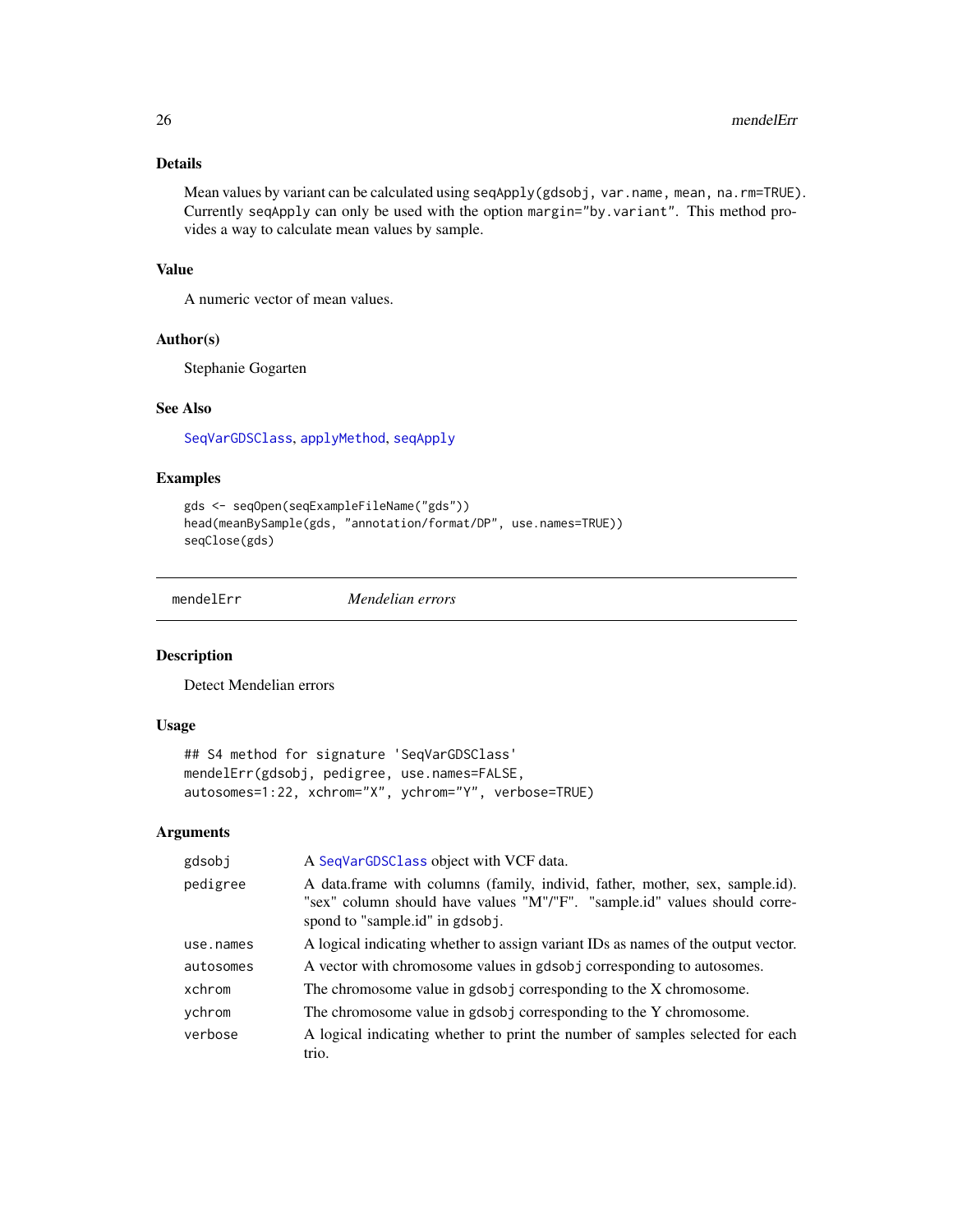### <span id="page-25-0"></span>Details

Mean values by variant can be calculated using seqApply(gdsobj, var.name, mean, na.rm=TRUE). Currently seqApply can only be used with the option margin="by.variant". This method provides a way to calculate mean values by sample.

### Value

A numeric vector of mean values.

#### Author(s)

Stephanie Gogarten

### See Also

[SeqVarGDSClass](#page-0-0), [applyMethod](#page-6-1), [seqApply](#page-0-0)

### Examples

```
gds <- seqOpen(seqExampleFileName("gds"))
head(meanBySample(gds, "annotation/format/DP", use.names=TRUE))
seqClose(gds)
```
mendelErr *Mendelian errors*

#### Description

Detect Mendelian errors

### Usage

```
## S4 method for signature 'SeqVarGDSClass'
mendelErr(gdsobj, pedigree, use.names=FALSE,
autosomes=1:22, xchrom="X", ychrom="Y", verbose=TRUE)
```
### Arguments

| gdsobj    | A SeqVarGDSClass object with VCF data.                                                                                                                                                        |
|-----------|-----------------------------------------------------------------------------------------------------------------------------------------------------------------------------------------------|
| pedigree  | A data.frame with columns (family, individ, father, mother, sex, sample.id).<br>"sex" column should have values "M"/"F". "sample.id" values should corre-<br>spond to "sample.id" in gdsob i. |
| use.names | A logical indicating whether to assign variant IDs as names of the output vector.                                                                                                             |
| autosomes | A vector with chromosome values in gdsobj corresponding to autosomes.                                                                                                                         |
| xchrom    | The chromosome value in gdsobj corresponding to the X chromosome.                                                                                                                             |
| ychrom    | The chromosome value in gdsobj corresponding to the Y chromosome.                                                                                                                             |
| verbose   | A logical indicating whether to print the number of samples selected for each<br>trio.                                                                                                        |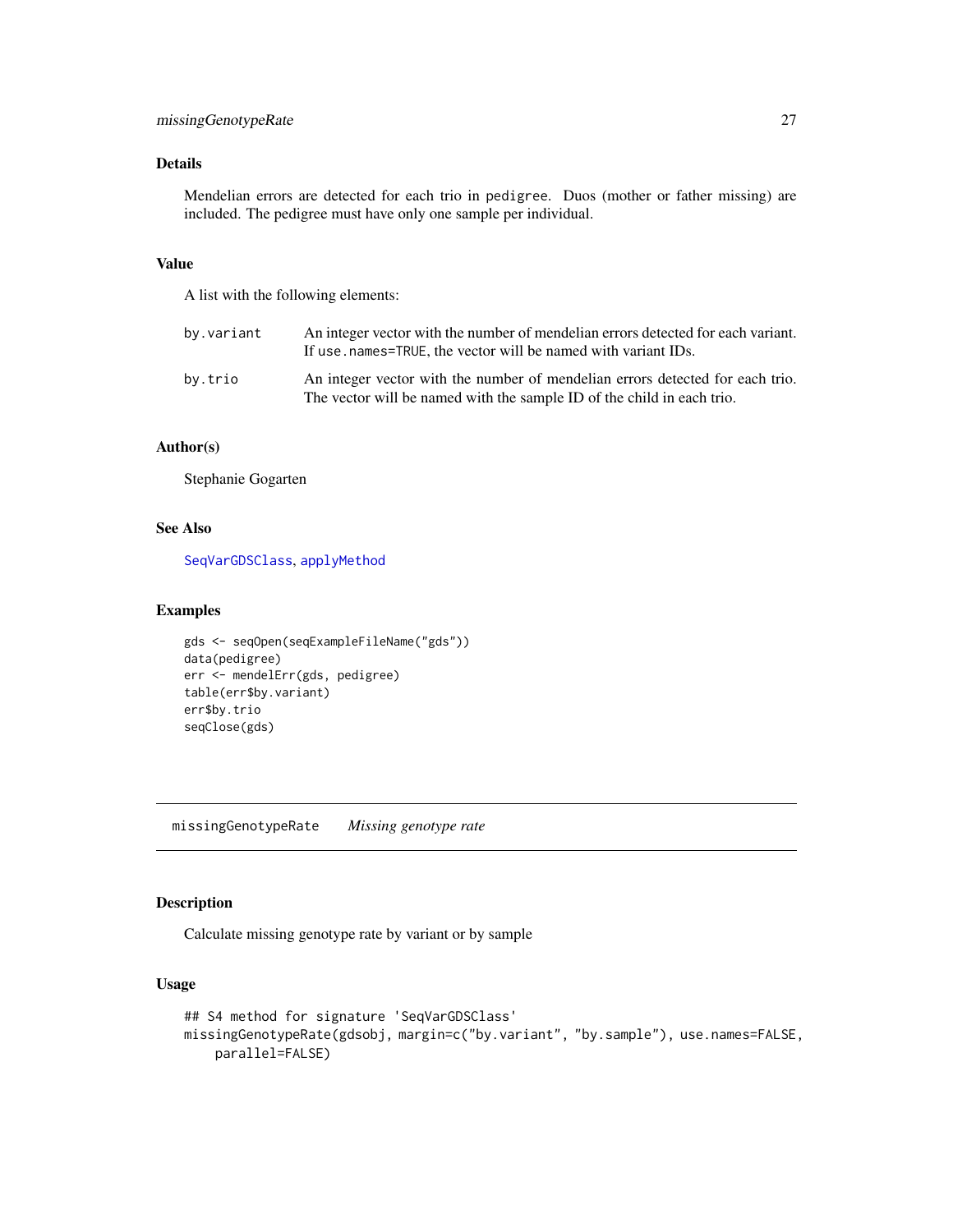### <span id="page-26-0"></span>Details

Mendelian errors are detected for each trio in pedigree. Duos (mother or father missing) are included. The pedigree must have only one sample per individual.

#### Value

A list with the following elements:

| by.variant | An integer vector with the number of mendelian errors detected for each variant.<br>If use, names=TRUE, the vector will be named with variant IDs.      |
|------------|---------------------------------------------------------------------------------------------------------------------------------------------------------|
| by.trio    | An integer vector with the number of mendelian errors detected for each trio.<br>The vector will be named with the sample ID of the child in each trio. |

### Author(s)

Stephanie Gogarten

### See Also

[SeqVarGDSClass](#page-0-0), [applyMethod](#page-6-1)

### Examples

```
gds <- seqOpen(seqExampleFileName("gds"))
data(pedigree)
err <- mendelErr(gds, pedigree)
table(err$by.variant)
err$by.trio
seqClose(gds)
```
missingGenotypeRate *Missing genotype rate*

### Description

Calculate missing genotype rate by variant or by sample

#### Usage

```
## S4 method for signature 'SeqVarGDSClass'
missingGenotypeRate(gdsobj, margin=c("by.variant", "by.sample"), use.names=FALSE,
   parallel=FALSE)
```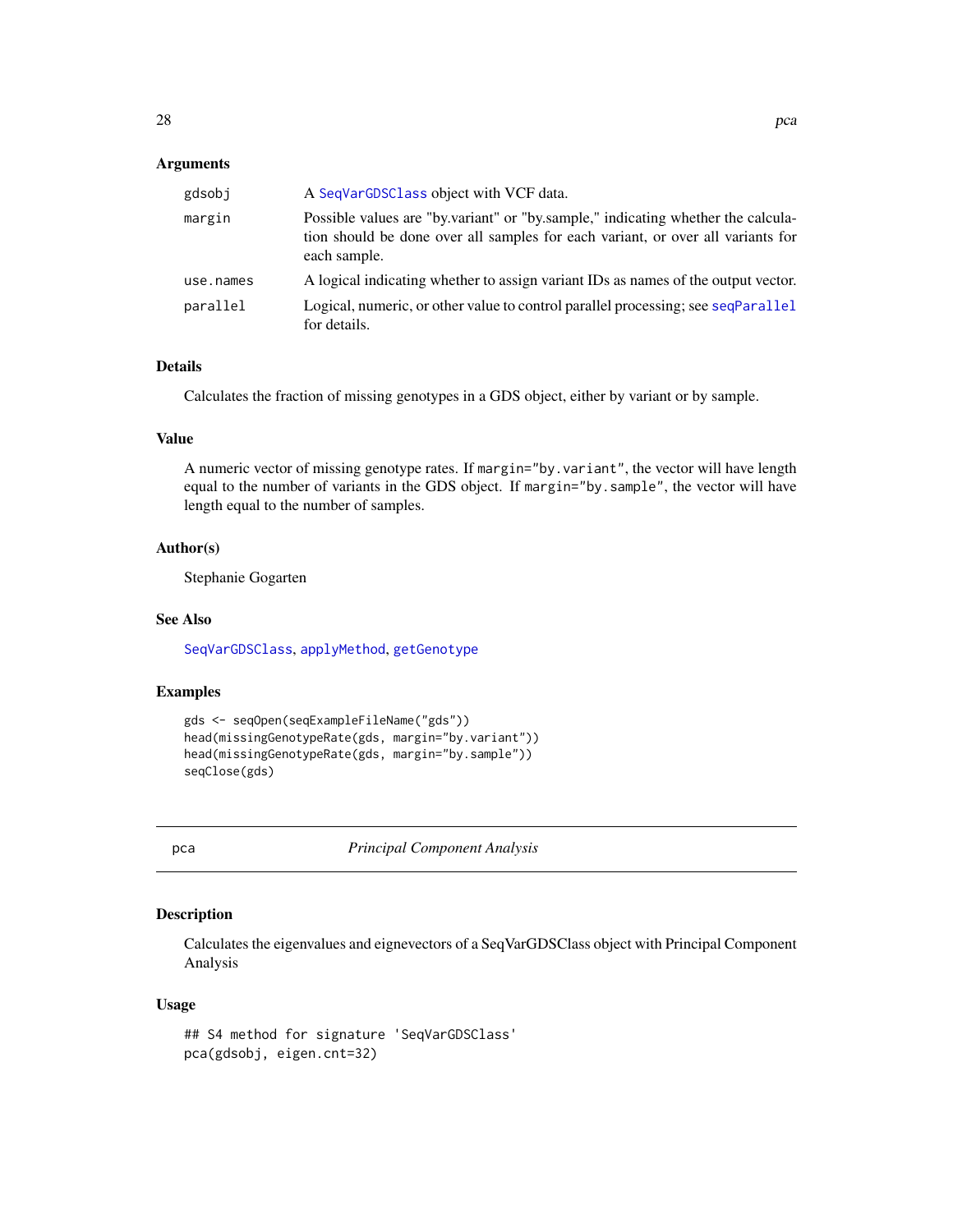### <span id="page-27-0"></span>Arguments

| gdsobj    | A SeqVarGDSClass object with VCF data.                                                                                                                                              |
|-----------|-------------------------------------------------------------------------------------------------------------------------------------------------------------------------------------|
| margin    | Possible values are "by variant" or "by sample," indicating whether the calcula-<br>tion should be done over all samples for each variant, or over all variants for<br>each sample. |
| use.names | A logical indicating whether to assign variant IDs as names of the output vector.                                                                                                   |
| parallel  | Logical, numeric, or other value to control parallel processing; see seqParallel<br>for details.                                                                                    |

### Details

Calculates the fraction of missing genotypes in a GDS object, either by variant or by sample.

### Value

A numeric vector of missing genotype rates. If margin="by.variant", the vector will have length equal to the number of variants in the GDS object. If margin="by.sample", the vector will have length equal to the number of samples.

### Author(s)

Stephanie Gogarten

#### See Also

[SeqVarGDSClass](#page-0-0), [applyMethod](#page-6-1), [getGenotype](#page-11-2)

### Examples

```
gds <- seqOpen(seqExampleFileName("gds"))
head(missingGenotypeRate(gds, margin="by.variant"))
head(missingGenotypeRate(gds, margin="by.sample"))
seqClose(gds)
```
pca *Principal Component Analysis*

### Description

Calculates the eigenvalues and eignevectors of a SeqVarGDSClass object with Principal Component Analysis

### Usage

```
## S4 method for signature 'SeqVarGDSClass'
pca(gdsobj, eigen.cnt=32)
```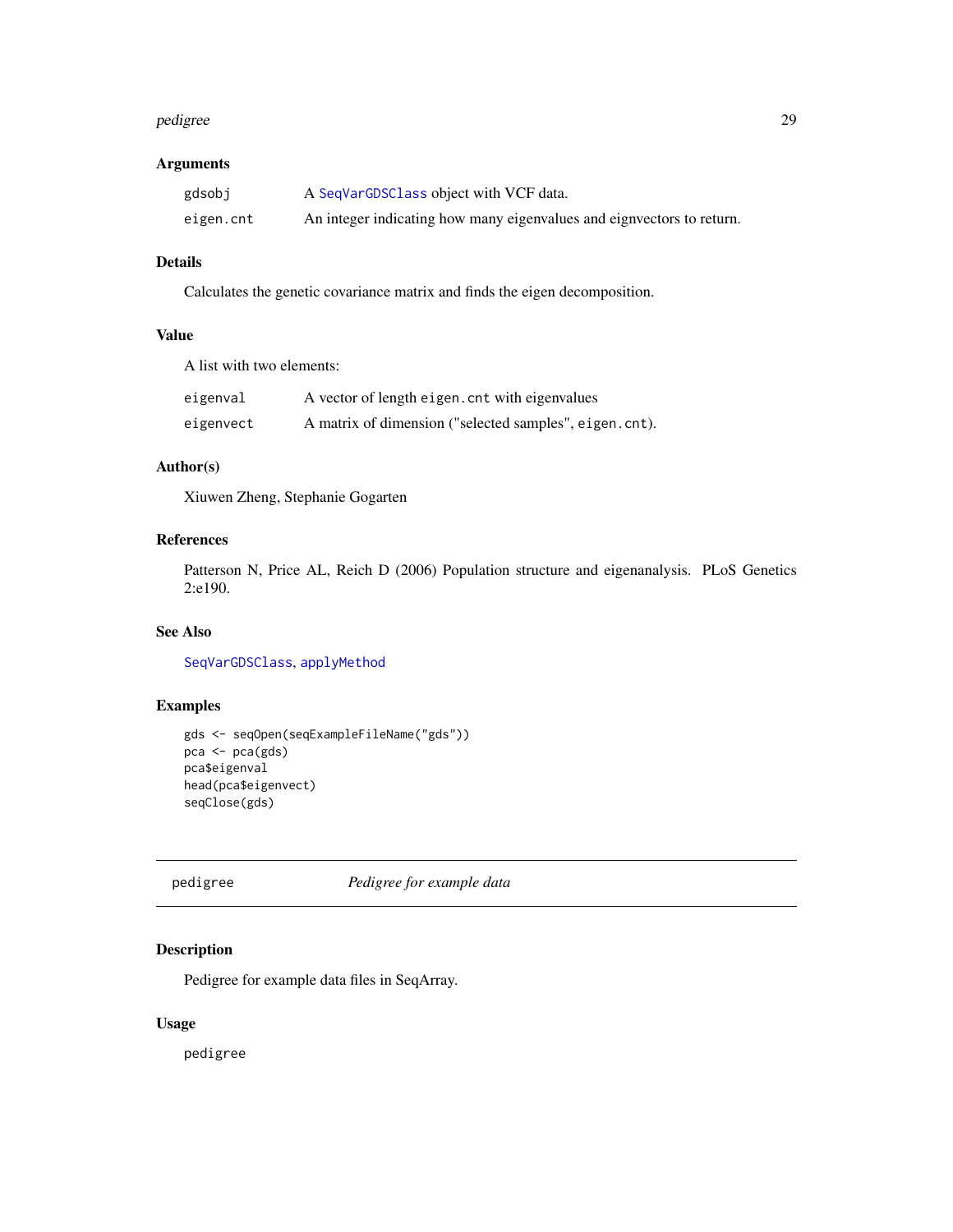#### <span id="page-28-0"></span>pedigree 29

### Arguments

| gdsobj    | A SeqVarGDSClass object with VCF data.                                |
|-----------|-----------------------------------------------------------------------|
| eigen.cnt | An integer indicating how many eigenvalues and eignvectors to return. |

### Details

Calculates the genetic covariance matrix and finds the eigen decomposition.

### Value

A list with two elements:

| eigenval  | A vector of length eigen. cnt with eigenvalues         |
|-----------|--------------------------------------------------------|
| eigenvect | A matrix of dimension ("selected samples", eigen.cnt). |

### Author(s)

Xiuwen Zheng, Stephanie Gogarten

### References

Patterson N, Price AL, Reich D (2006) Population structure and eigenanalysis. PLoS Genetics 2:e190.

### See Also

[SeqVarGDSClass](#page-0-0), [applyMethod](#page-6-1)

### Examples

```
gds <- seqOpen(seqExampleFileName("gds"))
pca <- pca(gds)
pca$eigenval
head(pca$eigenvect)
seqClose(gds)
```
pedigree *Pedigree for example data*

### Description

Pedigree for example data files in SeqArray.

### Usage

pedigree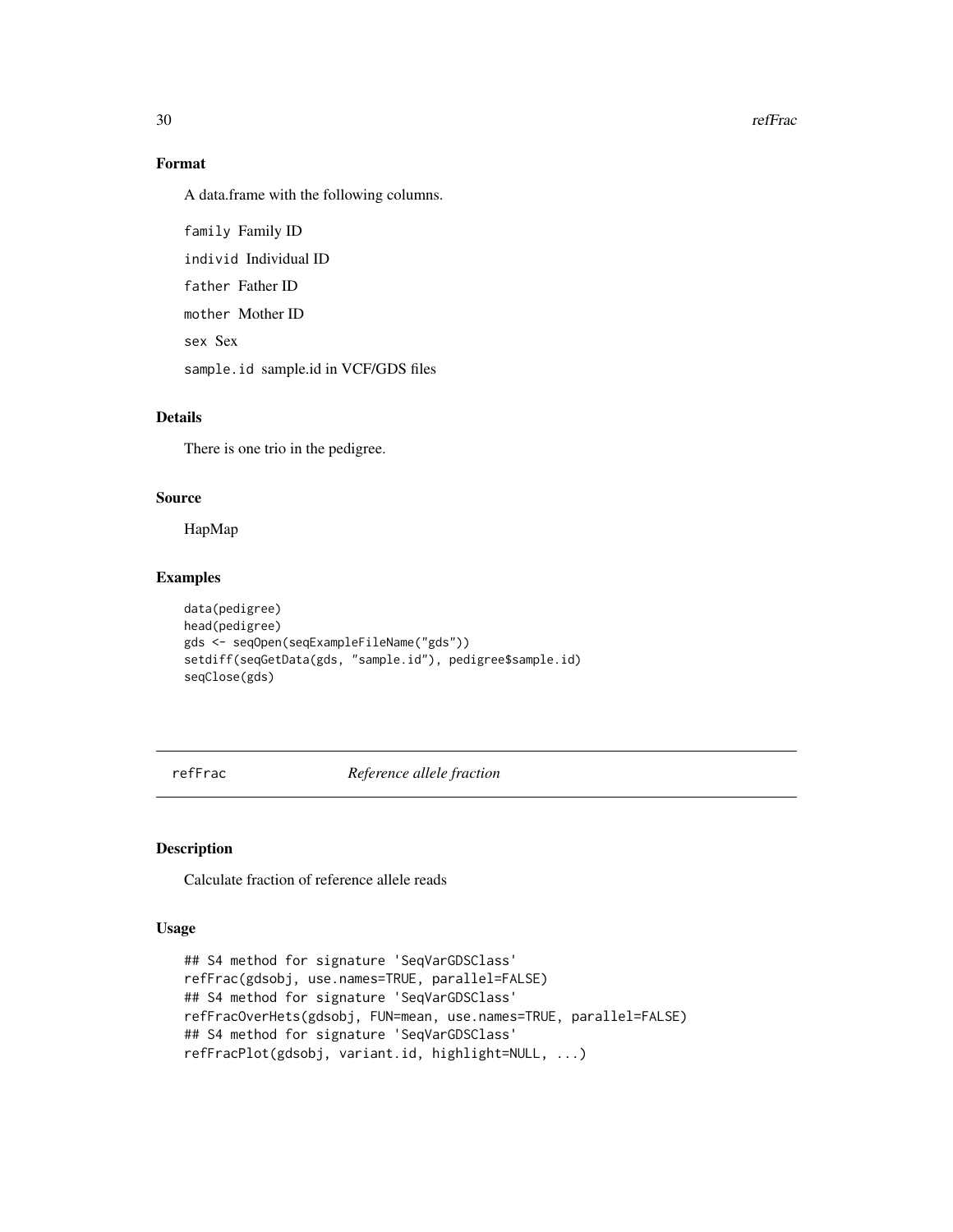30 refFrace and the set of the set of the set of the set of the set of the set of the set of the set of the set of the set of the set of the set of the set of the set of the set of the set of the set of the set of the set

### Format

A data.frame with the following columns.

family Family ID individ Individual ID father Father ID mother Mother ID sex Sex sample.id sample.id in VCF/GDS files

### Details

There is one trio in the pedigree.

### Source

HapMap

### Examples

```
data(pedigree)
head(pedigree)
gds <- seqOpen(seqExampleFileName("gds"))
setdiff(seqGetData(gds, "sample.id"), pedigree$sample.id)
seqClose(gds)
```
refFrac *Reference allele fraction*

### Description

Calculate fraction of reference allele reads

### Usage

```
## S4 method for signature 'SeqVarGDSClass'
refFrac(gdsobj, use.names=TRUE, parallel=FALSE)
## S4 method for signature 'SeqVarGDSClass'
refFracOverHets(gdsobj, FUN=mean, use.names=TRUE, parallel=FALSE)
## S4 method for signature 'SeqVarGDSClass'
refFracPlot(gdsobj, variant.id, highlight=NULL, ...)
```
<span id="page-29-0"></span>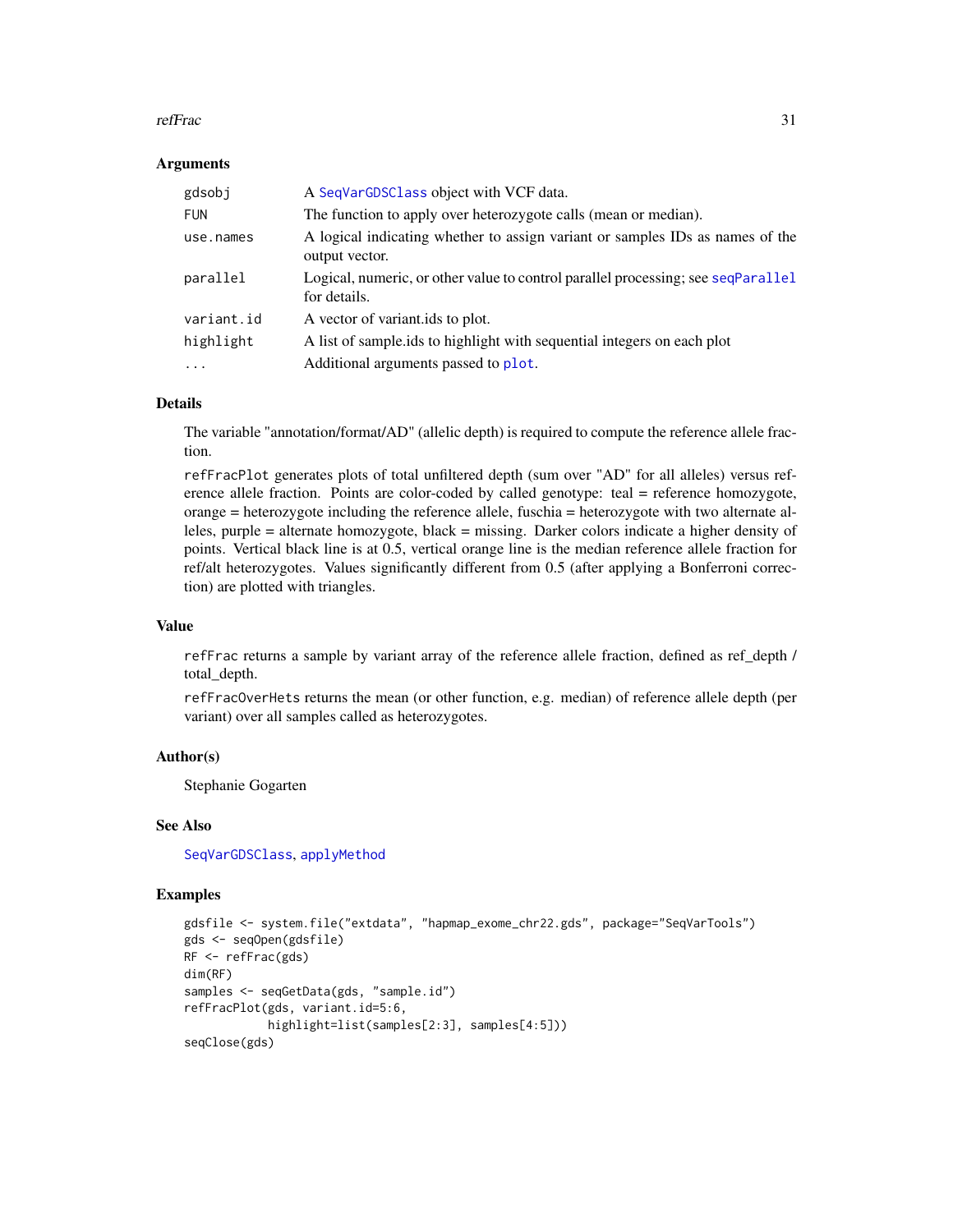#### <span id="page-30-0"></span>refFrac 31

#### Arguments

| gdsobj     | A SeqVarGDSClass object with VCF data.                                                           |
|------------|--------------------------------------------------------------------------------------------------|
| <b>FUN</b> | The function to apply over heterozygote calls (mean or median).                                  |
| use.names  | A logical indicating whether to assign variant or samples IDs as names of the<br>output vector.  |
| parallel   | Logical, numeric, or other value to control parallel processing; see seqParallel<br>for details. |
| variant.id | A vector of variantids to plot.                                                                  |
| highlight  | A list of sample ids to highlight with sequential integers on each plot                          |
| $\ddotsc$  | Additional arguments passed to plot.                                                             |

### Details

The variable "annotation/format/AD" (allelic depth) is required to compute the reference allele fraction.

refFracPlot generates plots of total unfiltered depth (sum over "AD" for all alleles) versus reference allele fraction. Points are color-coded by called genotype: teal = reference homozygote, orange = heterozygote including the reference allele, fuschia = heterozygote with two alternate alleles, purple = alternate homozygote, black = missing. Darker colors indicate a higher density of points. Vertical black line is at 0.5, vertical orange line is the median reference allele fraction for ref/alt heterozygotes. Values significantly different from 0.5 (after applying a Bonferroni correction) are plotted with triangles.

### Value

refFrac returns a sample by variant array of the reference allele fraction, defined as ref\_depth / total\_depth.

refFracOverHets returns the mean (or other function, e.g. median) of reference allele depth (per variant) over all samples called as heterozygotes.

### Author(s)

Stephanie Gogarten

#### See Also

[SeqVarGDSClass](#page-0-0), [applyMethod](#page-6-1)

### Examples

```
gdsfile <- system.file("extdata", "hapmap_exome_chr22.gds", package="SeqVarTools")
gds <- seqOpen(gdsfile)
RF <- refFrac(gds)
dim(RF)
samples <- seqGetData(gds, "sample.id")
refFracPlot(gds, variant.id=5:6,
            highlight=list(samples[2:3], samples[4:5]))
seqClose(gds)
```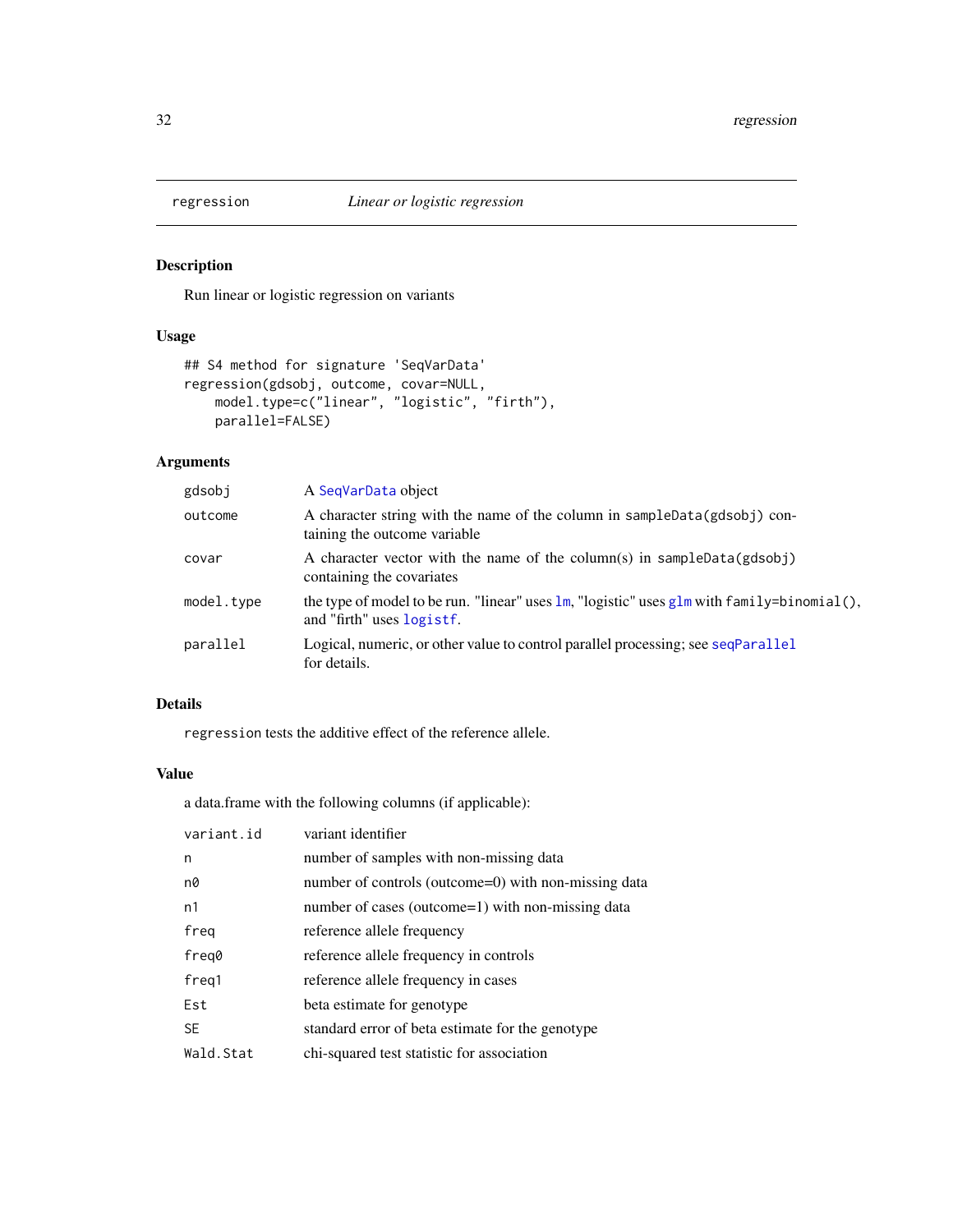<span id="page-31-0"></span>

### Description

Run linear or logistic regression on variants

### Usage

```
## S4 method for signature 'SeqVarData'
regression(gdsobj, outcome, covar=NULL,
    model.type=c("linear", "logistic", "firth"),
   parallel=FALSE)
```
### Arguments

| gdsobj     | A SegVarData object                                                                                                                        |
|------------|--------------------------------------------------------------------------------------------------------------------------------------------|
| outcome    | A character string with the name of the column in sampleData(gdsobj) con-<br>taining the outcome variable.                                 |
| covar      | A character vector with the name of the column(s) in sampleData( $gdsobj$ )<br>containing the covariates                                   |
| model.type | the type of model to be run. "linear" uses $\text{lm}$ , "logistic" uses $\text{glm}$ with family=binomial(),<br>and "firth" uses logistf. |
| parallel   | Logical, numeric, or other value to control parallel processing; see seqParallel<br>for details.                                           |

### Details

regression tests the additive effect of the reference allele.

### Value

a data.frame with the following columns (if applicable):

| variant.id     | variant identifier                                   |
|----------------|------------------------------------------------------|
| n              | number of samples with non-missing data              |
| n0             | number of controls (outcome=0) with non-missing data |
| n <sub>1</sub> | number of cases (outcome=1) with non-missing data    |
| freg           | reference allele frequency                           |
| freq0          | reference allele frequency in controls               |
| freq1          | reference allele frequency in cases                  |
| Est            | beta estimate for genotype                           |
| <b>SE</b>      | standard error of beta estimate for the genotype     |
| Wald.Stat      | chi-squared test statistic for association           |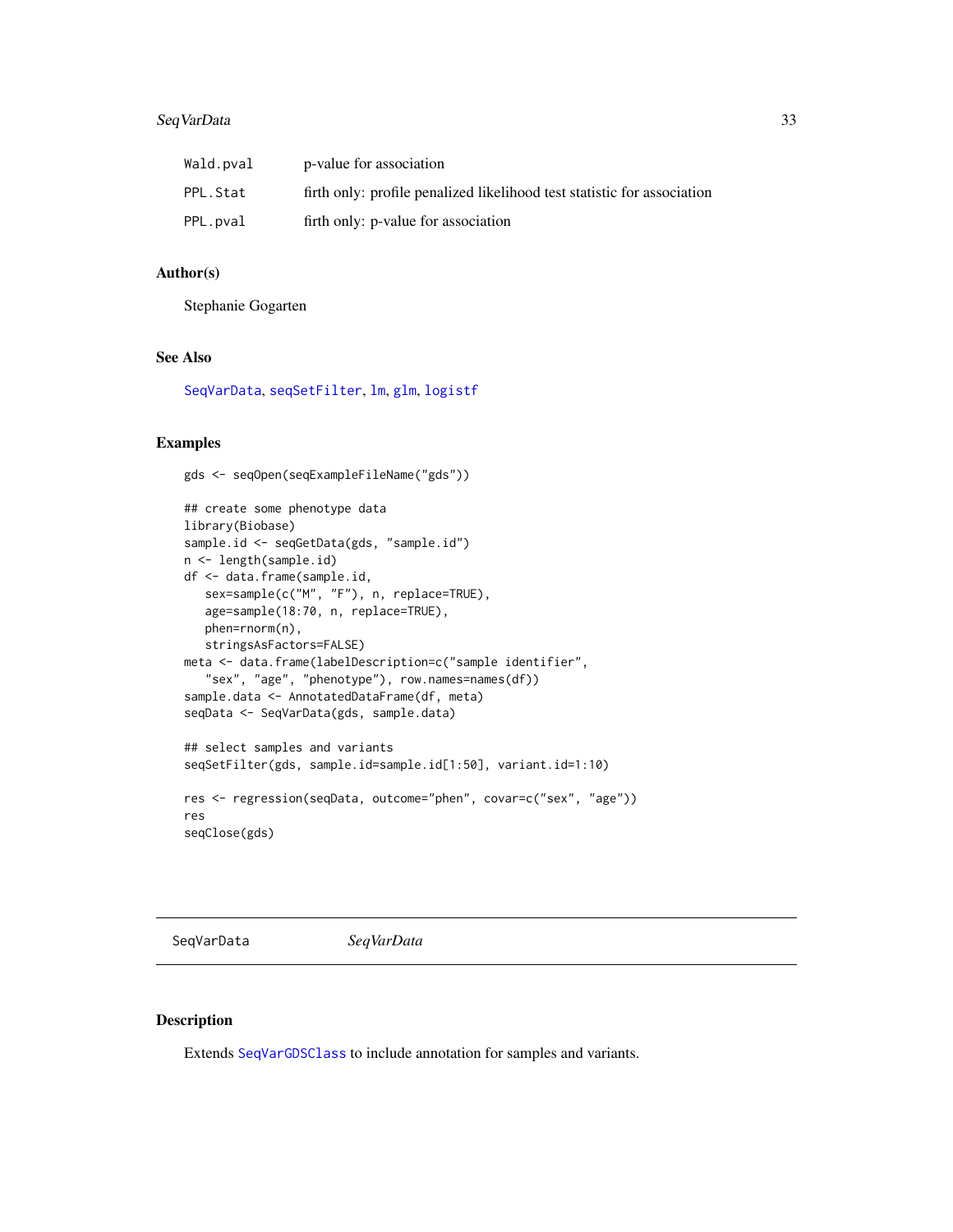### <span id="page-32-0"></span>SeqVarData 33

| Wald.pval | p-value for association                                                 |
|-----------|-------------------------------------------------------------------------|
| PPL.Stat  | firth only: profile penalized likelihood test statistic for association |
| PPL.pval  | firth only: p-value for association                                     |

### Author(s)

Stephanie Gogarten

### See Also

[SeqVarData](#page-32-1), [seqSetFilter](#page-0-0), [lm](#page-0-0), [glm](#page-0-0), [logistf](#page-0-0)

### Examples

```
gds <- seqOpen(seqExampleFileName("gds"))
## create some phenotype data
library(Biobase)
sample.id <- seqGetData(gds, "sample.id")
n <- length(sample.id)
df <- data.frame(sample.id,
  sex=sample(c("M", "F"), n, replace=TRUE),
   age=sample(18:70, n, replace=TRUE),
  phen=rnorm(n),
  stringsAsFactors=FALSE)
meta <- data.frame(labelDescription=c("sample identifier",
   "sex", "age", "phenotype"), row.names=names(df))
sample.data <- AnnotatedDataFrame(df, meta)
seqData <- SeqVarData(gds, sample.data)
## select samples and variants
seqSetFilter(gds, sample.id=sample.id[1:50], variant.id=1:10)
res <- regression(seqData, outcome="phen", covar=c("sex", "age"))
res
seqClose(gds)
```
<span id="page-32-1"></span>SeqVarData *SeqVarData*

## <span id="page-32-2"></span>Description

Extends [SeqVarGDSClass](#page-0-0) to include annotation for samples and variants.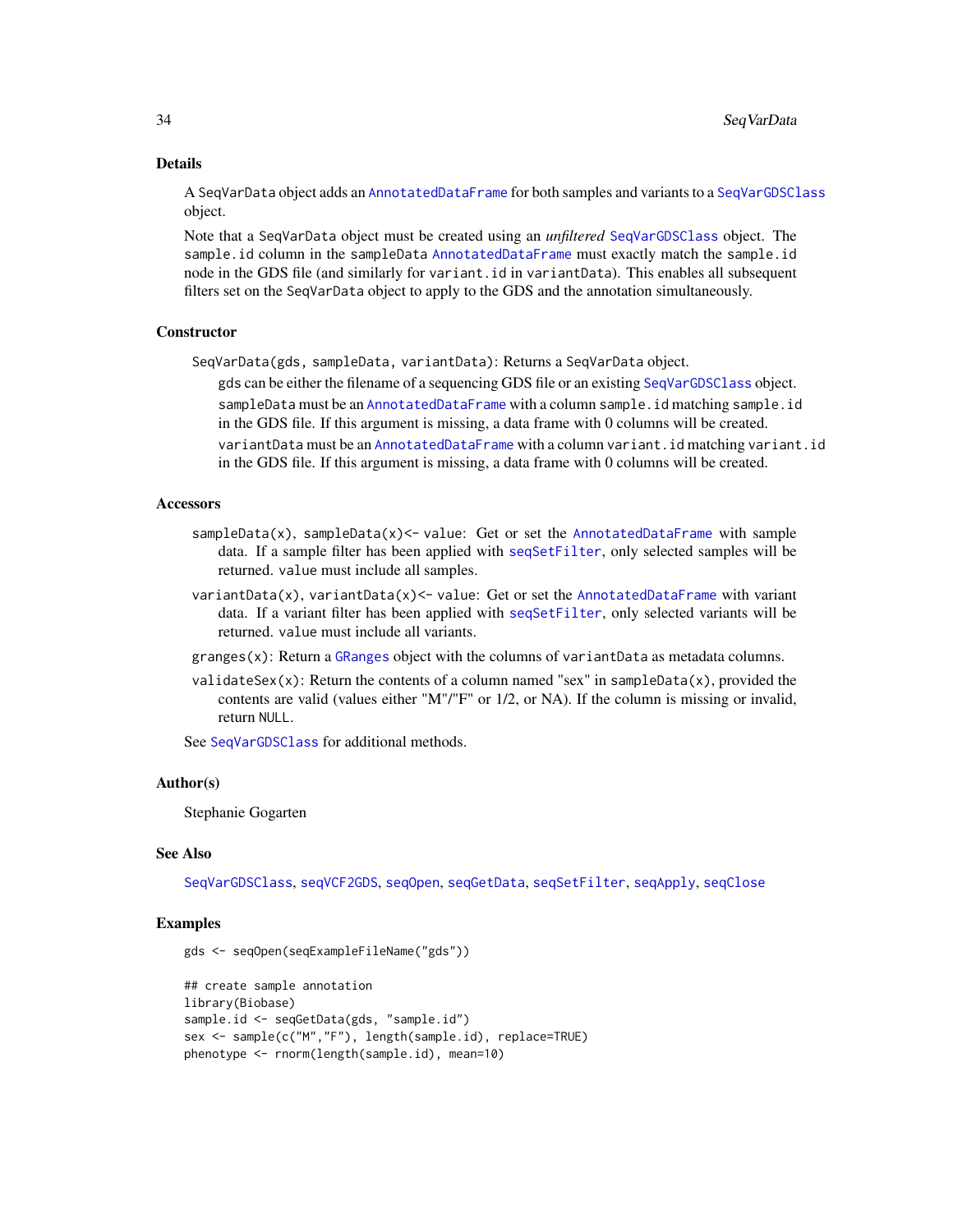#### Details

A SeqVarData object adds an [AnnotatedDataFrame](#page-0-0) for both samples and variants to a [SeqVarGDSClass](#page-0-0) object.

Note that a SeqVarData object must be created using an *unfiltered* [SeqVarGDSClass](#page-0-0) object. The sample.id column in the sampleData [AnnotatedDataFrame](#page-0-0) must exactly match the sample.id node in the GDS file (and similarly for variant.id in variantData). This enables all subsequent filters set on the SeqVarData object to apply to the GDS and the annotation simultaneously.

#### **Constructor**

SeqVarData(gds, sampleData, variantData): Returns a SeqVarData object.

gds can be either the filename of a sequencing GDS file or an existing [SeqVarGDSClass](#page-0-0) object. sampleData must be an [AnnotatedDataFrame](#page-0-0) with a column sample.id matching sample.id in the GDS file. If this argument is missing, a data frame with 0 columns will be created. variantData must be an [AnnotatedDataFrame](#page-0-0) with a column variant.id matching variant.id in the GDS file. If this argument is missing, a data frame with 0 columns will be created.

### **Accessors**

- $sampleData(x)$ ,  $sampleData(x)$  value: Get or set the [AnnotatedDataFrame](#page-0-0) with sample data. If a sample filter has been applied with [seqSetFilter](#page-0-0), only selected samples will be returned. value must include all samples.
- $variantData(x)$ ,  $variable(x) < -value$ : Get or set the [AnnotatedDataFrame](#page-0-0) with variant data. If a variant filter has been applied with [seqSetFilter](#page-0-0), only selected variants will be returned. value must include all variants.
- granges(x): Return a [GRanges](#page-0-0) object with the columns of variantData as metadata columns.
- validateSex(x): Return the contents of a column named "sex" in sampleData(x), provided the contents are valid (values either "M"/"F" or 1/2, or NA). If the column is missing or invalid, return NULL.

See [SeqVarGDSClass](#page-0-0) for additional methods.

#### Author(s)

Stephanie Gogarten

### See Also

[SeqVarGDSClass](#page-0-0), [seqVCF2GDS](#page-0-0), [seqOpen](#page-0-0), [seqGetData](#page-0-0), [seqSetFilter](#page-0-0), [seqApply](#page-0-0), [seqClose](#page-0-0)

#### Examples

```
gds <- seqOpen(seqExampleFileName("gds"))
```

```
## create sample annotation
library(Biobase)
sample.id <- seqGetData(gds, "sample.id")
sex <- sample(c("M","F"), length(sample.id), replace=TRUE)
phenotype <- rnorm(length(sample.id), mean=10)
```
<span id="page-33-0"></span>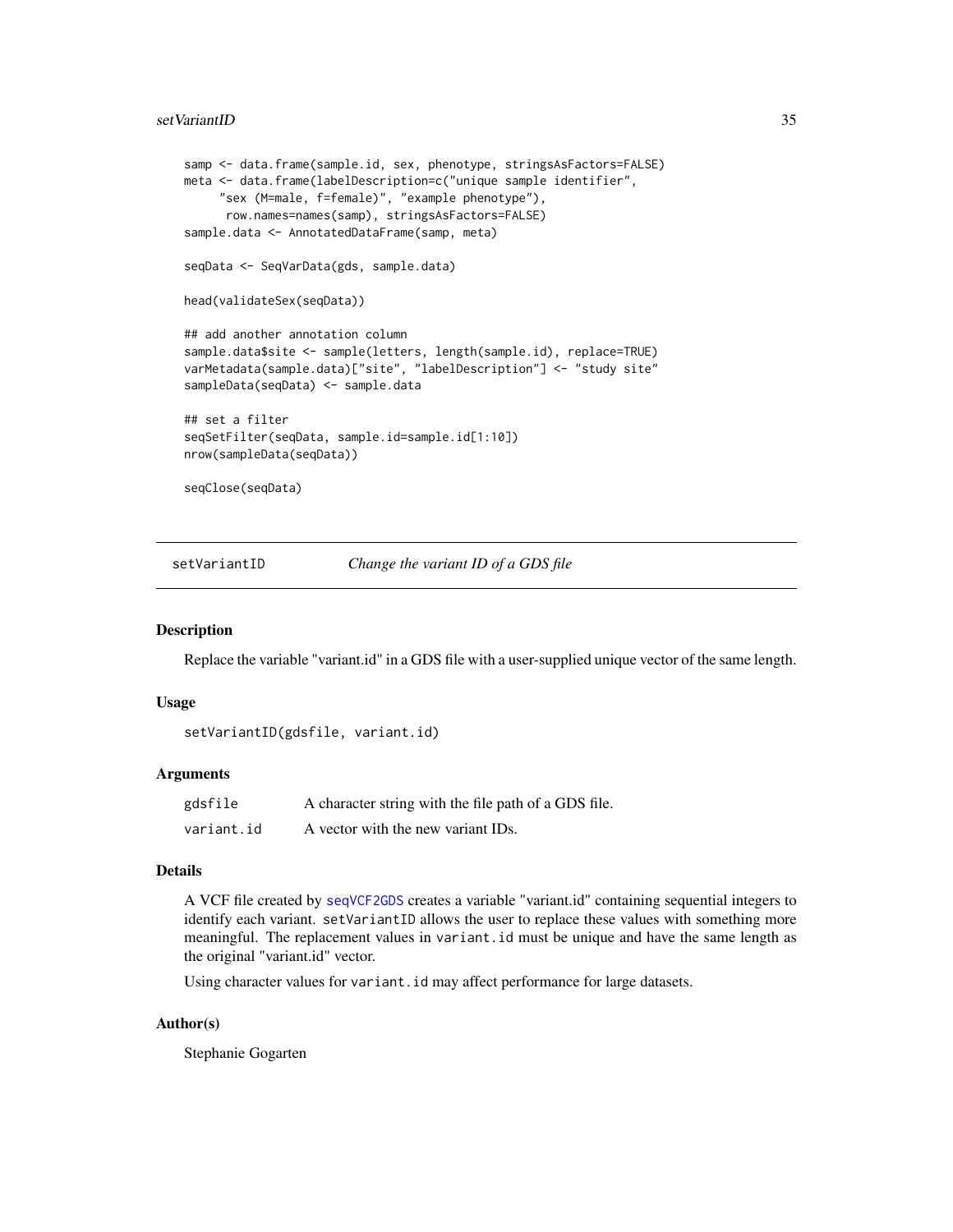#### <span id="page-34-0"></span>setVariantID 35

```
samp <- data.frame(sample.id, sex, phenotype, stringsAsFactors=FALSE)
meta <- data.frame(labelDescription=c("unique sample identifier",
     "sex (M=male, f=female)", "example phenotype"),
     row.names=names(samp), stringsAsFactors=FALSE)
sample.data <- AnnotatedDataFrame(samp, meta)
seqData <- SeqVarData(gds, sample.data)
head(validateSex(seqData))
## add another annotation column
sample.data$site <- sample(letters, length(sample.id), replace=TRUE)
varMetadata(sample.data)["site", "labelDescription"] <- "study site"
sampleData(seqData) <- sample.data
## set a filter
seqSetFilter(seqData, sample.id=sample.id[1:10])
nrow(sampleData(seqData))
seqClose(seqData)
```
setVariantID *Change the variant ID of a GDS file*

#### **Description**

Replace the variable "variant.id" in a GDS file with a user-supplied unique vector of the same length.

### Usage

```
setVariantID(gdsfile, variant.id)
```
### Arguments

| gdsfile    | A character string with the file path of a GDS file. |
|------------|------------------------------------------------------|
| variant.id | A vector with the new variant IDs.                   |

### Details

A VCF file created by [seqVCF2GDS](#page-0-0) creates a variable "variant.id" containing sequential integers to identify each variant. setVariantID allows the user to replace these values with something more meaningful. The replacement values in variant.id must be unique and have the same length as the original "variant.id" vector.

Using character values for variant.id may affect performance for large datasets.

### Author(s)

Stephanie Gogarten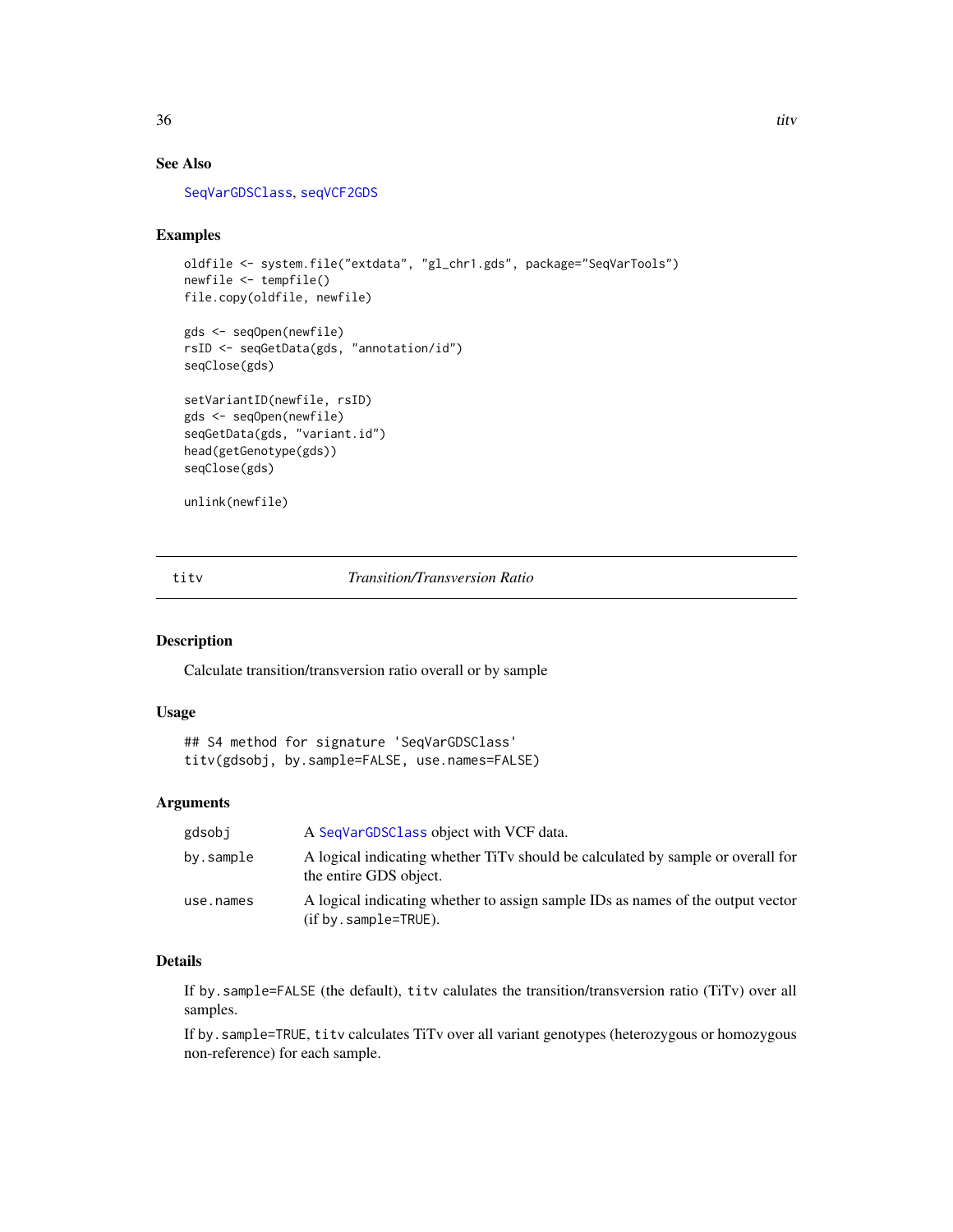### <span id="page-35-0"></span>See Also

[SeqVarGDSClass](#page-0-0), [seqVCF2GDS](#page-0-0)

### Examples

```
oldfile <- system.file("extdata", "gl_chr1.gds", package="SeqVarTools")
newfile <- tempfile()
file.copy(oldfile, newfile)
```

```
gds <- seqOpen(newfile)
rsID <- seqGetData(gds, "annotation/id")
seqClose(gds)
```

```
setVariantID(newfile, rsID)
gds <- seqOpen(newfile)
seqGetData(gds, "variant.id")
head(getGenotype(gds))
seqClose(gds)
```

```
unlink(newfile)
```
### titv *Transition/Transversion Ratio*

### Description

Calculate transition/transversion ratio overall or by sample

### Usage

```
## S4 method for signature 'SeqVarGDSClass'
titv(gdsobj, by.sample=FALSE, use.names=FALSE)
```
### Arguments

| gdsobi    | A SeqVarGDSClass object with VCF data.                                                                       |
|-----------|--------------------------------------------------------------------------------------------------------------|
| by.sample | A logical indicating whether TiTy should be calculated by sample or overall for<br>the entire GDS object.    |
| use.names | A logical indicating whether to assign sample IDs as names of the output vector<br>$(if by sample = TRUE)$ . |

### Details

If by.sample=FALSE (the default), titv calulates the transition/transversion ratio (TiTv) over all samples.

If by.sample=TRUE, titv calculates TiTv over all variant genotypes (heterozygous or homozygous non-reference) for each sample.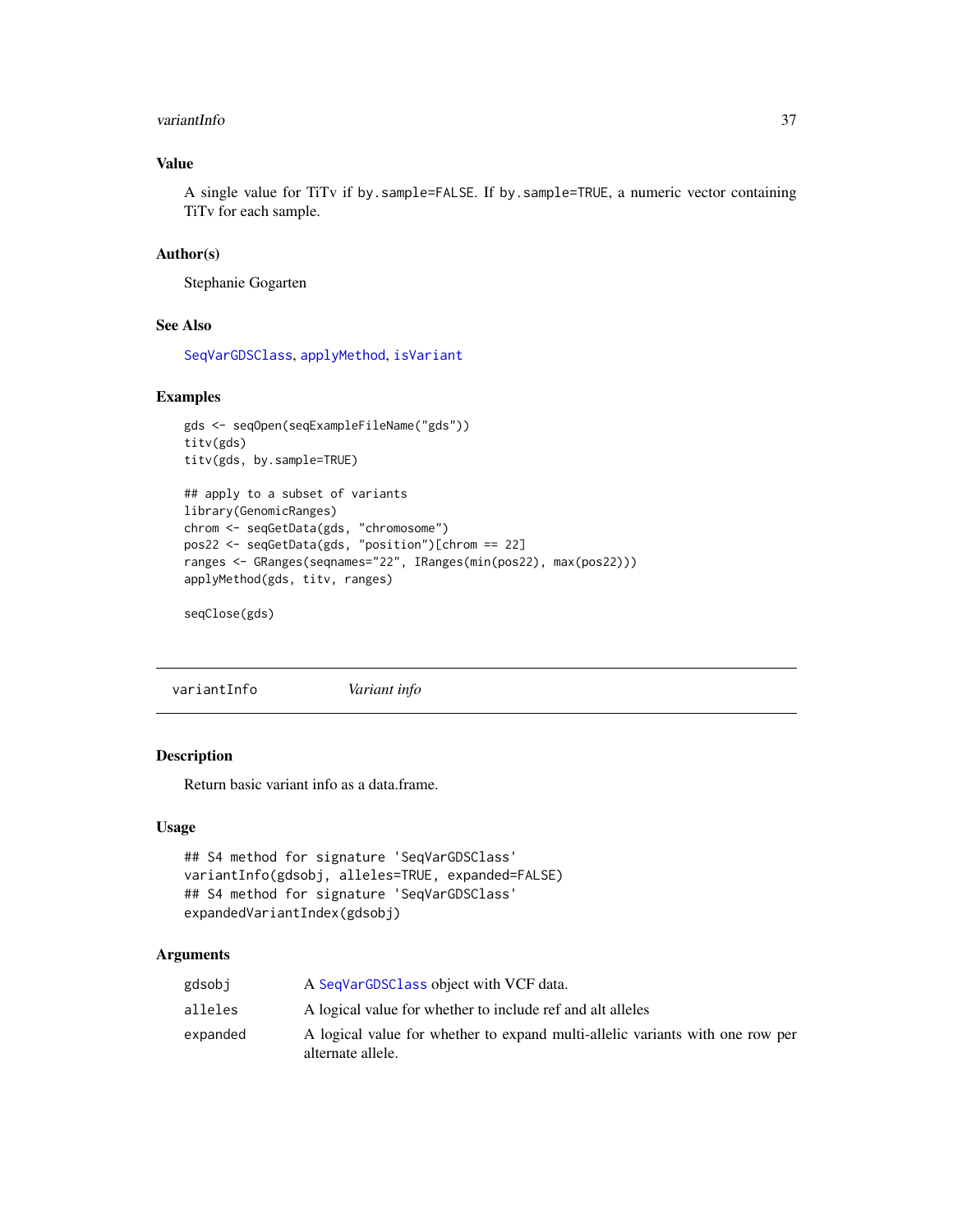#### <span id="page-36-0"></span>variantInfo 37

### Value

A single value for TiTv if by.sample=FALSE. If by.sample=TRUE, a numeric vector containing TiTv for each sample.

### Author(s)

Stephanie Gogarten

### See Also

[SeqVarGDSClass](#page-0-0), [applyMethod](#page-6-1), [isVariant](#page-21-1)

### Examples

```
gds <- seqOpen(seqExampleFileName("gds"))
titv(gds)
titv(gds, by.sample=TRUE)
## apply to a subset of variants
library(GenomicRanges)
chrom <- seqGetData(gds, "chromosome")
pos22 <- seqGetData(gds, "position")[chrom == 22]
ranges <- GRanges(seqnames="22", IRanges(min(pos22), max(pos22)))
applyMethod(gds, titv, ranges)
```
seqClose(gds)

variantInfo *Variant info*

### Description

Return basic variant info as a data.frame.

#### Usage

```
## S4 method for signature 'SeqVarGDSClass'
variantInfo(gdsobj, alleles=TRUE, expanded=FALSE)
## S4 method for signature 'SeqVarGDSClass'
expandedVariantIndex(gdsobj)
```
### Arguments

| gdsobi   | A SeqVarGDSClass object with VCF data.                                                             |
|----------|----------------------------------------------------------------------------------------------------|
| alleles  | A logical value for whether to include ref and alt alleles                                         |
| expanded | A logical value for whether to expand multi-allelic variants with one row per<br>alternate allele. |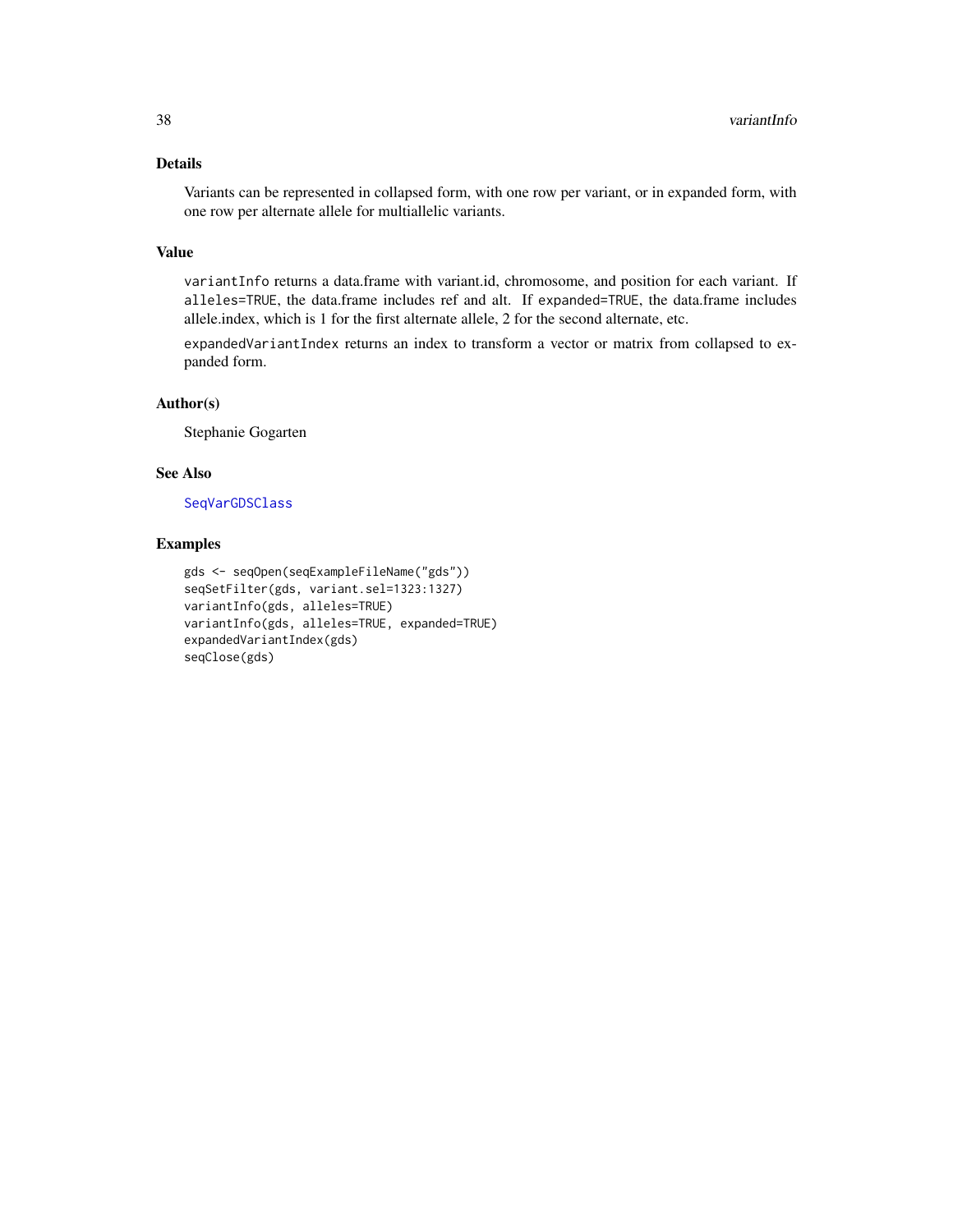### <span id="page-37-0"></span>Details

Variants can be represented in collapsed form, with one row per variant, or in expanded form, with one row per alternate allele for multiallelic variants.

### Value

variantInfo returns a data.frame with variant.id, chromosome, and position for each variant. If alleles=TRUE, the data.frame includes ref and alt. If expanded=TRUE, the data.frame includes allele.index, which is 1 for the first alternate allele, 2 for the second alternate, etc.

expandedVariantIndex returns an index to transform a vector or matrix from collapsed to expanded form.

### Author(s)

Stephanie Gogarten

### See Also

[SeqVarGDSClass](#page-0-0)

### Examples

```
gds <- seqOpen(seqExampleFileName("gds"))
seqSetFilter(gds, variant.sel=1323:1327)
variantInfo(gds, alleles=TRUE)
variantInfo(gds, alleles=TRUE, expanded=TRUE)
expandedVariantIndex(gds)
seqClose(gds)
```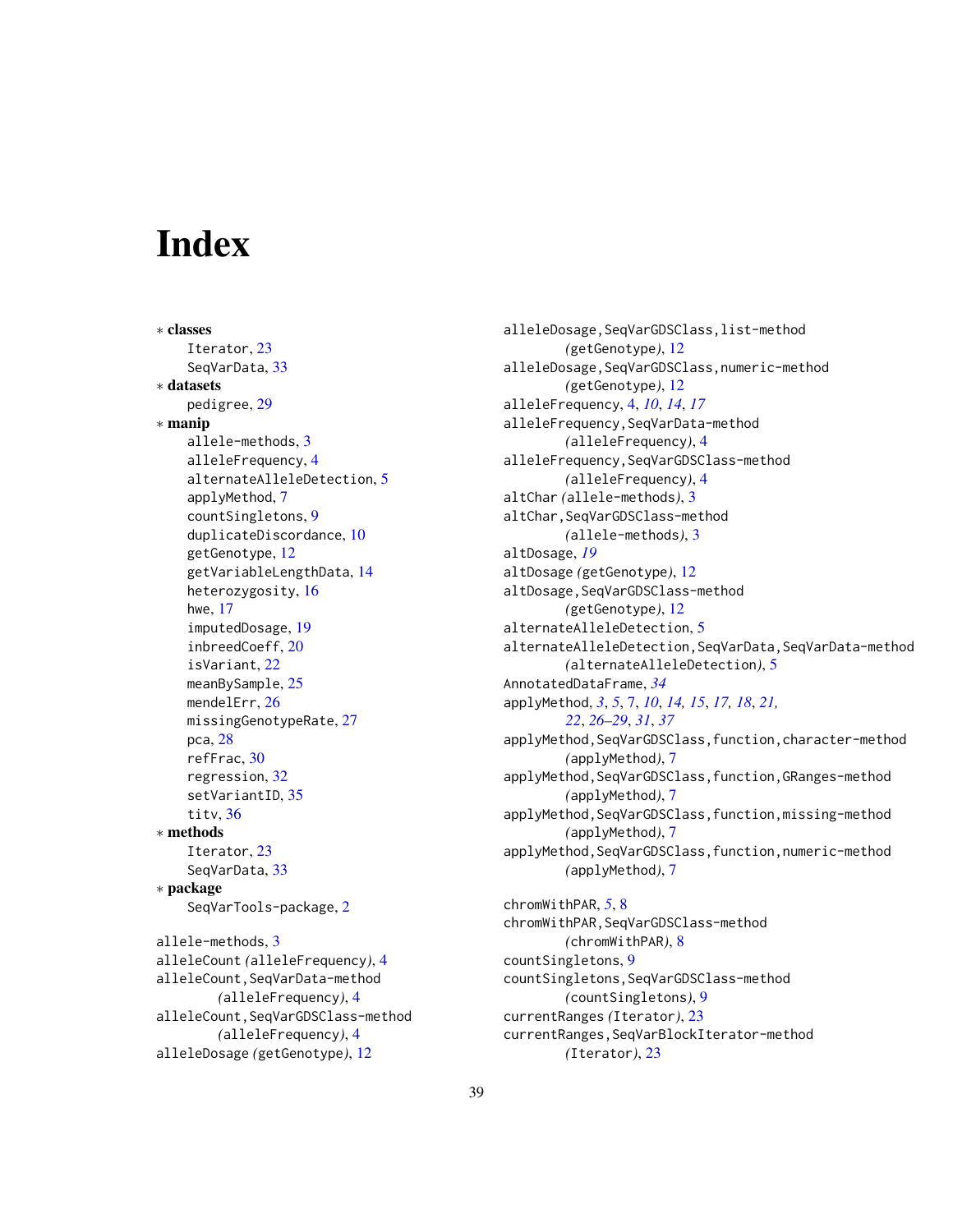# <span id="page-38-0"></span>**Index**

∗ classes Iterator, [23](#page-22-0) SeqVarData, [33](#page-32-0) ∗ datasets pedigree, [29](#page-28-0) ∗ manip allele-methods, [3](#page-2-0) alleleFrequency, [4](#page-3-0) alternateAlleleDetection, [5](#page-4-0) applyMethod, [7](#page-6-0) countSingletons, [9](#page-8-0) duplicateDiscordance, [10](#page-9-0) getGenotype, [12](#page-11-0) getVariableLengthData, [14](#page-13-0) heterozygosity, [16](#page-15-0) hwe, [17](#page-16-0) imputedDosage, [19](#page-18-0) inbreedCoeff, [20](#page-19-0) isVariant, [22](#page-21-0) meanBySample, [25](#page-24-0) mendelErr, [26](#page-25-0) missingGenotypeRate, [27](#page-26-0) pca, [28](#page-27-0) refFrac, [30](#page-29-0) regression, [32](#page-31-0) setVariantID, [35](#page-34-0) titv, [36](#page-35-0) ∗ methods Iterator, [23](#page-22-0) SeqVarData, [33](#page-32-0) ∗ package SeqVarTools-package, [2](#page-1-0) allele-methods, [3](#page-2-0) alleleCount *(*alleleFrequency*)*, [4](#page-3-0) alleleCount,SeqVarData-method *(*alleleFrequency*)*, [4](#page-3-0) alleleCount,SeqVarGDSClass-method *(*alleleFrequency*)*, [4](#page-3-0) alleleDosage *(*getGenotype*)*, [12](#page-11-0)

alleleDosage,SeqVarGDSClass,list-method *(*getGenotype*)*, [12](#page-11-0) alleleDosage, SeqVarGDSClass, numeric-method *(*getGenotype*)*, [12](#page-11-0) alleleFrequency, [4,](#page-3-0) *[10](#page-9-0)*, *[14](#page-13-0)*, *[17](#page-16-0)* alleleFrequency,SeqVarData-method *(*alleleFrequency*)*, [4](#page-3-0) alleleFrequency,SeqVarGDSClass-method *(*alleleFrequency*)*, [4](#page-3-0) altChar *(*allele-methods*)*, [3](#page-2-0) altChar,SeqVarGDSClass-method *(*allele-methods*)*, [3](#page-2-0) altDosage, *[19](#page-18-0)* altDosage *(*getGenotype*)*, [12](#page-11-0) altDosage, SeqVarGDSClass-method *(*getGenotype*)*, [12](#page-11-0) alternateAlleleDetection, [5](#page-4-0) alternateAlleleDetection,SeqVarData,SeqVarData-method *(*alternateAlleleDetection*)*, [5](#page-4-0) AnnotatedDataFrame, *[34](#page-33-0)* applyMethod, *[3](#page-2-0)*, *[5](#page-4-0)*, [7,](#page-6-0) *[10](#page-9-0)*, *[14,](#page-13-0) [15](#page-14-0)*, *[17,](#page-16-0) [18](#page-17-0)*, *[21,](#page-20-0) [22](#page-21-0)*, *[26](#page-25-0)[–29](#page-28-0)*, *[31](#page-30-0)*, *[37](#page-36-0)* applyMethod,SeqVarGDSClass,function,character-method *(*applyMethod*)*, [7](#page-6-0) applyMethod, SeqVarGDSClass, function, GRanges-method *(*applyMethod*)*, [7](#page-6-0) applyMethod, SeqVarGDSClass, function, missing-method *(*applyMethod*)*, [7](#page-6-0) applyMethod,SeqVarGDSClass,function,numeric-method *(*applyMethod*)*, [7](#page-6-0) chromWithPAR, *[5](#page-4-0)*, [8](#page-7-0) chromWithPAR,SeqVarGDSClass-method *(*chromWithPAR*)*, [8](#page-7-0) countSingletons, [9](#page-8-0) countSingletons,SeqVarGDSClass-method *(*countSingletons*)*, [9](#page-8-0) currentRanges *(*Iterator*)*, [23](#page-22-0)

currentRanges,SeqVarBlockIterator-method

*(*Iterator*)*, [23](#page-22-0)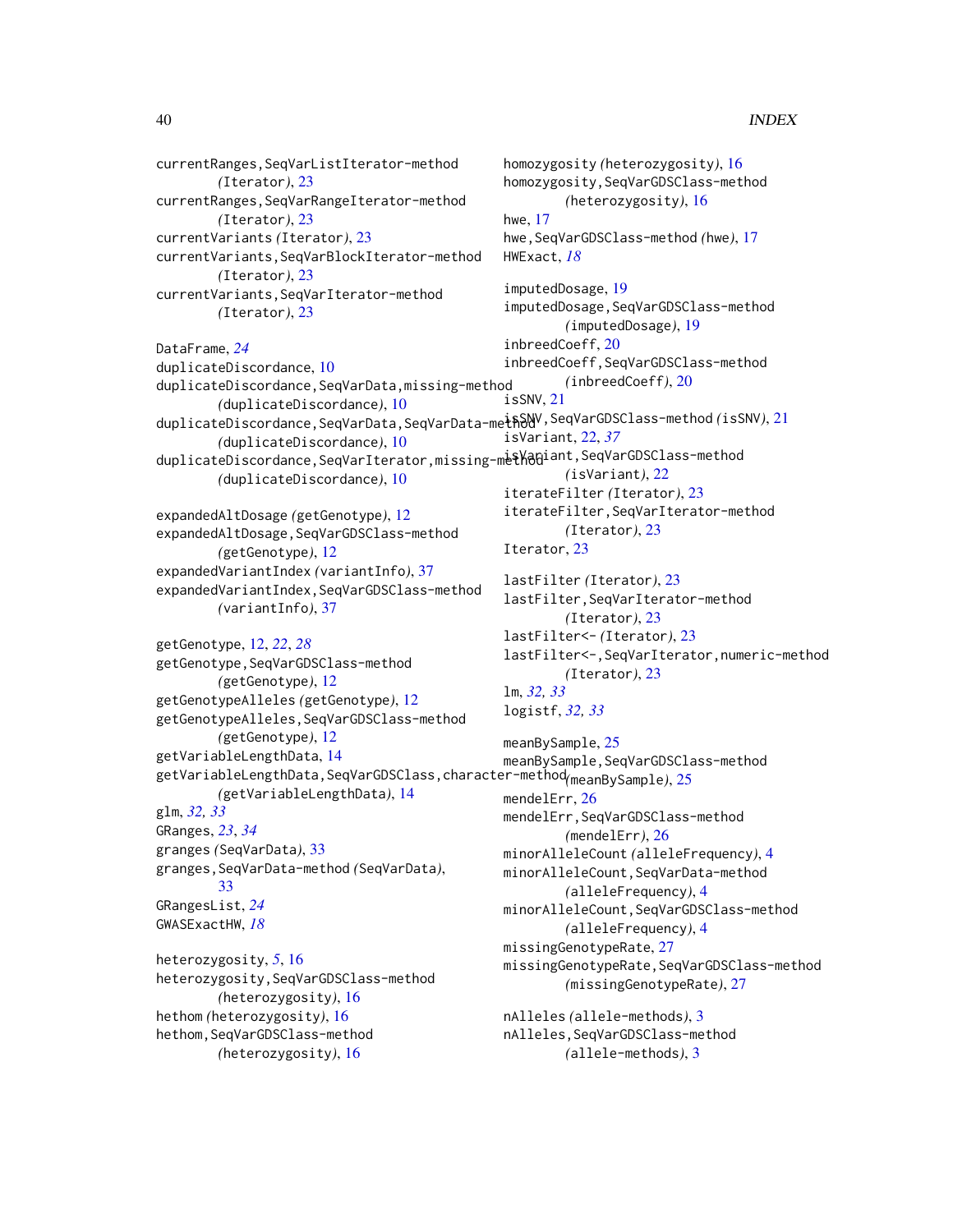currentRanges,SeqVarListIterator-method *(*Iterator*)*, [23](#page-22-0) currentRanges,SeqVarRangeIterator-method *(*Iterator*)*, [23](#page-22-0) currentVariants *(*Iterator*)*, [23](#page-22-0) currentVariants,SeqVarBlockIterator-method *(*Iterator*)*, [23](#page-22-0) currentVariants,SeqVarIterator-method *(*Iterator*)*, [23](#page-22-0) DataFrame, *[24](#page-23-0)* duplicateDiscordance, [10](#page-9-0) duplicateDiscordance,SeqVarData,missing-method *(*duplicateDiscordance*)*, [10](#page-9-0) duplicateDiscordance,SeqVarData,SeqVarData-method<sup>V,SeqVarGDSClass-method*(*isSNV*),*[21](#page-20-0)</sup> *(*duplicateDiscordance*)*, [10](#page-9-0) duplicateDiscordance,SeqVarIterator,missing-methodiant,SeqVarGDSClass-method *(*duplicateDiscordance*)*, [10](#page-9-0) expandedAltDosage *(*getGenotype*)*, [12](#page-11-0) expandedAltDosage,SeqVarGDSClass-method *(*getGenotype*)*, [12](#page-11-0) expandedVariantIndex *(*variantInfo*)*, [37](#page-36-0) expandedVariantIndex,SeqVarGDSClass-method *(*variantInfo*)*, [37](#page-36-0) getGenotype, [12,](#page-11-0) *[22](#page-21-0)*, *[28](#page-27-0)* getGenotype,SeqVarGDSClass-method *(*getGenotype*)*, [12](#page-11-0) getGenotypeAlleles *(*getGenotype*)*, [12](#page-11-0) getGenotypeAlleles,SeqVarGDSClass-method *(*getGenotype*)*, [12](#page-11-0) getVariableLengthData, [14](#page-13-0) getVariableLengthData,SeqVarGDSClass,character-method *(*meanBySample*)*, [25](#page-24-0) *(*getVariableLengthData*)*, [14](#page-13-0) glm, *[32,](#page-31-0) [33](#page-32-0)* GRanges, *[23](#page-22-0)*, *[34](#page-33-0)* granges *(*SeqVarData*)*, [33](#page-32-0) granges,SeqVarData-method *(*SeqVarData*)*, [33](#page-32-0) GRangesList, *[24](#page-23-0)* GWASExactHW, *[18](#page-17-0)* heterozygosity, *[5](#page-4-0)*, [16](#page-15-0) heterozygosity,SeqVarGDSClass-method *(*heterozygosity*)*, [16](#page-15-0) hethom *(*heterozygosity*)*, [16](#page-15-0) homozygosity *(*heterozygosity*)*, [16](#page-15-0) hwe, [17](#page-16-0) HWExact, *[18](#page-17-0)* isSNV, [21](#page-20-0) Iterator, [23](#page-22-0) lm, *[32,](#page-31-0) [33](#page-32-0)* logistf, *[32,](#page-31-0) [33](#page-32-0)* mendelErr, [26](#page-25-0)

hethom,SeqVarGDSClass-method *(*heterozygosity*)*, [16](#page-15-0)

homozygosity,SeqVarGDSClass-method *(*heterozygosity*)*, [16](#page-15-0) hwe,SeqVarGDSClass-method *(*hwe*)*, [17](#page-16-0) imputedDosage, [19](#page-18-0) imputedDosage, SeqVarGDSClass-method *(*imputedDosage*)*, [19](#page-18-0) inbreedCoeff, [20](#page-19-0) inbreedCoeff,SeqVarGDSClass-method *(*inbreedCoeff*)*, [20](#page-19-0) isVariant, [22,](#page-21-0) *[37](#page-36-0) (*isVariant*)*, [22](#page-21-0) iterateFilter *(*Iterator*)*, [23](#page-22-0) iterateFilter,SeqVarIterator-method *(*Iterator*)*, [23](#page-22-0) lastFilter *(*Iterator*)*, [23](#page-22-0) lastFilter,SeqVarIterator-method *(*Iterator*)*, [23](#page-22-0) lastFilter<- *(*Iterator*)*, [23](#page-22-0) lastFilter<-,SeqVarIterator,numeric-method *(*Iterator*)*, [23](#page-22-0)

```
meanBySample, 25
meanBySample,SeqVarGDSClass-method
mendelErr,SeqVarGDSClass-method
        (mendelErr), 26
minorAlleleCount (alleleFrequency), 4
minorAlleleCount,SeqVarData-method
        (alleleFrequency), 4
minorAlleleCount,SeqVarGDSClass-method
        (alleleFrequency), 4
missingGenotypeRate, 27
missingGenotypeRate,SeqVarGDSClass-method
        (missingGenotypeRate), 27
nAlleles (allele-methods), 3
```
nAlleles,SeqVarGDSClass-method *(*allele-methods*)*, [3](#page-2-0)